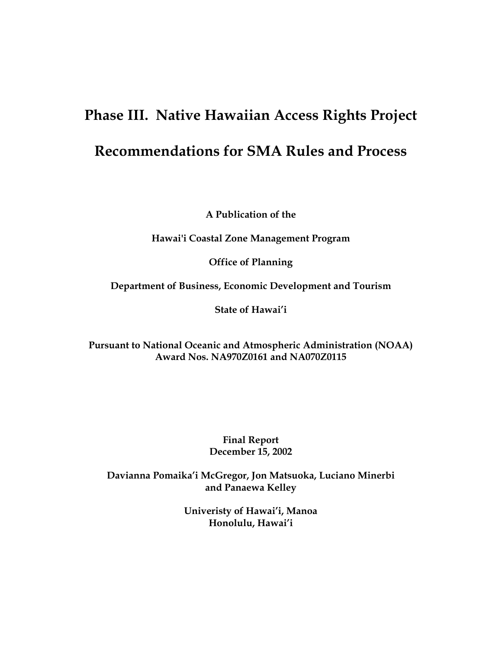# **Phase III. Native Hawaiian Access Rights Project**

## **Recommendations for SMA Rules and Process**

**A Publication of the** 

**Hawai'i Coastal Zone Management Program** 

**Office of Planning** 

**Department of Business, Economic Development and Tourism** 

**State of Hawai'i** 

**Pursuant to National Oceanic and Atmospheric Administration (NOAA) Award Nos. NA970Z0161 and NA070Z0115** 

#### **Final Report December 15, 2002**

**Davianna Pomaika'i McGregor, Jon Matsuoka, Luciano Minerbi and Panaewa Kelley** 

> **Univeristy of Hawai'i, Manoa Honolulu, Hawai'i**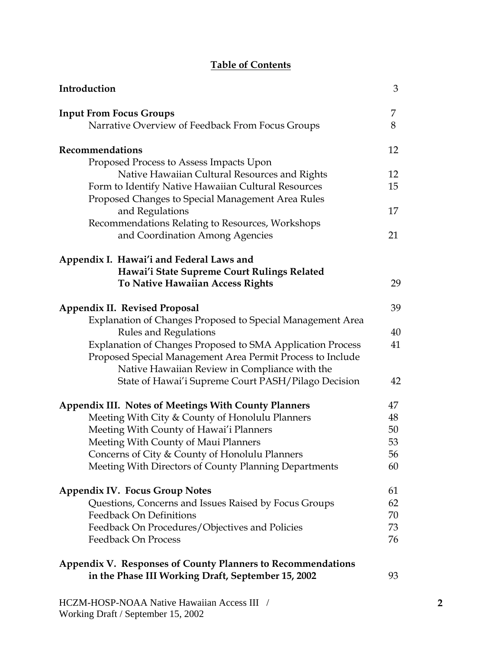## **Table of Contents**

| Introduction                                                                                                             | 3        |  |  |  |
|--------------------------------------------------------------------------------------------------------------------------|----------|--|--|--|
| <b>Input From Focus Groups</b>                                                                                           | 7        |  |  |  |
| Narrative Overview of Feedback From Focus Groups                                                                         | 8        |  |  |  |
| Recommendations                                                                                                          | 12       |  |  |  |
| Proposed Process to Assess Impacts Upon                                                                                  | 12       |  |  |  |
| Native Hawaiian Cultural Resources and Rights<br>Form to Identify Native Hawaiian Cultural Resources                     | 15       |  |  |  |
| Proposed Changes to Special Management Area Rules                                                                        |          |  |  |  |
| and Regulations                                                                                                          | 17       |  |  |  |
| Recommendations Relating to Resources, Workshops                                                                         |          |  |  |  |
| and Coordination Among Agencies                                                                                          | 21       |  |  |  |
| Appendix I. Hawai'i and Federal Laws and                                                                                 |          |  |  |  |
| Hawai'i State Supreme Court Rulings Related                                                                              |          |  |  |  |
| To Native Hawaiian Access Rights                                                                                         | 29       |  |  |  |
| <b>Appendix II. Revised Proposal</b>                                                                                     | 39       |  |  |  |
| Explanation of Changes Proposed to Special Management Area                                                               |          |  |  |  |
| <b>Rules and Regulations</b>                                                                                             | 40<br>41 |  |  |  |
| Explanation of Changes Proposed to SMA Application Process<br>Proposed Special Management Area Permit Process to Include |          |  |  |  |
| Native Hawaiian Review in Compliance with the                                                                            |          |  |  |  |
| State of Hawai'i Supreme Court PASH/Pilago Decision                                                                      | 42       |  |  |  |
| <b>Appendix III. Notes of Meetings With County Planners</b>                                                              | 47       |  |  |  |
| Meeting With City & County of Honolulu Planners                                                                          | 48       |  |  |  |
| Meeting With County of Hawai'i Planners                                                                                  | 50       |  |  |  |
| Meeting With County of Maui Planners                                                                                     | 53       |  |  |  |
| Concerns of City & County of Honolulu Planners<br>Meeting With Directors of County Planning Departments                  | 56<br>60 |  |  |  |
|                                                                                                                          |          |  |  |  |
| <b>Appendix IV. Focus Group Notes</b>                                                                                    | 61       |  |  |  |
| Questions, Concerns and Issues Raised by Focus Groups                                                                    | 62       |  |  |  |
| <b>Feedback On Definitions</b>                                                                                           | 70<br>73 |  |  |  |
| Feedback On Procedures/Objectives and Policies<br>Feedback On Process                                                    | 76       |  |  |  |
|                                                                                                                          |          |  |  |  |
| <b>Appendix V. Responses of County Planners to Recommendations</b>                                                       |          |  |  |  |
| in the Phase III Working Draft, September 15, 2002                                                                       | 93       |  |  |  |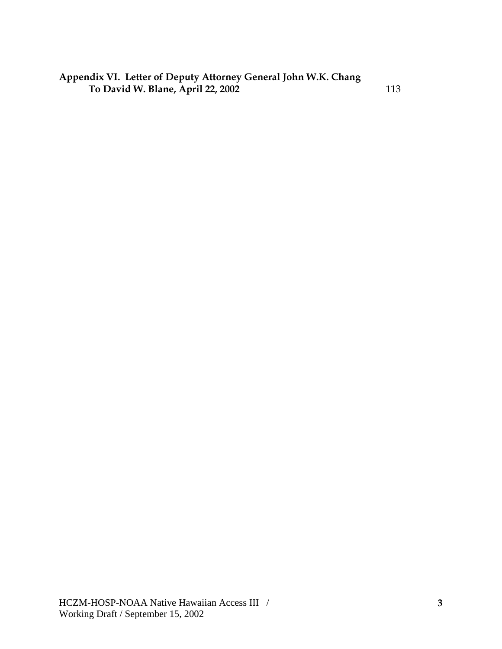**Appendix VI. Letter of Deputy Attorney General John W.K. Chang To David W. Blane, April 22, 2002** 113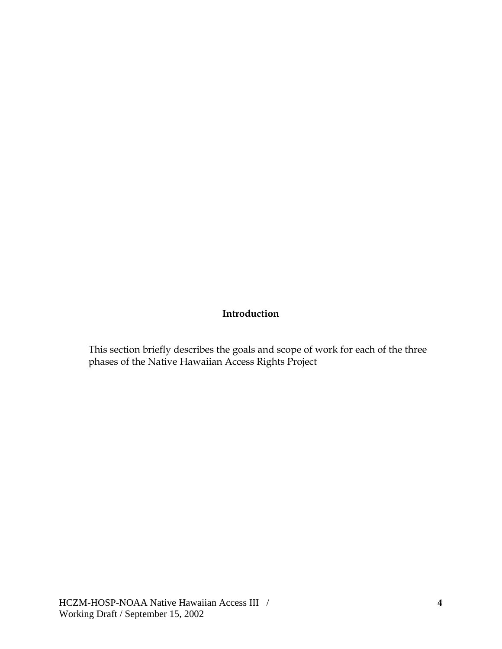## **Introduction**

This section briefly describes the goals and scope of work for each of the three phases of the Native Hawaiian Access Rights Project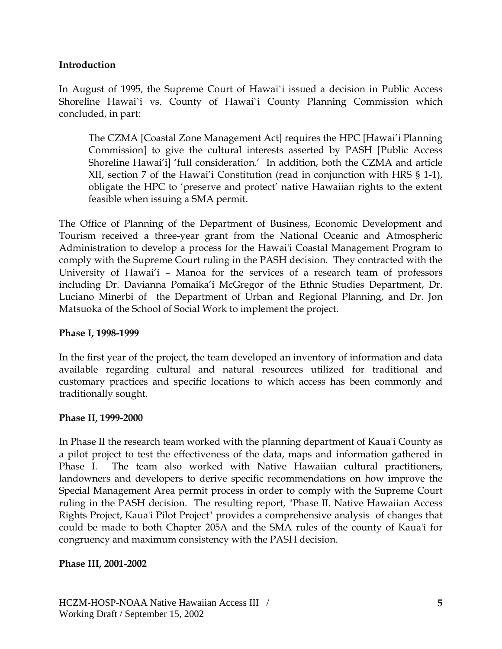#### **Introduction**

In August of 1995, the Supreme Court of Hawai`i issued a decision in Public Access Shoreline Hawai`i vs. County of Hawai`i County Planning Commission which concluded, in part:

The CZMA [Coastal Zone Management Act] requires the HPC [Hawai'i Planning Commission] to give the cultural interests asserted by PASH [Public Access Shoreline Hawai'i] 'full consideration.' In addition, both the CZMA and article XII, section 7 of the Hawai'i Constitution (read in conjunction with HRS § 1-1), obligate the HPC to 'preserve and protect' native Hawaiian rights to the extent feasible when issuing a SMA permit.

The Office of Planning of the Department of Business, Economic Development and Tourism received a three-year grant from the National Oceanic and Atmospheric Administration to develop a process for the Hawai'i Coastal Management Program to comply with the Supreme Court ruling in the PASH decision. They contracted with the University of Hawai'i – Manoa for the services of a research team of professors including Dr. Davianna Pomaika'i McGregor of the Ethnic Studies Department, Dr. Luciano Minerbi of the Department of Urban and Regional Planning, and Dr. Jon Matsuoka of the School of Social Work to implement the project.

#### **Phase I, 1998-1999**

In the first year of the project, the team developed an inventory of information and data available regarding cultural and natural resources utilized for traditional and customary practices and specific locations to which access has been commonly and traditionally sought.

#### **Phase II, 1999-2000**

In Phase II the research team worked with the planning department of Kaua'i County as a pilot project to test the effectiveness of the data, maps and information gathered in Phase I. The team also worked with Native Hawaiian cultural practitioners, landowners and developers to derive specific recommendations on how improve the Special Management Area permit process in order to comply with the Supreme Court ruling in the PASH decision. The resulting report, "Phase II. Native Hawaiian Access Rights Project, Kaua'i Pilot Project" provides a comprehensive analysis of changes that could be made to both Chapter 205A and the SMA rules of the county of Kaua'i for congruency and maximum consistency with the PASH decision.

#### **Phase III, 2001-2002**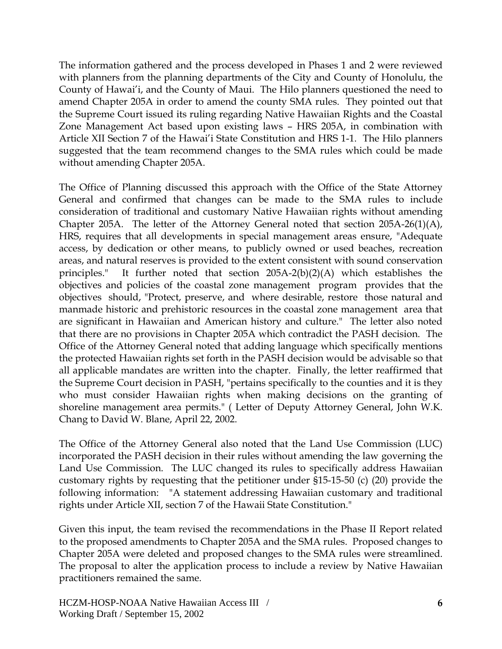The information gathered and the process developed in Phases 1 and 2 were reviewed with planners from the planning departments of the City and County of Honolulu, the County of Hawai'i, and the County of Maui. The Hilo planners questioned the need to amend Chapter 205A in order to amend the county SMA rules. They pointed out that the Supreme Court issued its ruling regarding Native Hawaiian Rights and the Coastal Zone Management Act based upon existing laws – HRS 205A, in combination with Article XII Section 7 of the Hawai'i State Constitution and HRS 1-1. The Hilo planners suggested that the team recommend changes to the SMA rules which could be made without amending Chapter 205A.

The Office of Planning discussed this approach with the Office of the State Attorney General and confirmed that changes can be made to the SMA rules to include consideration of traditional and customary Native Hawaiian rights without amending Chapter 205A. The letter of the Attorney General noted that section 205A-26(1)(A), HRS, requires that all developments in special management areas ensure, "Adequate access, by dedication or other means, to publicly owned or used beaches, recreation areas, and natural reserves is provided to the extent consistent with sound conservation principles." It further noted that section 205A-2(b)(2)(A) which establishes the objectives and policies of the coastal zone management program provides that the objectives should, "Protect, preserve, and where desirable, restore those natural and manmade historic and prehistoric resources in the coastal zone management area that are significant in Hawaiian and American history and culture." The letter also noted that there are no provisions in Chapter 205A which contradict the PASH decision. The Office of the Attorney General noted that adding language which specifically mentions the protected Hawaiian rights set forth in the PASH decision would be advisable so that all applicable mandates are written into the chapter. Finally, the letter reaffirmed that the Supreme Court decision in PASH, "pertains specifically to the counties and it is they who must consider Hawaiian rights when making decisions on the granting of shoreline management area permits." ( Letter of Deputy Attorney General, John W.K. Chang to David W. Blane, April 22, 2002.

The Office of the Attorney General also noted that the Land Use Commission (LUC) incorporated the PASH decision in their rules without amending the law governing the Land Use Commission. The LUC changed its rules to specifically address Hawaiian customary rights by requesting that the petitioner under §15-15-50 (c) (20) provide the following information: "A statement addressing Hawaiian customary and traditional rights under Article XII, section 7 of the Hawaii State Constitution."

Given this input, the team revised the recommendations in the Phase II Report related to the proposed amendments to Chapter 205A and the SMA rules. Proposed changes to Chapter 205A were deleted and proposed changes to the SMA rules were streamlined. The proposal to alter the application process to include a review by Native Hawaiian practitioners remained the same.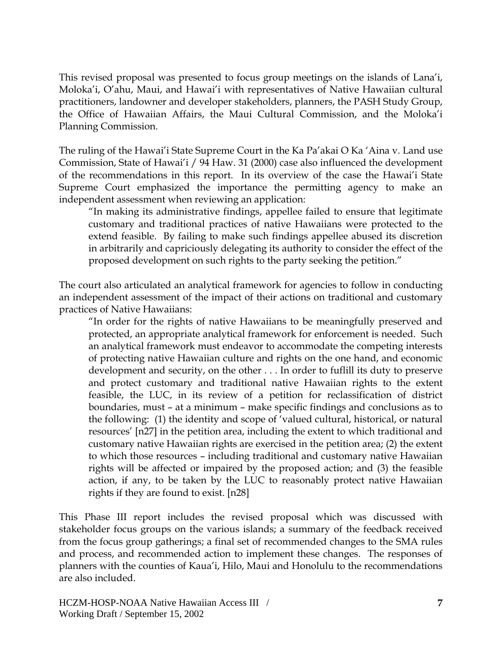This revised proposal was presented to focus group meetings on the islands of Lana'i, Moloka'i, O'ahu, Maui, and Hawai'i with representatives of Native Hawaiian cultural practitioners, landowner and developer stakeholders, planners, the PASH Study Group, the Office of Hawaiian Affairs, the Maui Cultural Commission, and the Moloka'i Planning Commission.

The ruling of the Hawai'i State Supreme Court in the Ka Pa'akai O Ka 'Aina v. Land use Commission, State of Hawai'i / 94 Haw. 31 (2000) case also influenced the development of the recommendations in this report. In its overview of the case the Hawai'i State Supreme Court emphasized the importance the permitting agency to make an independent assessment when reviewing an application:

"In making its administrative findings, appellee failed to ensure that legitimate customary and traditional practices of native Hawaiians were protected to the extend feasible. By failing to make such findings appellee abused its discretion in arbitrarily and capriciously delegating its authority to consider the effect of the proposed development on such rights to the party seeking the petition."

The court also articulated an analytical framework for agencies to follow in conducting an independent assessment of the impact of their actions on traditional and customary practices of Native Hawaiians:

"In order for the rights of native Hawaiians to be meaningfully preserved and protected, an appropriate analytical framework for enforcement is needed. Such an analytical framework must endeavor to accommodate the competing interests of protecting native Hawaiian culture and rights on the one hand, and economic development and security, on the other . . . In order to fuflill its duty to preserve and protect customary and traditional native Hawaiian rights to the extent feasible, the LUC, in its review of a petition for reclassification of district boundaries, must – at a minimum – make specific findings and conclusions as to the following: (1) the identity and scope of 'valued cultural, historical, or natural resources' [n27] in the petition area, including the extent to which traditional and customary native Hawaiian rights are exercised in the petition area; (2) the extent to which those resources – including traditional and customary native Hawaiian rights will be affected or impaired by the proposed action; and (3) the feasible action, if any, to be taken by the LUC to reasonably protect native Hawaiian rights if they are found to exist. [n28]

This Phase III report includes the revised proposal which was discussed with stakeholder focus groups on the various islands; a summary of the feedback received from the focus group gatherings; a final set of recommended changes to the SMA rules and process, and recommended action to implement these changes. The responses of planners with the counties of Kaua'i, Hilo, Maui and Honolulu to the recommendations are also included.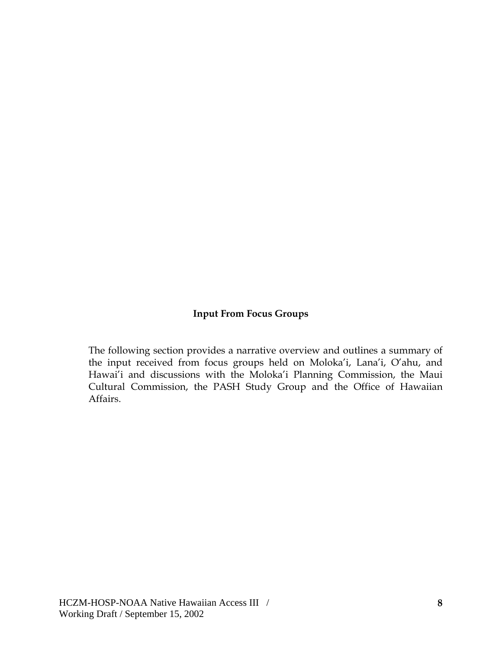#### **Input From Focus Groups**

The following section provides a narrative overview and outlines a summary of the input received from focus groups held on Moloka'i, Lana'i, O'ahu, and Hawai'i and discussions with the Moloka'i Planning Commission, the Maui Cultural Commission, the PASH Study Group and the Office of Hawaiian Affairs.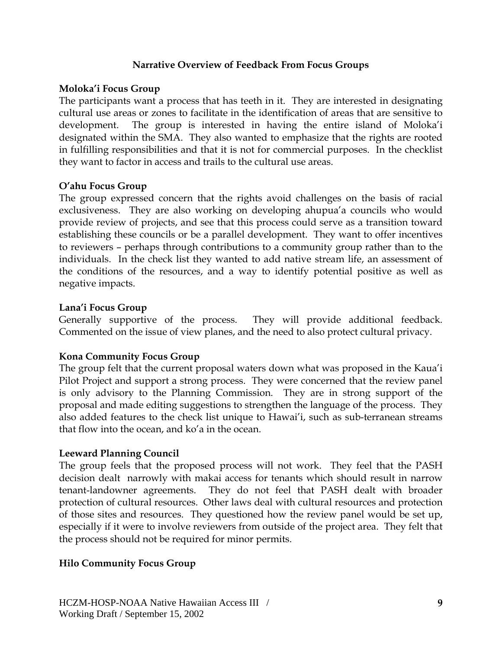#### **Narrative Overview of Feedback From Focus Groups**

#### **Moloka'i Focus Group**

The participants want a process that has teeth in it. They are interested in designating cultural use areas or zones to facilitate in the identification of areas that are sensitive to development. The group is interested in having the entire island of Moloka'i designated within the SMA. They also wanted to emphasize that the rights are rooted in fulfilling responsibilities and that it is not for commercial purposes. In the checklist they want to factor in access and trails to the cultural use areas.

#### **O'ahu Focus Group**

The group expressed concern that the rights avoid challenges on the basis of racial exclusiveness. They are also working on developing ahupua'a councils who would provide review of projects, and see that this process could serve as a transition toward establishing these councils or be a parallel development. They want to offer incentives to reviewers – perhaps through contributions to a community group rather than to the individuals. In the check list they wanted to add native stream life, an assessment of the conditions of the resources, and a way to identify potential positive as well as negative impacts.

#### **Lana'i Focus Group**

Generally supportive of the process. They will provide additional feedback. Commented on the issue of view planes, and the need to also protect cultural privacy.

#### **Kona Community Focus Group**

The group felt that the current proposal waters down what was proposed in the Kaua'i Pilot Project and support a strong process. They were concerned that the review panel is only advisory to the Planning Commission. They are in strong support of the proposal and made editing suggestions to strengthen the language of the process. They also added features to the check list unique to Hawai'i, such as sub-terranean streams that flow into the ocean, and ko'a in the ocean.

#### **Leeward Planning Council**

The group feels that the proposed process will not work. They feel that the PASH decision dealt narrowly with makai access for tenants which should result in narrow tenant-landowner agreements. They do not feel that PASH dealt with broader protection of cultural resources. Other laws deal with cultural resources and protection of those sites and resources. They questioned how the review panel would be set up, especially if it were to involve reviewers from outside of the project area. They felt that the process should not be required for minor permits.

#### **Hilo Community Focus Group**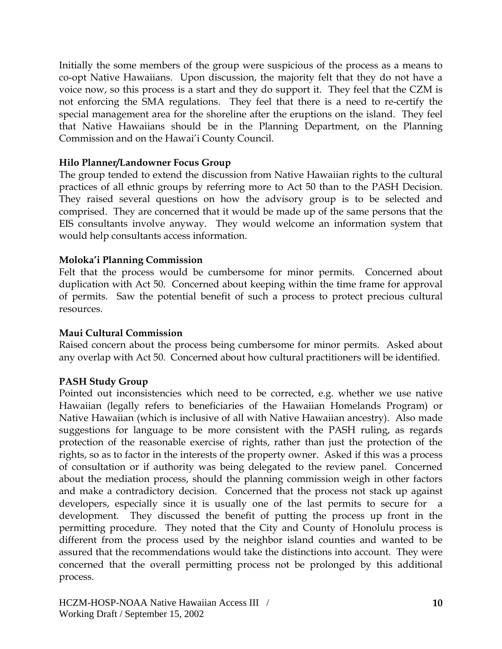Initially the some members of the group were suspicious of the process as a means to co-opt Native Hawaiians. Upon discussion, the majority felt that they do not have a voice now, so this process is a start and they do support it. They feel that the CZM is not enforcing the SMA regulations. They feel that there is a need to re-certify the special management area for the shoreline after the eruptions on the island. They feel that Native Hawaiians should be in the Planning Department, on the Planning Commission and on the Hawai'i County Council.

#### **Hilo Planner/Landowner Focus Group**

The group tended to extend the discussion from Native Hawaiian rights to the cultural practices of all ethnic groups by referring more to Act 50 than to the PASH Decision. They raised several questions on how the advisory group is to be selected and comprised. They are concerned that it would be made up of the same persons that the EIS consultants involve anyway. They would welcome an information system that would help consultants access information.

#### **Moloka'i Planning Commission**

Felt that the process would be cumbersome for minor permits. Concerned about duplication with Act 50. Concerned about keeping within the time frame for approval of permits. Saw the potential benefit of such a process to protect precious cultural resources.

#### **Maui Cultural Commission**

Raised concern about the process being cumbersome for minor permits. Asked about any overlap with Act 50. Concerned about how cultural practitioners will be identified.

#### **PASH Study Group**

Pointed out inconsistencies which need to be corrected, e.g. whether we use native Hawaiian (legally refers to beneficiaries of the Hawaiian Homelands Program) or Native Hawaiian (which is inclusive of all with Native Hawaiian ancestry). Also made suggestions for language to be more consistent with the PASH ruling, as regards protection of the reasonable exercise of rights, rather than just the protection of the rights, so as to factor in the interests of the property owner. Asked if this was a process of consultation or if authority was being delegated to the review panel. Concerned about the mediation process, should the planning commission weigh in other factors and make a contradictory decision. Concerned that the process not stack up against developers, especially since it is usually one of the last permits to secure for a development. They discussed the benefit of putting the process up front in the permitting procedure. They noted that the City and County of Honolulu process is different from the process used by the neighbor island counties and wanted to be assured that the recommendations would take the distinctions into account. They were concerned that the overall permitting process not be prolonged by this additional process.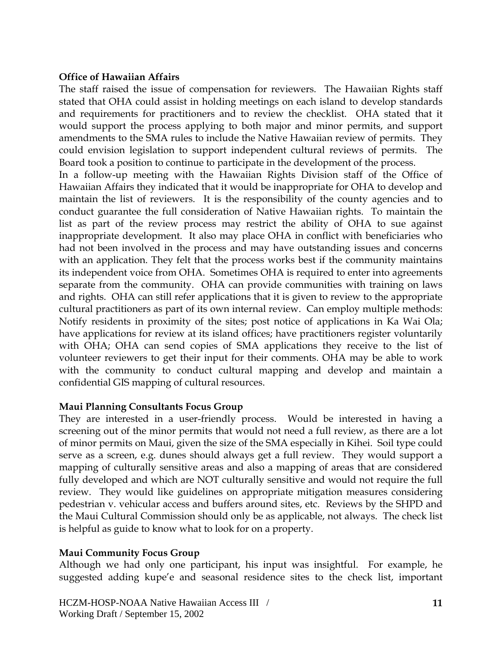#### **Office of Hawaiian Affairs**

The staff raised the issue of compensation for reviewers. The Hawaiian Rights staff stated that OHA could assist in holding meetings on each island to develop standards and requirements for practitioners and to review the checklist. OHA stated that it would support the process applying to both major and minor permits, and support amendments to the SMA rules to include the Native Hawaiian review of permits. They could envision legislation to support independent cultural reviews of permits. The Board took a position to continue to participate in the development of the process.

In a follow-up meeting with the Hawaiian Rights Division staff of the Office of Hawaiian Affairs they indicated that it would be inappropriate for OHA to develop and maintain the list of reviewers. It is the responsibility of the county agencies and to conduct guarantee the full consideration of Native Hawaiian rights. To maintain the list as part of the review process may restrict the ability of OHA to sue against inappropriate development. It also may place OHA in conflict with beneficiaries who had not been involved in the process and may have outstanding issues and concerns with an application. They felt that the process works best if the community maintains its independent voice from OHA. Sometimes OHA is required to enter into agreements separate from the community. OHA can provide communities with training on laws and rights. OHA can still refer applications that it is given to review to the appropriate cultural practitioners as part of its own internal review. Can employ multiple methods: Notify residents in proximity of the sites; post notice of applications in Ka Wai Ola; have applications for review at its island offices; have practitioners register voluntarily with OHA; OHA can send copies of SMA applications they receive to the list of volunteer reviewers to get their input for their comments. OHA may be able to work with the community to conduct cultural mapping and develop and maintain a confidential GIS mapping of cultural resources.

#### **Maui Planning Consultants Focus Group**

They are interested in a user-friendly process. Would be interested in having a screening out of the minor permits that would not need a full review, as there are a lot of minor permits on Maui, given the size of the SMA especially in Kihei. Soil type could serve as a screen, e.g. dunes should always get a full review. They would support a mapping of culturally sensitive areas and also a mapping of areas that are considered fully developed and which are NOT culturally sensitive and would not require the full review. They would like guidelines on appropriate mitigation measures considering pedestrian v. vehicular access and buffers around sites, etc. Reviews by the SHPD and the Maui Cultural Commission should only be as applicable, not always. The check list is helpful as guide to know what to look for on a property.

#### **Maui Community Focus Group**

Although we had only one participant, his input was insightful. For example, he suggested adding kupe'e and seasonal residence sites to the check list, important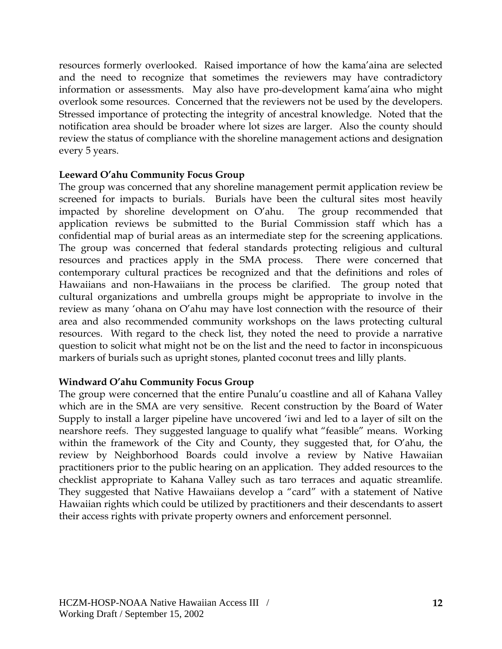resources formerly overlooked. Raised importance of how the kama'aina are selected and the need to recognize that sometimes the reviewers may have contradictory information or assessments. May also have pro-development kama'aina who might overlook some resources. Concerned that the reviewers not be used by the developers. Stressed importance of protecting the integrity of ancestral knowledge. Noted that the notification area should be broader where lot sizes are larger. Also the county should review the status of compliance with the shoreline management actions and designation every 5 years.

#### **Leeward O'ahu Community Focus Group**

The group was concerned that any shoreline management permit application review be screened for impacts to burials. Burials have been the cultural sites most heavily impacted by shoreline development on O'ahu. The group recommended that application reviews be submitted to the Burial Commission staff which has a confidential map of burial areas as an intermediate step for the screening applications. The group was concerned that federal standards protecting religious and cultural resources and practices apply in the SMA process. There were concerned that contemporary cultural practices be recognized and that the definitions and roles of Hawaiians and non-Hawaiians in the process be clarified. The group noted that cultural organizations and umbrella groups might be appropriate to involve in the review as many 'ohana on O'ahu may have lost connection with the resource of their area and also recommended community workshops on the laws protecting cultural resources. With regard to the check list, they noted the need to provide a narrative question to solicit what might not be on the list and the need to factor in inconspicuous markers of burials such as upright stones, planted coconut trees and lilly plants.

#### **Windward O'ahu Community Focus Group**

The group were concerned that the entire Punalu'u coastline and all of Kahana Valley which are in the SMA are very sensitive. Recent construction by the Board of Water Supply to install a larger pipeline have uncovered 'iwi and led to a layer of silt on the nearshore reefs. They suggested language to qualify what "feasible" means. Working within the framework of the City and County, they suggested that, for O'ahu, the review by Neighborhood Boards could involve a review by Native Hawaiian practitioners prior to the public hearing on an application. They added resources to the checklist appropriate to Kahana Valley such as taro terraces and aquatic streamlife. They suggested that Native Hawaiians develop a "card" with a statement of Native Hawaiian rights which could be utilized by practitioners and their descendants to assert their access rights with private property owners and enforcement personnel.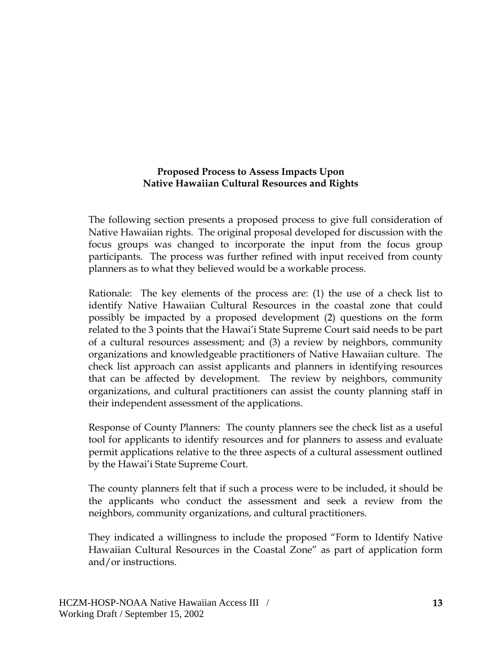#### **Proposed Process to Assess Impacts Upon Native Hawaiian Cultural Resources and Rights**

The following section presents a proposed process to give full consideration of Native Hawaiian rights. The original proposal developed for discussion with the focus groups was changed to incorporate the input from the focus group participants. The process was further refined with input received from county planners as to what they believed would be a workable process.

Rationale: The key elements of the process are: (1) the use of a check list to identify Native Hawaiian Cultural Resources in the coastal zone that could possibly be impacted by a proposed development (2) questions on the form related to the 3 points that the Hawai'i State Supreme Court said needs to be part of a cultural resources assessment; and (3) a review by neighbors, community organizations and knowledgeable practitioners of Native Hawaiian culture. The check list approach can assist applicants and planners in identifying resources that can be affected by development. The review by neighbors, community organizations, and cultural practitioners can assist the county planning staff in their independent assessment of the applications.

Response of County Planners: The county planners see the check list as a useful tool for applicants to identify resources and for planners to assess and evaluate permit applications relative to the three aspects of a cultural assessment outlined by the Hawai'i State Supreme Court.

The county planners felt that if such a process were to be included, it should be the applicants who conduct the assessment and seek a review from the neighbors, community organizations, and cultural practitioners.

They indicated a willingness to include the proposed "Form to Identify Native Hawaiian Cultural Resources in the Coastal Zone" as part of application form and/or instructions.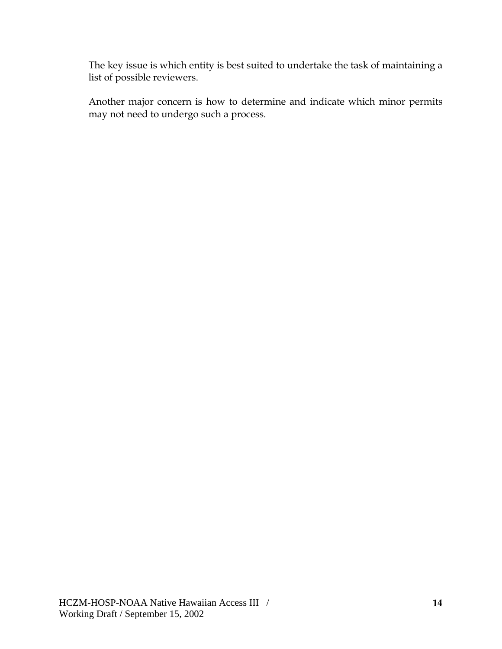The key issue is which entity is best suited to undertake the task of maintaining a list of possible reviewers.

Another major concern is how to determine and indicate which minor permits may not need to undergo such a process.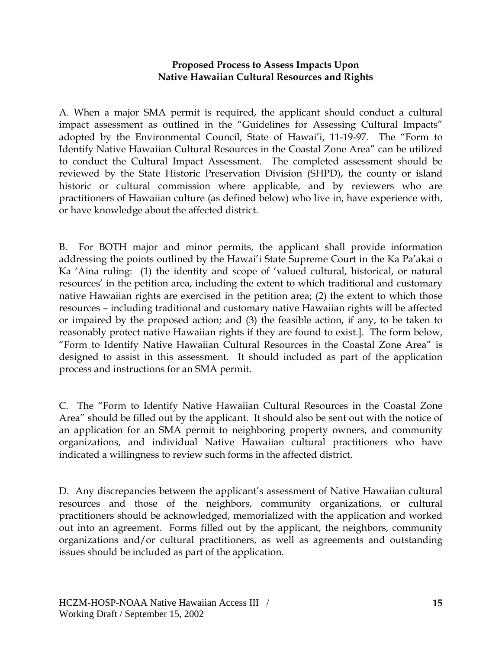#### **Proposed Process to Assess Impacts Upon Native Hawaiian Cultural Resources and Rights**

A. When a major SMA permit is required, the applicant should conduct a cultural impact assessment as outlined in the "Guidelines for Assessing Cultural Impacts" adopted by the Environmental Council, State of Hawai'i, 11-19-97. The "Form to Identify Native Hawaiian Cultural Resources in the Coastal Zone Area" can be utilized to conduct the Cultural Impact Assessment. The completed assessment should be reviewed by the State Historic Preservation Division (SHPD), the county or island historic or cultural commission where applicable, and by reviewers who are practitioners of Hawaiian culture (as defined below) who live in, have experience with, or have knowledge about the affected district.

B. For BOTH major and minor permits, the applicant shall provide information addressing the points outlined by the Hawai'i State Supreme Court in the Ka Pa'akai o Ka 'Aina ruling: (1) the identity and scope of 'valued cultural, historical, or natural resources' in the petition area, including the extent to which traditional and customary native Hawaiian rights are exercised in the petition area; (2) the extent to which those resources – including traditional and customary native Hawaiian rights will be affected or impaired by the proposed action; and (3) the feasible action, if any, to be taken to reasonably protect native Hawaiian rights if they are found to exist.]. The form below, "Form to Identify Native Hawaiian Cultural Resources in the Coastal Zone Area" is designed to assist in this assessment. It should included as part of the application process and instructions for an SMA permit.

C. The "Form to Identify Native Hawaiian Cultural Resources in the Coastal Zone Area" should be filled out by the applicant. It should also be sent out with the notice of an application for an SMA permit to neighboring property owners, and community organizations, and individual Native Hawaiian cultural practitioners who have indicated a willingness to review such forms in the affected district.

D. Any discrepancies between the applicant's assessment of Native Hawaiian cultural resources and those of the neighbors, community organizations, or cultural practitioners should be acknowledged, memorialized with the application and worked out into an agreement. Forms filled out by the applicant, the neighbors, community organizations and/or cultural practitioners, as well as agreements and outstanding issues should be included as part of the application.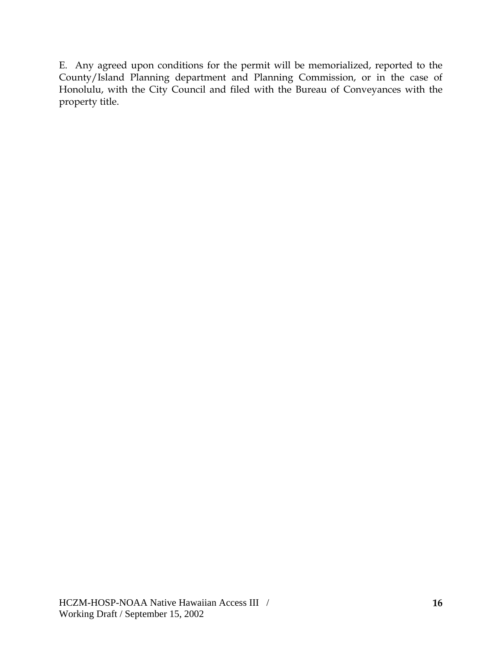E. Any agreed upon conditions for the permit will be memorialized, reported to the County/Island Planning department and Planning Commission, or in the case of Honolulu, with the City Council and filed with the Bureau of Conveyances with the property title.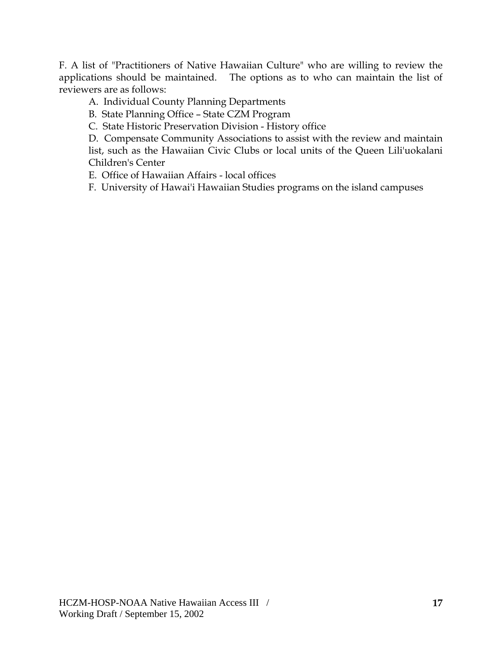F. A list of "Practitioners of Native Hawaiian Culture" who are willing to review the applications should be maintained. The options as to who can maintain the list of reviewers are as follows:

A. Individual County Planning Departments

B. State Planning Office – State CZM Program

C. State Historic Preservation Division - History office

D. Compensate Community Associations to assist with the review and maintain list, such as the Hawaiian Civic Clubs or local units of the Queen Lili'uokalani Children's Center

E. Office of Hawaiian Affairs - local offices

F. University of Hawai'i Hawaiian Studies programs on the island campuses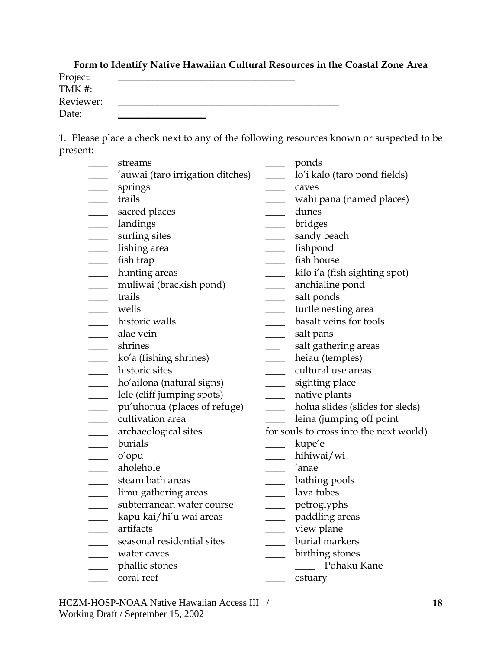|           | Form to Identify Native Hawaiian Cultural Resources in the Coastal Zone Area |
|-----------|------------------------------------------------------------------------------|
| Project:  |                                                                              |
| TMK $#$ : |                                                                              |
| Reviewer: |                                                                              |
| Date:     |                                                                              |

1. Please place a check next to any of the following resources known or suspected to be present:

|                            | streams                          |                                                                                                                                                                                                                                                                                                                                                                                                                                                                            | ponds                                   |
|----------------------------|----------------------------------|----------------------------------------------------------------------------------------------------------------------------------------------------------------------------------------------------------------------------------------------------------------------------------------------------------------------------------------------------------------------------------------------------------------------------------------------------------------------------|-----------------------------------------|
|                            | 'auwai (taro irrigation ditches) |                                                                                                                                                                                                                                                                                                                                                                                                                                                                            | lo'i kalo (taro pond fields)            |
|                            | springs                          |                                                                                                                                                                                                                                                                                                                                                                                                                                                                            | caves                                   |
|                            | trails                           |                                                                                                                                                                                                                                                                                                                                                                                                                                                                            | wahi pana (named places)                |
|                            | sacred places                    |                                                                                                                                                                                                                                                                                                                                                                                                                                                                            | dunes                                   |
|                            | landings                         |                                                                                                                                                                                                                                                                                                                                                                                                                                                                            | bridges                                 |
| $\overline{\phantom{a}}$   | surfing sites                    | $\frac{1}{2} \left( \frac{1}{2} \right) \left( \frac{1}{2} \right) \left( \frac{1}{2} \right) \left( \frac{1}{2} \right) \left( \frac{1}{2} \right) \left( \frac{1}{2} \right) \left( \frac{1}{2} \right) \left( \frac{1}{2} \right) \left( \frac{1}{2} \right) \left( \frac{1}{2} \right) \left( \frac{1}{2} \right) \left( \frac{1}{2} \right) \left( \frac{1}{2} \right) \left( \frac{1}{2} \right) \left( \frac{1}{2} \right) \left( \frac{1}{2} \right) \left( \frac$ | sandy beach                             |
| $\mathbb{R}^n$             | fishing area                     | $\overline{\phantom{a}}$                                                                                                                                                                                                                                                                                                                                                                                                                                                   | fishpond                                |
| $\mathcal{L}_{\text{max}}$ | fish trap                        | $\mathbb{R}^2$                                                                                                                                                                                                                                                                                                                                                                                                                                                             | fish house                              |
| $\sim$                     | hunting areas                    |                                                                                                                                                                                                                                                                                                                                                                                                                                                                            | kilo i'a (fish sighting spot)           |
|                            | muliwai (brackish pond)          | $\mathcal{L}(\mathcal{L})$                                                                                                                                                                                                                                                                                                                                                                                                                                                 | anchialine pond                         |
|                            | trails                           | $\mathcal{L}^{\mathcal{L}}$                                                                                                                                                                                                                                                                                                                                                                                                                                                | salt ponds                              |
|                            | wells                            |                                                                                                                                                                                                                                                                                                                                                                                                                                                                            | turtle nesting area                     |
| $\mathbb{R}^2$             | historic walls                   | $\overline{\phantom{a}}$                                                                                                                                                                                                                                                                                                                                                                                                                                                   | basalt veins for tools                  |
|                            | alae vein                        |                                                                                                                                                                                                                                                                                                                                                                                                                                                                            | salt pans                               |
| $\overline{\phantom{a}}$   | shrines                          | $\overline{\phantom{a}}$                                                                                                                                                                                                                                                                                                                                                                                                                                                   | salt gathering areas                    |
| $\overline{\phantom{a}}$   | ko'a (fishing shrines)           | $\overline{\phantom{a}}$                                                                                                                                                                                                                                                                                                                                                                                                                                                   | heiau (temples)                         |
| $\overline{\phantom{a}}$   | historic sites                   | $\mathcal{L}^{\mathcal{L}}$                                                                                                                                                                                                                                                                                                                                                                                                                                                | cultural use areas                      |
| $\overline{\phantom{a}}$   | ho'ailona (natural signs)        | $\overline{\phantom{a}}$                                                                                                                                                                                                                                                                                                                                                                                                                                                   | sighting place                          |
|                            | lele (cliff jumping spots)       |                                                                                                                                                                                                                                                                                                                                                                                                                                                                            | native plants                           |
| $\mathcal{L}(\mathcal{L})$ | pu'uhonua (places of refuge)     | $\mathbb{R}^n$                                                                                                                                                                                                                                                                                                                                                                                                                                                             | holua slides (slides for sleds)         |
| $\overline{\phantom{a}}$   | cultivation area                 |                                                                                                                                                                                                                                                                                                                                                                                                                                                                            | leina (jumping off point                |
| $\overline{\phantom{a}}$   | archaeological sites             |                                                                                                                                                                                                                                                                                                                                                                                                                                                                            | for souls to cross into the next world) |
| $\overline{\phantom{a}}$   | burials                          | $\mathcal{L}_{\mathcal{L}}$                                                                                                                                                                                                                                                                                                                                                                                                                                                | kupe'e                                  |
|                            | o'opu                            |                                                                                                                                                                                                                                                                                                                                                                                                                                                                            | hihiwai/wi                              |
|                            | aholehole                        |                                                                                                                                                                                                                                                                                                                                                                                                                                                                            | 'anae                                   |
|                            | steam bath areas                 |                                                                                                                                                                                                                                                                                                                                                                                                                                                                            | bathing pools                           |
|                            | limu gathering areas             | $\mathcal{L}^{\text{max}}$                                                                                                                                                                                                                                                                                                                                                                                                                                                 | lava tubes                              |
|                            | subterranean water course        |                                                                                                                                                                                                                                                                                                                                                                                                                                                                            | petroglyphs                             |
|                            | kapu kai/hi'u wai areas          | $\overline{\phantom{a}}$                                                                                                                                                                                                                                                                                                                                                                                                                                                   | paddling areas                          |
| $\sim$ 100 $\mu$           | artifacts                        | $\overline{\phantom{a}}$                                                                                                                                                                                                                                                                                                                                                                                                                                                   | view plane                              |
|                            | seasonal residential sites       |                                                                                                                                                                                                                                                                                                                                                                                                                                                                            | burial markers                          |
|                            | water caves                      |                                                                                                                                                                                                                                                                                                                                                                                                                                                                            | birthing stones                         |
|                            | _____ phallic stones             |                                                                                                                                                                                                                                                                                                                                                                                                                                                                            | Pohaku Kane                             |
|                            | coral reef                       |                                                                                                                                                                                                                                                                                                                                                                                                                                                                            | estuary                                 |
|                            |                                  |                                                                                                                                                                                                                                                                                                                                                                                                                                                                            |                                         |

HCZM-HOSP-NOAA Native Hawaiian Access III / Working Draft / September 15, 2002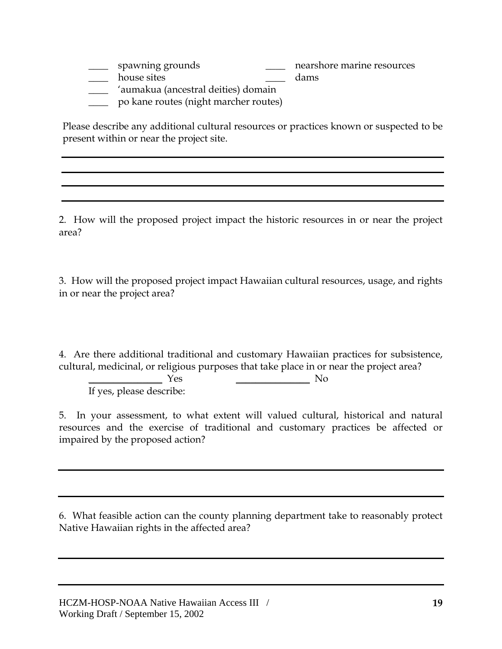| spawning grounds                    | nearshore marine resources |
|-------------------------------------|----------------------------|
| house sites                         | dams.                      |
| 'aumakua (ancestral deities) domain |                            |

\_\_\_\_ po kane routes (night marcher routes)

Please describe any additional cultural resources or practices known or suspected to be present within or near the project site.

2. How will the proposed project impact the historic resources in or near the project area?

3. How will the proposed project impact Hawaiian cultural resources, usage, and rights in or near the project area?

4. Are there additional traditional and customary Hawaiian practices for subsistence, cultural, medicinal, or religious purposes that take place in or near the project area?

\_\_\_\_\_\_\_\_\_\_\_\_\_\_\_ Yes \_\_\_\_\_\_\_\_\_\_\_\_\_\_\_ No If yes, please describe:

5. In your assessment, to what extent will valued cultural, historical and natural resources and the exercise of traditional and customary practices be affected or impaired by the proposed action?

6. What feasible action can the county planning department take to reasonably protect Native Hawaiian rights in the affected area?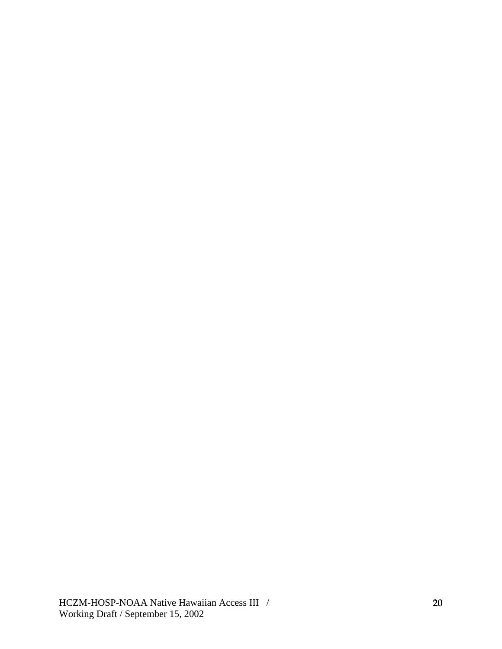HCZM-HOSP-NOAA Native Hawaiian Access III / Working Draft / September 15, 2002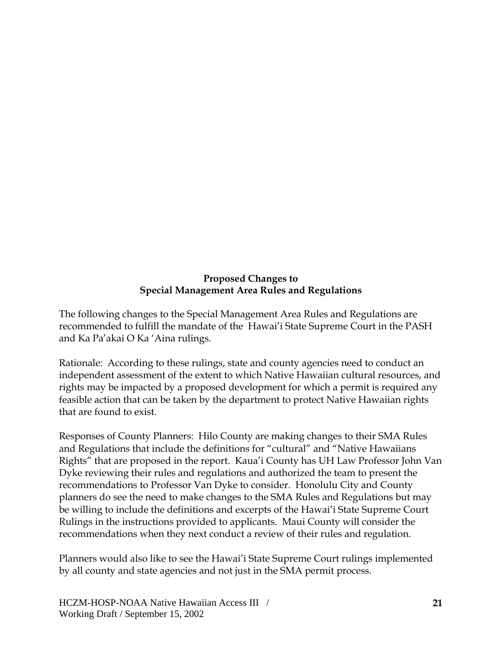## **Proposed Changes to Special Management Area Rules and Regulations**

The following changes to the Special Management Area Rules and Regulations are recommended to fulfill the mandate of the Hawai'i State Supreme Court in the PASH and Ka Pa'akai O Ka 'Aina rulings.

Rationale: According to these rulings, state and county agencies need to conduct an independent assessment of the extent to which Native Hawaiian cultural resources, and rights may be impacted by a proposed development for which a permit is required any feasible action that can be taken by the department to protect Native Hawaiian rights that are found to exist.

Responses of County Planners: Hilo County are making changes to their SMA Rules and Regulations that include the definitions for "cultural" and "Native Hawaiians Rights" that are proposed in the report. Kaua'i County has UH Law Professor John Van Dyke reviewing their rules and regulations and authorized the team to present the recommendations to Professor Van Dyke to consider. Honolulu City and County planners do see the need to make changes to the SMA Rules and Regulations but may be willing to include the definitions and excerpts of the Hawai'i State Supreme Court Rulings in the instructions provided to applicants. Maui County will consider the recommendations when they next conduct a review of their rules and regulation.

Planners would also like to see the Hawai'i State Supreme Court rulings implemented by all county and state agencies and not just in the SMA permit process.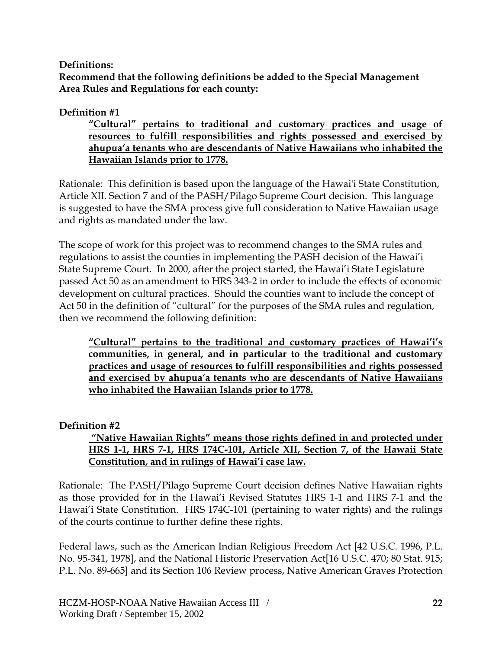#### **Definitions:**

**Recommend that the following definitions be added to the Special Management Area Rules and Regulations for each county:** 

#### **Definition #1**

**"Cultural" pertains to traditional and customary practices and usage of resources to fulfill responsibilities and rights possessed and exercised by ahupua'a tenants who are descendants of Native Hawaiians who inhabited the Hawaiian Islands prior to 1778.**

Rationale: This definition is based upon the language of the Hawai'i State Constitution, Article XII. Section 7 and of the PASH/Pilago Supreme Court decision. This language is suggested to have the SMA process give full consideration to Native Hawaiian usage and rights as mandated under the law.

The scope of work for this project was to recommend changes to the SMA rules and regulations to assist the counties in implementing the PASH decision of the Hawai'i State Supreme Court. In 2000, after the project started, the Hawai'i State Legislature passed Act 50 as an amendment to HRS 343-2 in order to include the effects of economic development on cultural practices. Should the counties want to include the concept of Act 50 in the definition of "cultural" for the purposes of the SMA rules and regulation, then we recommend the following definition:

**"Cultural" pertains to the traditional and customary practices of Hawai'i's communities, in general, and in particular to the traditional and customary practices and usage of resources to fulfill responsibilities and rights possessed and exercised by ahupua'a tenants who are descendants of Native Hawaiians who inhabited the Hawaiian Islands prior to 1778.**

#### **Definition #2**

#### **"Native Hawaiian Rights" means those rights defined in and protected under HRS 1-1, HRS 7-1, HRS 174C-101, Article XII, Section 7, of the Hawaii State Constitution, and in rulings of Hawai'i case law.**

Rationale: The PASH/Pilago Supreme Court decision defines Native Hawaiian rights as those provided for in the Hawai'i Revised Statutes HRS 1-1 and HRS 7-1 and the Hawai'i State Constitution. HRS 174C-101 (pertaining to water rights) and the rulings of the courts continue to further define these rights.

Federal laws, such as the American Indian Religious Freedom Act [42 U.S.C. 1996, P.L. No. 95-341, 1978], and the National Historic Preservation Act[16 U.S.C. 470; 80 Stat. 915; P.L. No. 89-665] and its Section 106 Review process, Native American Graves Protection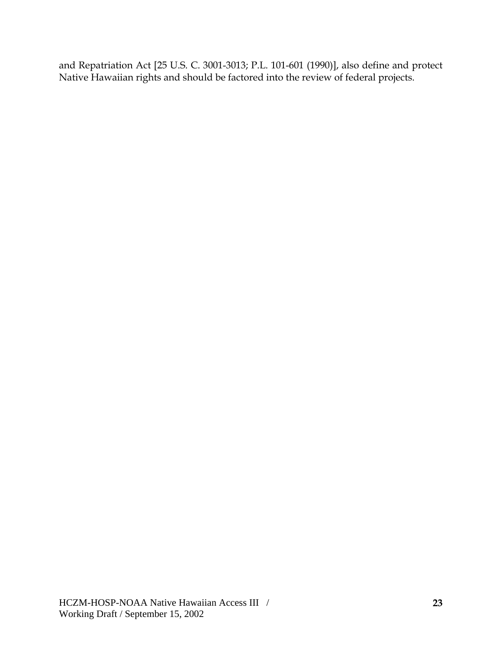and Repatriation Act [25 U.S. C. 3001-3013; P.L. 101-601 (1990)], also define and protect Native Hawaiian rights and should be factored into the review of federal projects.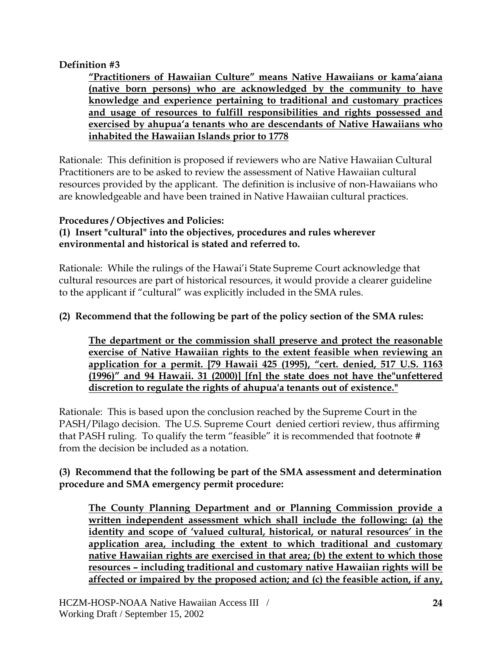#### **Definition #3**

**"Practitioners of Hawaiian Culture" means Native Hawaiians or kama'aiana (native born persons) who are acknowledged by the community to have knowledge and experience pertaining to traditional and customary practices and usage of resources to fulfill responsibilities and rights possessed and exercised by ahupua'a tenants who are descendants of Native Hawaiians who inhabited the Hawaiian Islands prior to 1778**

Rationale: This definition is proposed if reviewers who are Native Hawaiian Cultural Practitioners are to be asked to review the assessment of Native Hawaiian cultural resources provided by the applicant. The definition is inclusive of non-Hawaiians who are knowledgeable and have been trained in Native Hawaiian cultural practices.

#### **Procedures / Objectives and Policies:**

#### **(1) Insert "cultural" into the objectives, procedures and rules wherever environmental and historical is stated and referred to.**

Rationale: While the rulings of the Hawai'i State Supreme Court acknowledge that cultural resources are part of historical resources, it would provide a clearer guideline to the applicant if "cultural" was explicitly included in the SMA rules.

#### **(2) Recommend that the following be part of the policy section of the SMA rules:**

**The department or the commission shall preserve and protect the reasonable exercise of Native Hawaiian rights to the extent feasible when reviewing an application for a permit. [79 Hawaii 425 (1995), "cert. denied, 517 U.S. 1163 (1996)" and 94 Hawaii. 31 (2000)] [fn] the state does not have the"unfettered discretion to regulate the rights of ahupua'a tenants out of existence."**

Rationale: This is based upon the conclusion reached by the Supreme Court in the PASH/Pilago decision. The U.S. Supreme Court denied certiori review, thus affirming that PASH ruling. To qualify the term "feasible" it is recommended that footnote # from the decision be included as a notation.

#### **(3) Recommend that the following be part of the SMA assessment and determination procedure and SMA emergency permit procedure:**

**The County Planning Department and or Planning Commission provide a written independent assessment which shall include the following: (a) the identity and scope of 'valued cultural, historical, or natural resources' in the application area, including the extent to which traditional and customary native Hawaiian rights are exercised in that area; (b) the extent to which those resources – including traditional and customary native Hawaiian rights will be affected or impaired by the proposed action; and (c) the feasible action, if any,**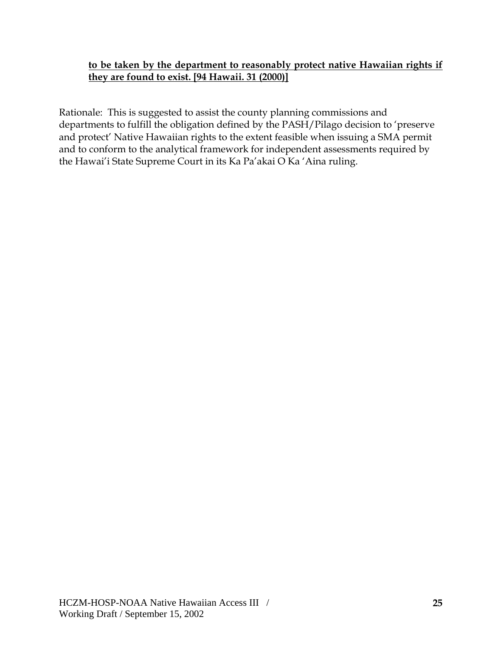#### **to be taken by the department to reasonably protect native Hawaiian rights if they are found to exist. [94 Hawaii. 31 (2000)]**

Rationale: This is suggested to assist the county planning commissions and departments to fulfill the obligation defined by the PASH/Pilago decision to 'preserve and protect' Native Hawaiian rights to the extent feasible when issuing a SMA permit and to conform to the analytical framework for independent assessments required by the Hawai'i State Supreme Court in its Ka Pa'akai O Ka 'Aina ruling.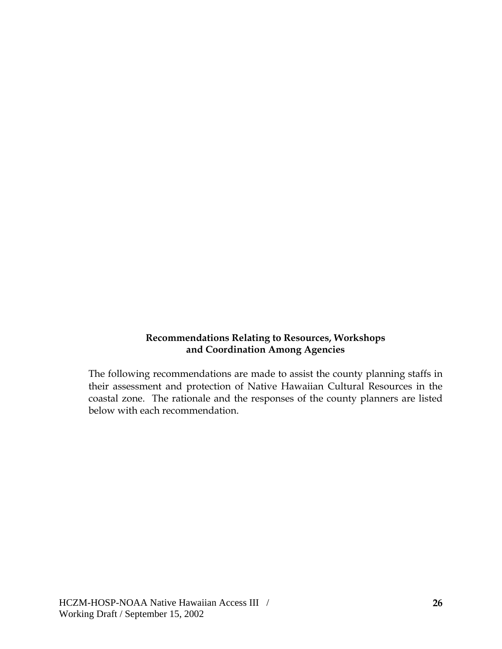#### **Recommendations Relating to Resources, Workshops and Coordination Among Agencies**

The following recommendations are made to assist the county planning staffs in their assessment and protection of Native Hawaiian Cultural Resources in the coastal zone. The rationale and the responses of the county planners are listed below with each recommendation.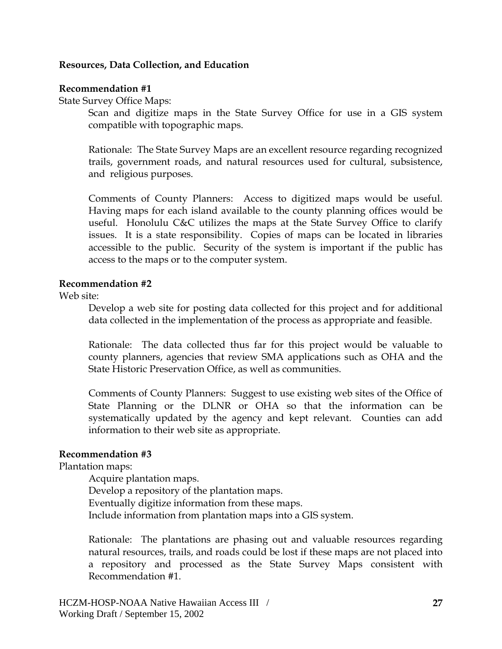#### **Resources, Data Collection, and Education**

#### **Recommendation #1**

State Survey Office Maps:

Scan and digitize maps in the State Survey Office for use in a GIS system compatible with topographic maps.

Rationale: The State Survey Maps are an excellent resource regarding recognized trails, government roads, and natural resources used for cultural, subsistence, and religious purposes.

Comments of County Planners: Access to digitized maps would be useful. Having maps for each island available to the county planning offices would be useful. Honolulu C&C utilizes the maps at the State Survey Office to clarify issues. It is a state responsibility. Copies of maps can be located in libraries accessible to the public. Security of the system is important if the public has access to the maps or to the computer system.

#### **Recommendation #2**

Web site:

Develop a web site for posting data collected for this project and for additional data collected in the implementation of the process as appropriate and feasible.

Rationale: The data collected thus far for this project would be valuable to county planners, agencies that review SMA applications such as OHA and the State Historic Preservation Office, as well as communities.

Comments of County Planners: Suggest to use existing web sites of the Office of State Planning or the DLNR or OHA so that the information can be systematically updated by the agency and kept relevant. Counties can add information to their web site as appropriate.

#### **Recommendation #3**

Plantation maps:

Acquire plantation maps. Develop a repository of the plantation maps. Eventually digitize information from these maps. Include information from plantation maps into a GIS system.

Rationale: The plantations are phasing out and valuable resources regarding natural resources, trails, and roads could be lost if these maps are not placed into a repository and processed as the State Survey Maps consistent with Recommendation #1.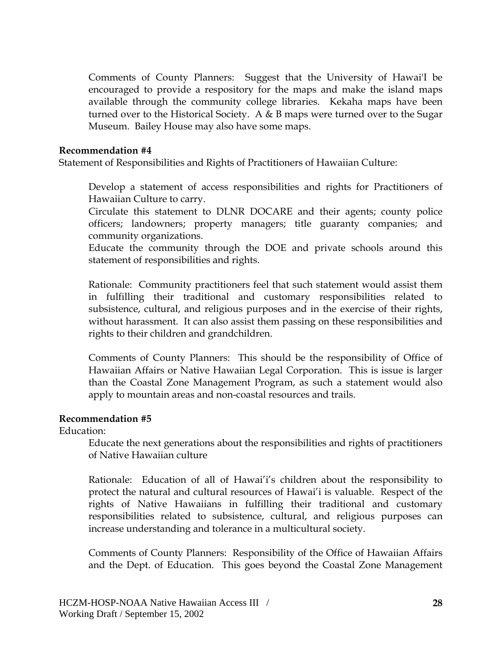Comments of County Planners: Suggest that the University of Hawai'I be encouraged to provide a respository for the maps and make the island maps available through the community college libraries. Kekaha maps have been turned over to the Historical Society. A & B maps were turned over to the Sugar Museum. Bailey House may also have some maps.

#### **Recommendation #4**

Statement of Responsibilities and Rights of Practitioners of Hawaiian Culture:

Develop a statement of access responsibilities and rights for Practitioners of Hawaiian Culture to carry.

Circulate this statement to DLNR DOCARE and their agents; county police officers; landowners; property managers; title guaranty companies; and community organizations.

Educate the community through the DOE and private schools around this statement of responsibilities and rights.

Rationale: Community practitioners feel that such statement would assist them in fulfilling their traditional and customary responsibilities related to subsistence, cultural, and religious purposes and in the exercise of their rights, without harassment. It can also assist them passing on these responsibilities and rights to their children and grandchildren.

Comments of County Planners: This should be the responsibility of Office of Hawaiian Affairs or Native Hawaiian Legal Corporation. This is issue is larger than the Coastal Zone Management Program, as such a statement would also apply to mountain areas and non-coastal resources and trails.

#### **Recommendation #5**

Education:

Educate the next generations about the responsibilities and rights of practitioners of Native Hawaiian culture

Rationale: Education of all of Hawai'i's children about the responsibility to protect the natural and cultural resources of Hawai'i is valuable. Respect of the rights of Native Hawaiians in fulfilling their traditional and customary responsibilities related to subsistence, cultural, and religious purposes can increase understanding and tolerance in a multicultural society.

Comments of County Planners: Responsibility of the Office of Hawaiian Affairs and the Dept. of Education. This goes beyond the Coastal Zone Management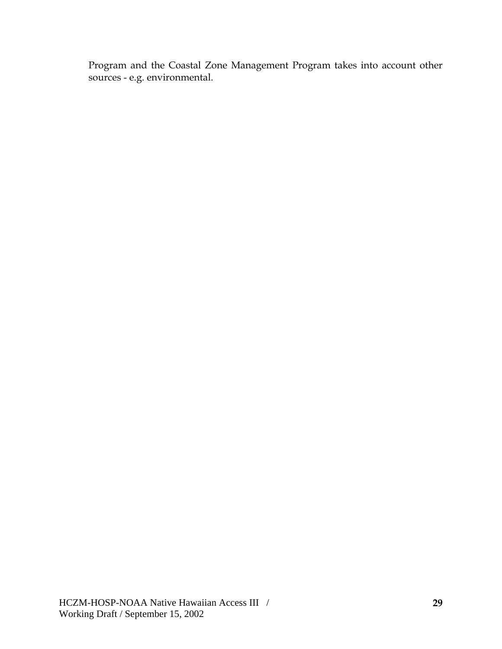Program and the Coastal Zone Management Program takes into account other sources - e.g. environmental.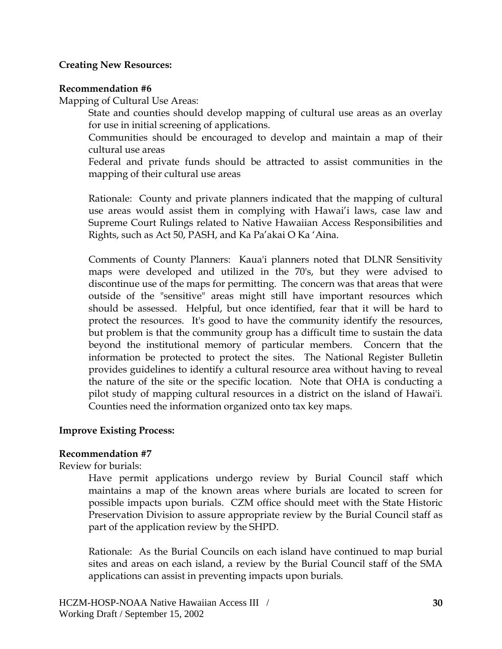#### **Creating New Resources:**

#### **Recommendation #6**

Mapping of Cultural Use Areas:

State and counties should develop mapping of cultural use areas as an overlay for use in initial screening of applications.

Communities should be encouraged to develop and maintain a map of their cultural use areas

Federal and private funds should be attracted to assist communities in the mapping of their cultural use areas

Rationale: County and private planners indicated that the mapping of cultural use areas would assist them in complying with Hawai'i laws, case law and Supreme Court Rulings related to Native Hawaiian Access Responsibilities and Rights, such as Act 50, PASH, and Ka Pa'akai O Ka 'Aina.

Comments of County Planners: Kaua'i planners noted that DLNR Sensitivity maps were developed and utilized in the 70's, but they were advised to discontinue use of the maps for permitting. The concern was that areas that were outside of the "sensitive" areas might still have important resources which should be assessed. Helpful, but once identified, fear that it will be hard to protect the resources. It's good to have the community identify the resources, but problem is that the community group has a difficult time to sustain the data beyond the institutional memory of particular members. Concern that the information be protected to protect the sites. The National Register Bulletin provides guidelines to identify a cultural resource area without having to reveal the nature of the site or the specific location. Note that OHA is conducting a pilot study of mapping cultural resources in a district on the island of Hawai'i. Counties need the information organized onto tax key maps.

#### **Improve Existing Process:**

#### **Recommendation #7**

Review for burials:

Have permit applications undergo review by Burial Council staff which maintains a map of the known areas where burials are located to screen for possible impacts upon burials. CZM office should meet with the State Historic Preservation Division to assure appropriate review by the Burial Council staff as part of the application review by the SHPD.

Rationale: As the Burial Councils on each island have continued to map burial sites and areas on each island, a review by the Burial Council staff of the SMA applications can assist in preventing impacts upon burials.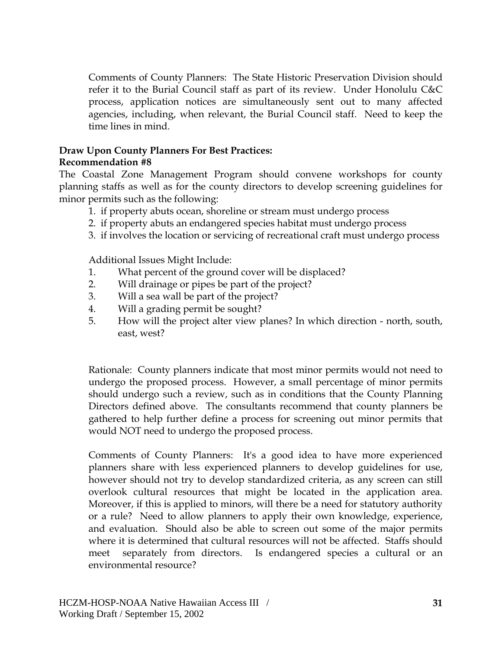Comments of County Planners: The State Historic Preservation Division should refer it to the Burial Council staff as part of its review. Under Honolulu C&C process, application notices are simultaneously sent out to many affected agencies, including, when relevant, the Burial Council staff. Need to keep the time lines in mind.

## **Draw Upon County Planners For Best Practices:**

#### **Recommendation #8**

The Coastal Zone Management Program should convene workshops for county planning staffs as well as for the county directors to develop screening guidelines for minor permits such as the following:

- 1. if property abuts ocean, shoreline or stream must undergo process
- 2. if property abuts an endangered species habitat must undergo process
- 3. if involves the location or servicing of recreational craft must undergo process

Additional Issues Might Include:

- 1. What percent of the ground cover will be displaced?
- 2. Will drainage or pipes be part of the project?
- 3. Will a sea wall be part of the project?
- 4. Will a grading permit be sought?
- 5. How will the project alter view planes? In which direction north, south, east, west?

Rationale: County planners indicate that most minor permits would not need to undergo the proposed process. However, a small percentage of minor permits should undergo such a review, such as in conditions that the County Planning Directors defined above. The consultants recommend that county planners be gathered to help further define a process for screening out minor permits that would NOT need to undergo the proposed process.

Comments of County Planners: It's a good idea to have more experienced planners share with less experienced planners to develop guidelines for use, however should not try to develop standardized criteria, as any screen can still overlook cultural resources that might be located in the application area. Moreover, if this is applied to minors, will there be a need for statutory authority or a rule? Need to allow planners to apply their own knowledge, experience, and evaluation. Should also be able to screen out some of the major permits where it is determined that cultural resources will not be affected. Staffs should meet separately from directors. Is endangered species a cultural or an environmental resource?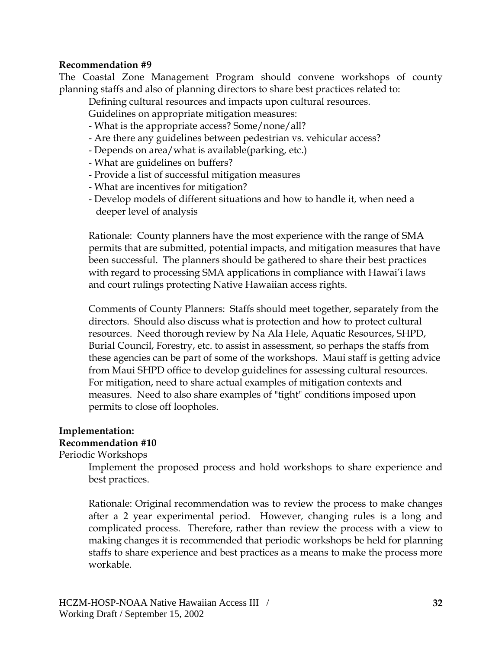#### **Recommendation #9**

The Coastal Zone Management Program should convene workshops of county planning staffs and also of planning directors to share best practices related to:

Defining cultural resources and impacts upon cultural resources.

Guidelines on appropriate mitigation measures:

- What is the appropriate access? Some/none/all?
- Are there any guidelines between pedestrian vs. vehicular access?
- Depends on area/what is available(parking, etc.)
- What are guidelines on buffers?
- Provide a list of successful mitigation measures
- What are incentives for mitigation?
- Develop models of different situations and how to handle it, when need a deeper level of analysis

Rationale: County planners have the most experience with the range of SMA permits that are submitted, potential impacts, and mitigation measures that have been successful. The planners should be gathered to share their best practices with regard to processing SMA applications in compliance with Hawai'i laws and court rulings protecting Native Hawaiian access rights.

Comments of County Planners: Staffs should meet together, separately from the directors. Should also discuss what is protection and how to protect cultural resources. Need thorough review by Na Ala Hele, Aquatic Resources, SHPD, Burial Council, Forestry, etc. to assist in assessment, so perhaps the staffs from these agencies can be part of some of the workshops. Maui staff is getting advice from Maui SHPD office to develop guidelines for assessing cultural resources. For mitigation, need to share actual examples of mitigation contexts and measures. Need to also share examples of "tight" conditions imposed upon permits to close off loopholes.

## **Implementation: Recommendation #10**

Periodic Workshops

Implement the proposed process and hold workshops to share experience and best practices.

Rationale: Original recommendation was to review the process to make changes after a 2 year experimental period. However, changing rules is a long and complicated process. Therefore, rather than review the process with a view to making changes it is recommended that periodic workshops be held for planning staffs to share experience and best practices as a means to make the process more workable.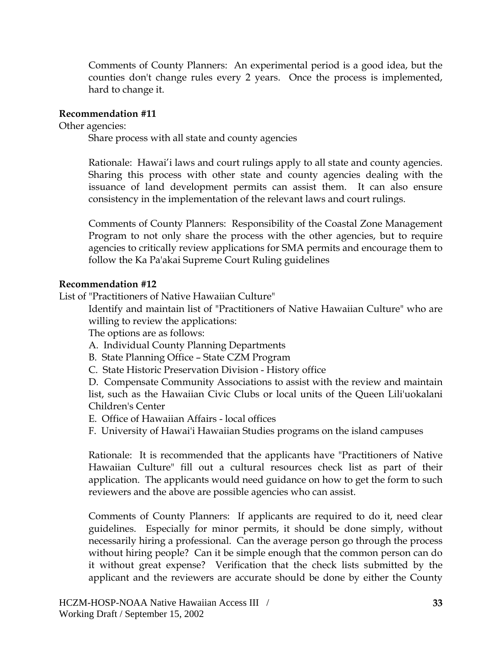Comments of County Planners: An experimental period is a good idea, but the counties don't change rules every 2 years. Once the process is implemented, hard to change it.

#### **Recommendation #11**

Other agencies:

Share process with all state and county agencies

Rationale: Hawai'i laws and court rulings apply to all state and county agencies. Sharing this process with other state and county agencies dealing with the issuance of land development permits can assist them. It can also ensure consistency in the implementation of the relevant laws and court rulings.

Comments of County Planners: Responsibility of the Coastal Zone Management Program to not only share the process with the other agencies, but to require agencies to critically review applications for SMA permits and encourage them to follow the Ka Pa'akai Supreme Court Ruling guidelines

#### **Recommendation #12**

List of "Practitioners of Native Hawaiian Culture"

Identify and maintain list of "Practitioners of Native Hawaiian Culture" who are willing to review the applications:

The options are as follows:

- A. Individual County Planning Departments
- B. State Planning Office State CZM Program
- C. State Historic Preservation Division History office

D. Compensate Community Associations to assist with the review and maintain list, such as the Hawaiian Civic Clubs or local units of the Queen Lili'uokalani Children's Center

- E. Office of Hawaiian Affairs local offices
- F. University of Hawai'i Hawaiian Studies programs on the island campuses

Rationale: It is recommended that the applicants have "Practitioners of Native Hawaiian Culture" fill out a cultural resources check list as part of their application. The applicants would need guidance on how to get the form to such reviewers and the above are possible agencies who can assist.

Comments of County Planners: If applicants are required to do it, need clear guidelines. Especially for minor permits, it should be done simply, without necessarily hiring a professional. Can the average person go through the process without hiring people? Can it be simple enough that the common person can do it without great expense? Verification that the check lists submitted by the applicant and the reviewers are accurate should be done by either the County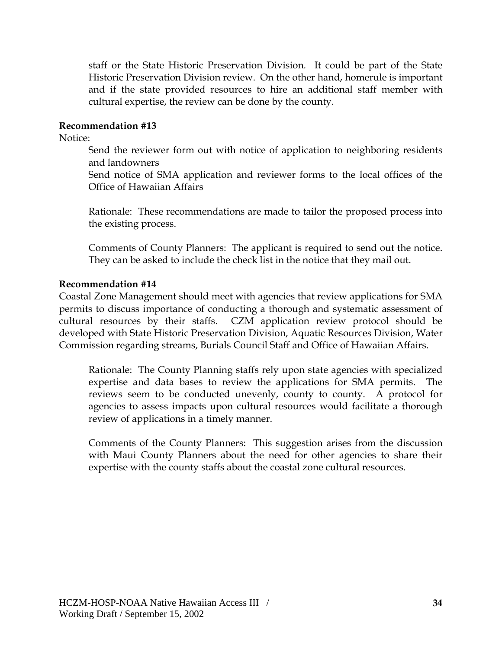staff or the State Historic Preservation Division. It could be part of the State Historic Preservation Division review. On the other hand, homerule is important and if the state provided resources to hire an additional staff member with cultural expertise, the review can be done by the county.

#### **Recommendation #13**

Notice:

Send the reviewer form out with notice of application to neighboring residents and landowners

Send notice of SMA application and reviewer forms to the local offices of the Office of Hawaiian Affairs

Rationale: These recommendations are made to tailor the proposed process into the existing process.

Comments of County Planners: The applicant is required to send out the notice. They can be asked to include the check list in the notice that they mail out.

#### **Recommendation #14**

Coastal Zone Management should meet with agencies that review applications for SMA permits to discuss importance of conducting a thorough and systematic assessment of cultural resources by their staffs. CZM application review protocol should be developed with State Historic Preservation Division, Aquatic Resources Division, Water Commission regarding streams, Burials Council Staff and Office of Hawaiian Affairs.

Rationale: The County Planning staffs rely upon state agencies with specialized expertise and data bases to review the applications for SMA permits. The reviews seem to be conducted unevenly, county to county. A protocol for agencies to assess impacts upon cultural resources would facilitate a thorough review of applications in a timely manner.

Comments of the County Planners: This suggestion arises from the discussion with Maui County Planners about the need for other agencies to share their expertise with the county staffs about the coastal zone cultural resources.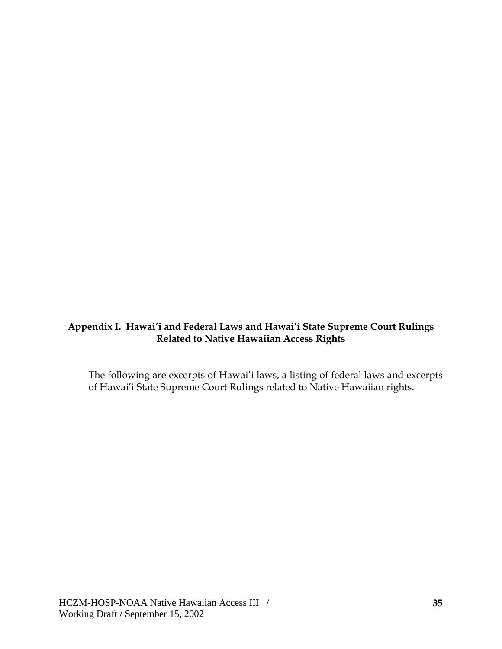#### **Appendix I. Hawai'i and Federal Laws and Hawai'i State Supreme Court Rulings Related to Native Hawaiian Access Rights**

The following are excerpts of Hawai'i laws, a listing of federal laws and excerpts of Hawai'i State Supreme Court Rulings related to Native Hawaiian rights.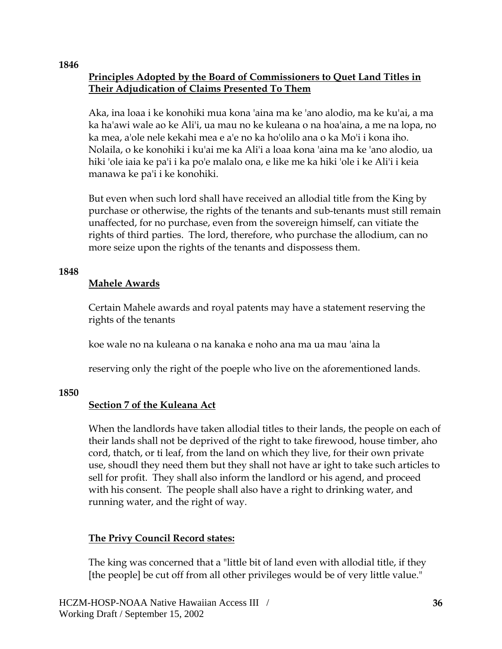#### **1846**

## **Principles Adopted by the Board of Commissioners to Quet Land Titles in Their Adjudication of Claims Presented To Them**

Aka, ina loaa i ke konohiki mua kona 'aina ma ke 'ano alodio, ma ke ku'ai, a ma ka ha'awi wale ao ke Ali'i, ua mau no ke kuleana o na hoa'aina, a me na lopa, no ka mea, a'ole nele kekahi mea e a'e no ka ho'olilo ana o ka Mo'i i kona iho. Nolaila, o ke konohiki i ku'ai me ka Ali'i a loaa kona 'aina ma ke 'ano alodio, ua hiki 'ole iaia ke pa'i i ka po'e malalo ona, e like me ka hiki 'ole i ke Ali'i i keia manawa ke pa'i i ke konohiki.

But even when such lord shall have received an allodial title from the King by purchase or otherwise, the rights of the tenants and sub-tenants must still remain unaffected, for no purchase, even from the sovereign himself, can vitiate the rights of third parties. The lord, therefore, who purchase the allodium, can no more seize upon the rights of the tenants and dispossess them.

#### **1848**

#### **Mahele Awards**

Certain Mahele awards and royal patents may have a statement reserving the rights of the tenants

koe wale no na kuleana o na kanaka e noho ana ma ua mau 'aina la

reserving only the right of the poeple who live on the aforementioned lands.

#### **1850**

## **Section 7 of the Kuleana Act**

When the landlords have taken allodial titles to their lands, the people on each of their lands shall not be deprived of the right to take firewood, house timber, aho cord, thatch, or ti leaf, from the land on which they live, for their own private use, shoudl they need them but they shall not have ar ight to take such articles to sell for profit. They shall also inform the landlord or his agend, and proceed with his consent. The people shall also have a right to drinking water, and running water, and the right of way.

## **The Privy Council Record states:**

The king was concerned that a "little bit of land even with allodial title, if they [the people] be cut off from all other privileges would be of very little value."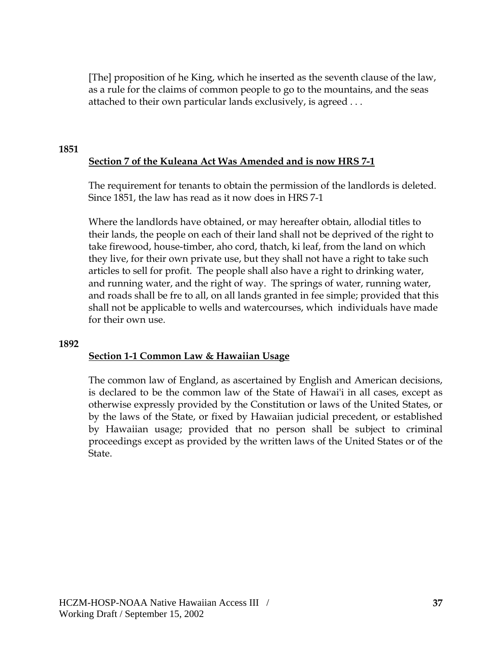[The] proposition of he King, which he inserted as the seventh clause of the law, as a rule for the claims of common people to go to the mountains, and the seas attached to their own particular lands exclusively, is agreed . . .

#### **1851 Section 7 of the Kuleana Act Was Amended and is now HRS 7-1**

The requirement for tenants to obtain the permission of the landlords is deleted. Since 1851, the law has read as it now does in HRS 7-1

Where the landlords have obtained, or may hereafter obtain, allodial titles to their lands, the people on each of their land shall not be deprived of the right to take firewood, house-timber, aho cord, thatch, ki leaf, from the land on which they live, for their own private use, but they shall not have a right to take such articles to sell for profit. The people shall also have a right to drinking water, and running water, and the right of way. The springs of water, running water, and roads shall be fre to all, on all lands granted in fee simple; provided that this shall not be applicable to wells and watercourses, which individuals have made for their own use.

#### **1892**

#### **Section 1-1 Common Law & Hawaiian Usage**

The common law of England, as ascertained by English and American decisions, is declared to be the common law of the State of Hawai'i in all cases, except as otherwise expressly provided by the Constitution or laws of the United States, or by the laws of the State, or fixed by Hawaiian judicial precedent, or established by Hawaiian usage; provided that no person shall be subject to criminal proceedings except as provided by the written laws of the United States or of the State.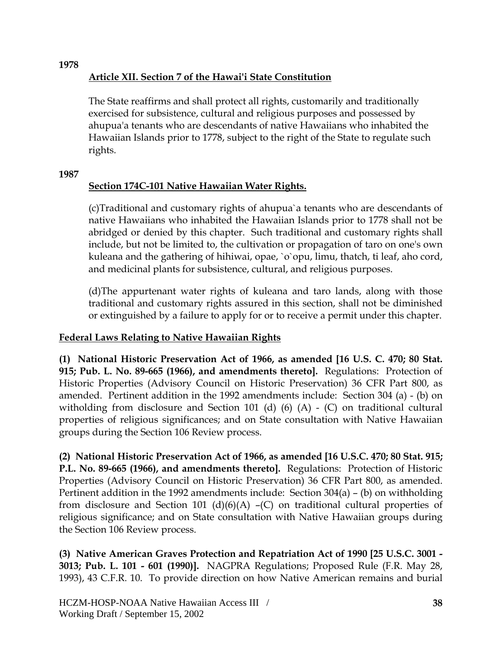# **Article XII. Section 7 of the Hawai'i State Constitution**

The State reaffirms and shall protect all rights, customarily and traditionally exercised for subsistence, cultural and religious purposes and possessed by ahupua'a tenants who are descendants of native Hawaiians who inhabited the Hawaiian Islands prior to 1778, subject to the right of the State to regulate such rights.

**1987** 

# **Section 174C-101 Native Hawaiian Water Rights.**

(c)Traditional and customary rights of ahupua`a tenants who are descendants of native Hawaiians who inhabited the Hawaiian Islands prior to 1778 shall not be abridged or denied by this chapter. Such traditional and customary rights shall include, but not be limited to, the cultivation or propagation of taro on one's own kuleana and the gathering of hihiwai, opae, `o`opu, limu, thatch, ti leaf, aho cord, and medicinal plants for subsistence, cultural, and religious purposes.

(d)The appurtenant water rights of kuleana and taro lands, along with those traditional and customary rights assured in this section, shall not be diminished or extinguished by a failure to apply for or to receive a permit under this chapter.

## **Federal Laws Relating to Native Hawaiian Rights**

**(1) National Historic Preservation Act of 1966, as amended [16 U.S. C. 470; 80 Stat. 915; Pub. L. No. 89-665 (1966), and amendments thereto].** Regulations: Protection of Historic Properties (Advisory Council on Historic Preservation) 36 CFR Part 800, as amended. Pertinent addition in the 1992 amendments include: Section 304 (a) - (b) on witholding from disclosure and Section 101 (d) (6) (A) - (C) on traditional cultural properties of religious significances; and on State consultation with Native Hawaiian groups during the Section 106 Review process.

**(2) National Historic Preservation Act of 1966, as amended [16 U.S.C. 470; 80 Stat. 915; P.L. No. 89-665 (1966), and amendments thereto].** Regulations: Protection of Historic Properties (Advisory Council on Historic Preservation) 36 CFR Part 800, as amended. Pertinent addition in the 1992 amendments include: Section 304(a) – (b) on withholding from disclosure and Section 101 (d)(6)(A)  $-(C)$  on traditional cultural properties of religious significance; and on State consultation with Native Hawaiian groups during the Section 106 Review process.

**(3) Native American Graves Protection and Repatriation Act of 1990 [25 U.S.C. 3001 - 3013; Pub. L. 101 - 601 (1990)].** NAGPRA Regulations; Proposed Rule (F.R. May 28, 1993), 43 C.F.R. 10. To provide direction on how Native American remains and burial

**1978**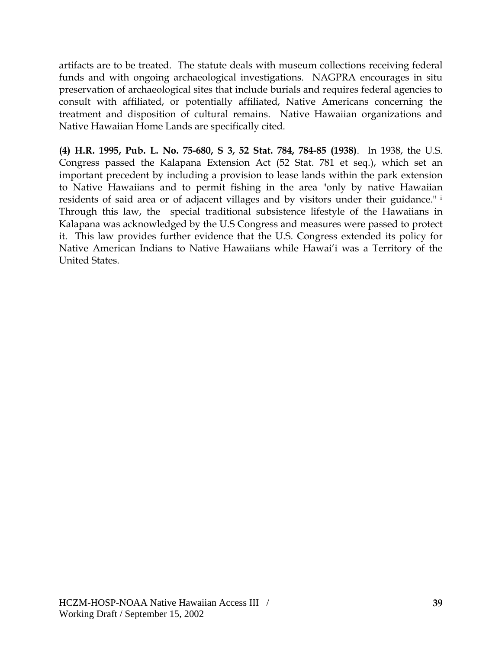artifacts are to be treated. The statute deals with museum collections receiving federal funds and with ongoing archaeological investigations. NAGPRA encourages in situ preservation of archaeological sites that include burials and requires federal agencies to consult with affiliated, or potentially affiliated, Native Americans concerning the treatment and disposition of cultural remains. Native Hawaiian organizations and Native Hawaiian Home Lands are specifically cited.

**(4) H.R. 1995, Pub. L. No. 75-680, S 3, 52 Stat. 784, 784-85 (1938)**. In 1938, the U.S. Congress passed the Kalapana Extension Act (52 Stat. 781 et seq.), which set an important precedent by including a provision to lease lands within the park extension to Native Hawaiians and to permit fishing in the area "only by native Hawaiian residents of said area or of adjacent villages and by visitors under their guidance." [i](#page-127-0) Through this law, the special traditional subsistence lifestyle of the Hawaiians in Kalapana was acknowledged by the U.S Congress and measures were passed to protect it. This law provides further evidence that the U.S. Congress extended its policy for Native American Indians to Native Hawaiians while Hawai'i was a Territory of the United States.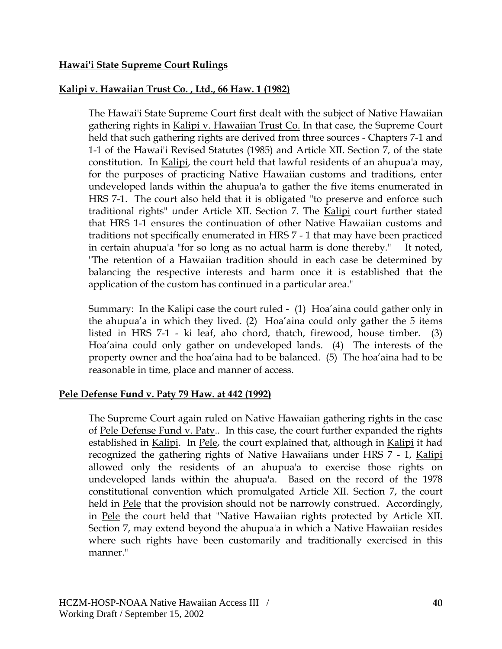#### **Hawai'i State Supreme Court Rulings**

#### **Kalipi v. Hawaiian Trust Co. , Ltd., 66 Haw. 1 (1982)**

The Hawai'i State Supreme Court first dealt with the subject of Native Hawaiian gathering rights in Kalipi v. Hawaiian Trust Co. In that case, the Supreme Court held that such gathering rights are derived from three sources - Chapters 7-1 and 1-1 of the Hawai'i Revised Statutes (1985) and Article XII. Section 7, of the state constitution. In Kalipi, the court held that lawful residents of an ahupua'a may, for the purposes of practicing Native Hawaiian customs and traditions, enter undeveloped lands within the ahupua'a to gather the five items enumerated in HRS 7-1. The court also held that it is obligated "to preserve and enforce such traditional rights" under Article XII. Section 7. The Kalipi court further stated that HRS 1-1 ensures the continuation of other Native Hawaiian customs and traditions not specifically enumerated in HRS 7 - 1 that may have been practiced in certain ahupua'a "for so long as no actual harm is done thereby." It noted, "The retention of a Hawaiian tradition should in each case be determined by balancing the respective interests and harm once it is established that the application of the custom has continued in a particular area."

Summary: In the Kalipi case the court ruled - (1) Hoa'aina could gather only in the ahupua'a in which they lived. (2) Hoa'aina could only gather the 5 items listed in HRS 7-1 - ki leaf, aho chord, thatch, firewood, house timber. (3) Hoa'aina could only gather on undeveloped lands. (4) The interests of the property owner and the hoa'aina had to be balanced. (5) The hoa'aina had to be reasonable in time, place and manner of access.

#### **Pele Defense Fund v. Paty 79 Haw. at 442 (1992)**

The Supreme Court again ruled on Native Hawaiian gathering rights in the case of Pele Defense Fund v. Paty.. In this case, the court further expanded the rights established in Kalipi. In Pele, the court explained that, although in Kalipi it had recognized the gathering rights of Native Hawaiians under HRS 7 - 1, Kalipi allowed only the residents of an ahupua'a to exercise those rights on undeveloped lands within the ahupua'a. Based on the record of the 1978 constitutional convention which promulgated Article XII. Section 7, the court held in Pele that the provision should not be narrowly construed. Accordingly, in Pele the court held that "Native Hawaiian rights protected by Article XII. Section 7, may extend beyond the ahupua'a in which a Native Hawaiian resides where such rights have been customarily and traditionally exercised in this manner<sup>"</sup>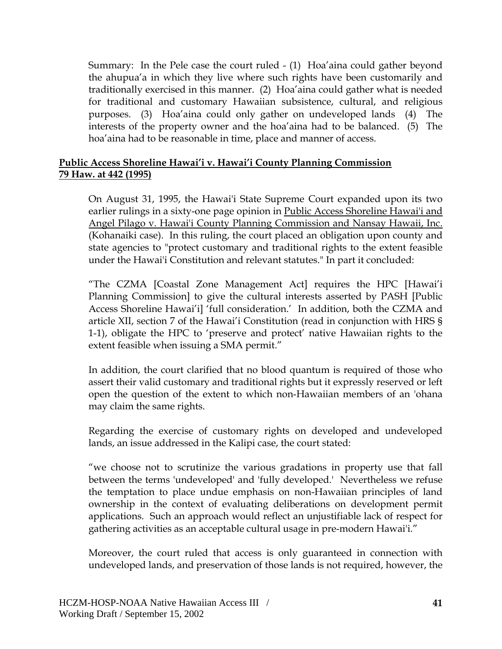Summary: In the Pele case the court ruled - (1) Hoa'aina could gather beyond the ahupua'a in which they live where such rights have been customarily and traditionally exercised in this manner. (2) Hoa'aina could gather what is needed for traditional and customary Hawaiian subsistence, cultural, and religious purposes. (3) Hoa'aina could only gather on undeveloped lands (4) The interests of the property owner and the hoa'aina had to be balanced. (5) The hoa'aina had to be reasonable in time, place and manner of access.

## **Public Access Shoreline Hawai'i v. Hawai'i County Planning Commission 79 Haw. at 442 (1995)**

On August 31, 1995, the Hawai'i State Supreme Court expanded upon its two earlier rulings in a sixty-one page opinion in Public Access Shoreline Hawai'i and Angel Pilago v. Hawai'i County Planning Commission and Nansay Hawaii, Inc. (Kohanaiki case). In this ruling, the court placed an obligation upon county and state agencies to "protect customary and traditional rights to the extent feasible under the Hawai'i Constitution and relevant statutes." In part it concluded:

"The CZMA [Coastal Zone Management Act] requires the HPC [Hawai'i Planning Commission] to give the cultural interests asserted by PASH [Public Access Shoreline Hawai'i] 'full consideration.' In addition, both the CZMA and article XII, section 7 of the Hawai'i Constitution (read in conjunction with HRS § 1-1), obligate the HPC to 'preserve and protect' native Hawaiian rights to the extent feasible when issuing a SMA permit."

In addition, the court clarified that no blood quantum is required of those who assert their valid customary and traditional rights but it expressly reserved or left open the question of the extent to which non-Hawaiian members of an 'ohana may claim the same rights.

Regarding the exercise of customary rights on developed and undeveloped lands, an issue addressed in the Kalipi case, the court stated:

"we choose not to scrutinize the various gradations in property use that fall between the terms 'undeveloped' and 'fully developed.' Nevertheless we refuse the temptation to place undue emphasis on non-Hawaiian principles of land ownership in the context of evaluating deliberations on development permit applications. Such an approach would reflect an unjustifiable lack of respect for gathering activities as an acceptable cultural usage in pre-modern Hawai'i."

Moreover, the court ruled that access is only guaranteed in connection with undeveloped lands, and preservation of those lands is not required, however, the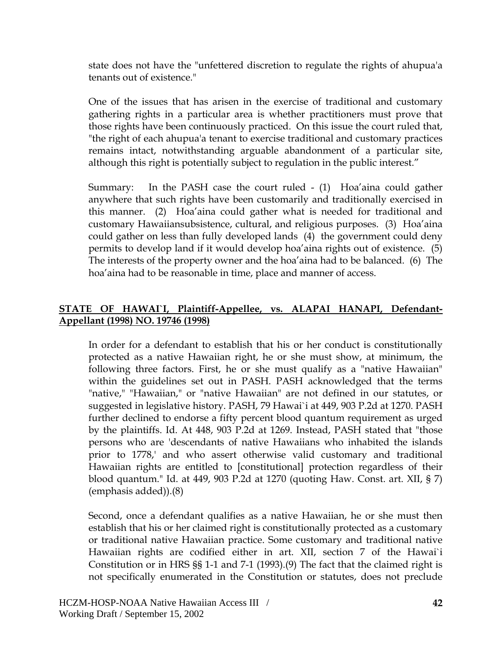state does not have the "unfettered discretion to regulate the rights of ahupua'a tenants out of existence."

One of the issues that has arisen in the exercise of traditional and customary gathering rights in a particular area is whether practitioners must prove that those rights have been continuously practiced. On this issue the court ruled that, "the right of each ahupua'a tenant to exercise traditional and customary practices remains intact, notwithstanding arguable abandonment of a particular site, although this right is potentially subject to regulation in the public interest."

Summary: In the PASH case the court ruled - (1) Hoa'aina could gather anywhere that such rights have been customarily and traditionally exercised in this manner. (2) Hoa'aina could gather what is needed for traditional and customary Hawaiiansubsistence, cultural, and religious purposes. (3) Hoa'aina could gather on less than fully developed lands (4) the government could deny permits to develop land if it would develop hoa'aina rights out of existence. (5) The interests of the property owner and the hoa'aina had to be balanced. (6) The hoa'aina had to be reasonable in time, place and manner of access.

## **STATE OF HAWAI`I, Plaintiff-Appellee, vs. ALAPAI HANAPI, Defendant-Appellant (1998) NO. 19746 (1998)**

In order for a defendant to establish that his or her conduct is constitutionally protected as a native Hawaiian right, he or she must show, at minimum, the following three factors. First, he or she must qualify as a "native Hawaiian" within the guidelines set out in PASH. PASH acknowledged that the terms "native," "Hawaiian," or "native Hawaiian" are not defined in our statutes, or suggested in legislative history. PASH, 79 Hawai`i at 449, 903 P.2d at 1270. PASH further declined to endorse a fifty percent blood quantum requirement as urged by the plaintiffs. Id. At 448, 903 P.2d at 1269. Instead, PASH stated that "those persons who are 'descendants of native Hawaiians who inhabited the islands prior to 1778,' and who assert otherwise valid customary and traditional Hawaiian rights are entitled to [constitutional] protection regardless of their blood quantum." Id. at 449, 903 P.2d at 1270 (quoting Haw. Const. art. XII, § 7) (emphasis added)).(8)

Second, once a defendant qualifies as a native Hawaiian, he or she must then establish that his or her claimed right is constitutionally protected as a customary or traditional native Hawaiian practice. Some customary and traditional native Hawaiian rights are codified either in art. XII, section 7 of the Hawai`i Constitution or in HRS §§ 1-1 and 7-1 (1993).(9) The fact that the claimed right is not specifically enumerated in the Constitution or statutes, does not preclude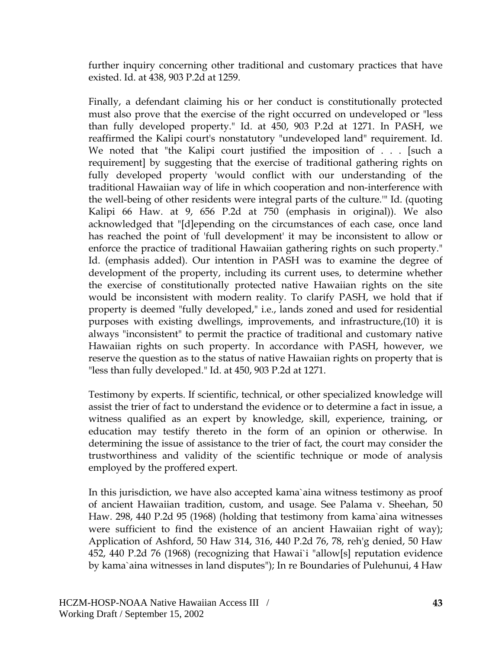further inquiry concerning other traditional and customary practices that have existed. Id. at 438, 903 P.2d at 1259.

Finally, a defendant claiming his or her conduct is constitutionally protected must also prove that the exercise of the right occurred on undeveloped or "less than fully developed property." Id. at 450, 903 P.2d at 1271. In PASH, we reaffirmed the Kalipi court's nonstatutory "undeveloped land" requirement. Id. We noted that "the Kalipi court justified the imposition of . . . [such a requirement] by suggesting that the exercise of traditional gathering rights on fully developed property 'would conflict with our understanding of the traditional Hawaiian way of life in which cooperation and non-interference with the well-being of other residents were integral parts of the culture.'" Id. (quoting Kalipi 66 Haw. at 9, 656 P.2d at 750 (emphasis in original)). We also acknowledged that "[d]epending on the circumstances of each case, once land has reached the point of 'full development' it may be inconsistent to allow or enforce the practice of traditional Hawaiian gathering rights on such property." Id. (emphasis added). Our intention in PASH was to examine the degree of development of the property, including its current uses, to determine whether the exercise of constitutionally protected native Hawaiian rights on the site would be inconsistent with modern reality. To clarify PASH, we hold that if property is deemed "fully developed," i.e., lands zoned and used for residential purposes with existing dwellings, improvements, and infrastructure,(10) it is always "inconsistent" to permit the practice of traditional and customary native Hawaiian rights on such property. In accordance with PASH, however, we reserve the question as to the status of native Hawaiian rights on property that is "less than fully developed." Id. at 450, 903 P.2d at 1271.

Testimony by experts. If scientific, technical, or other specialized knowledge will assist the trier of fact to understand the evidence or to determine a fact in issue, a witness qualified as an expert by knowledge, skill, experience, training, or education may testify thereto in the form of an opinion or otherwise. In determining the issue of assistance to the trier of fact, the court may consider the trustworthiness and validity of the scientific technique or mode of analysis employed by the proffered expert.

In this jurisdiction, we have also accepted kama`aina witness testimony as proof of ancient Hawaiian tradition, custom, and usage. See Palama v. Sheehan, 50 Haw. 298, 440 P.2d 95 (1968) (holding that testimony from kama`aina witnesses were sufficient to find the existence of an ancient Hawaiian right of way); Application of Ashford, 50 Haw 314, 316, 440 P.2d 76, 78, reh'g denied, 50 Haw 452, 440 P.2d 76 (1968) (recognizing that Hawai`i "allow[s] reputation evidence by kama`aina witnesses in land disputes"); In re Boundaries of Pulehunui, 4 Haw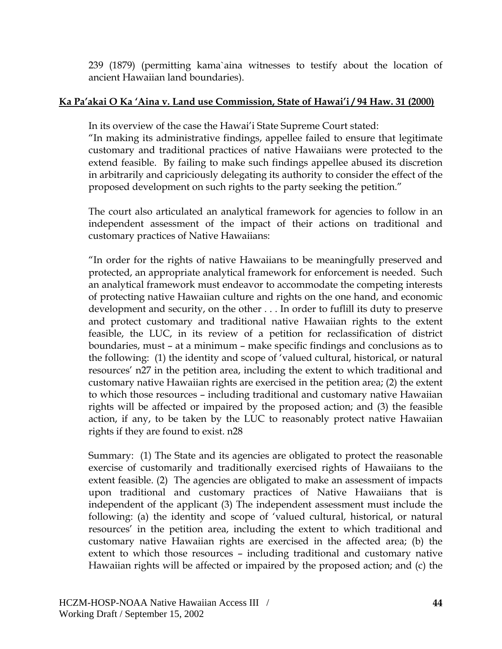239 (1879) (permitting kama`aina witnesses to testify about the location of ancient Hawaiian land boundaries).

## **Ka Pa'akai O Ka 'Aina v. Land use Commission, State of Hawai'i / 94 Haw. 31 (2000)**

In its overview of the case the Hawai'i State Supreme Court stated:

"In making its administrative findings, appellee failed to ensure that legitimate customary and traditional practices of native Hawaiians were protected to the extend feasible. By failing to make such findings appellee abused its discretion in arbitrarily and capriciously delegating its authority to consider the effect of the proposed development on such rights to the party seeking the petition."

The court also articulated an analytical framework for agencies to follow in an independent assessment of the impact of their actions on traditional and customary practices of Native Hawaiians:

"In order for the rights of native Hawaiians to be meaningfully preserved and protected, an appropriate analytical framework for enforcement is needed. Such an analytical framework must endeavor to accommodate the competing interests of protecting native Hawaiian culture and rights on the one hand, and economic development and security, on the other . . . In order to fuflill its duty to preserve and protect customary and traditional native Hawaiian rights to the extent feasible, the LUC, in its review of a petition for reclassification of district boundaries, must – at a minimum – make specific findings and conclusions as to the following: (1) the identity and scope of 'valued cultural, historical, or natural resources' n27 in the petition area, including the extent to which traditional and customary native Hawaiian rights are exercised in the petition area; (2) the extent to which those resources – including traditional and customary native Hawaiian rights will be affected or impaired by the proposed action; and (3) the feasible action, if any, to be taken by the LUC to reasonably protect native Hawaiian rights if they are found to exist. n28

Summary: (1) The State and its agencies are obligated to protect the reasonable exercise of customarily and traditionally exercised rights of Hawaiians to the extent feasible. (2) The agencies are obligated to make an assessment of impacts upon traditional and customary practices of Native Hawaiians that is independent of the applicant (3) The independent assessment must include the following: (a) the identity and scope of 'valued cultural, historical, or natural resources' in the petition area, including the extent to which traditional and customary native Hawaiian rights are exercised in the affected area; (b) the extent to which those resources – including traditional and customary native Hawaiian rights will be affected or impaired by the proposed action; and (c) the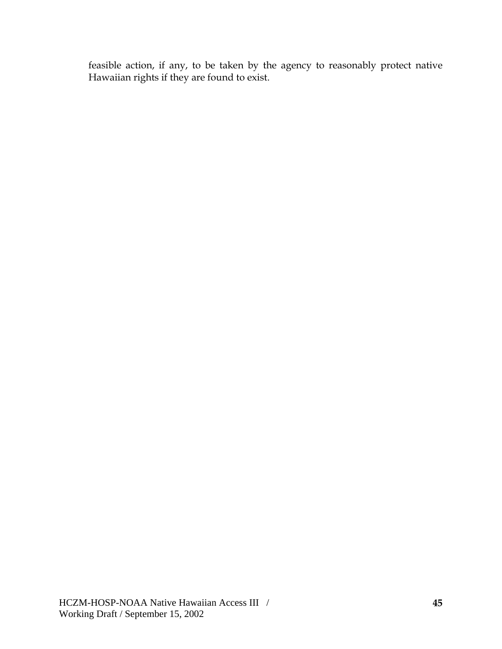feasible action, if any, to be taken by the agency to reasonably protect native Hawaiian rights if they are found to exist.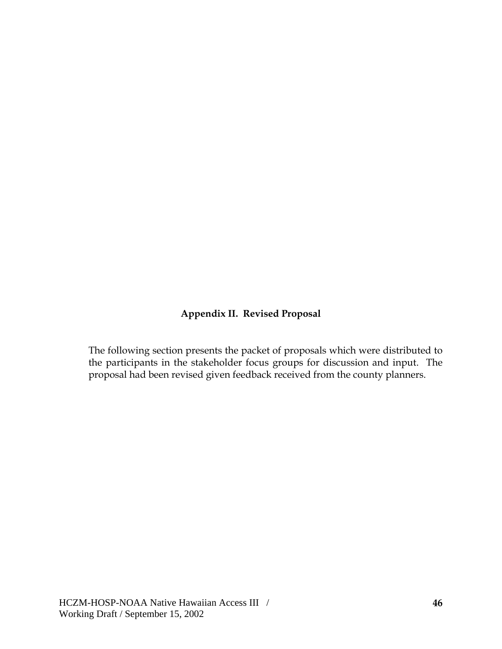## **Appendix II. Revised Proposal**

The following section presents the packet of proposals which were distributed to the participants in the stakeholder focus groups for discussion and input. The proposal had been revised given feedback received from the county planners.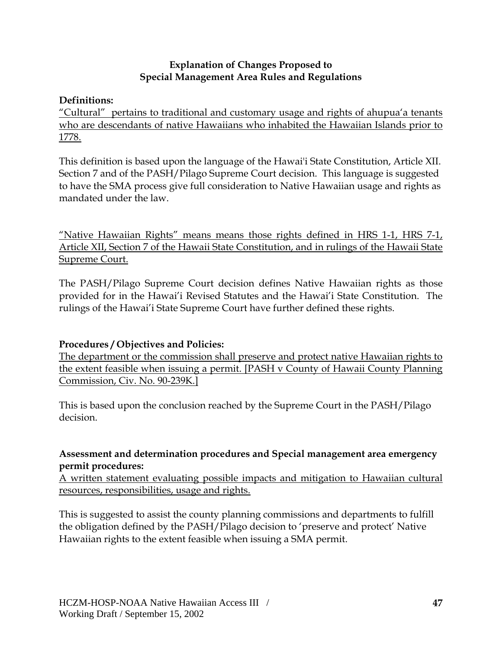## **Explanation of Changes Proposed to Special Management Area Rules and Regulations**

## **Definitions:**

"Cultural" pertains to traditional and customary usage and rights of ahupua'a tenants who are descendants of native Hawaiians who inhabited the Hawaiian Islands prior to 1778.

This definition is based upon the language of the Hawai'i State Constitution, Article XII. Section 7 and of the PASH/Pilago Supreme Court decision. This language is suggested to have the SMA process give full consideration to Native Hawaiian usage and rights as mandated under the law.

"Native Hawaiian Rights" means means those rights defined in HRS 1-1, HRS 7-1, Article XII, Section 7 of the Hawaii State Constitution, and in rulings of the Hawaii State Supreme Court.

The PASH/Pilago Supreme Court decision defines Native Hawaiian rights as those provided for in the Hawai'i Revised Statutes and the Hawai'i State Constitution. The rulings of the Hawai'i State Supreme Court have further defined these rights.

## **Procedures / Objectives and Policies:**

The department or the commission shall preserve and protect native Hawaiian rights to the extent feasible when issuing a permit. [PASH v County of Hawaii County Planning Commission, Civ. No. 90-239K.]

This is based upon the conclusion reached by the Supreme Court in the PASH/Pilago decision.

#### **Assessment and determination procedures and Special management area emergency permit procedures:**

A written statement evaluating possible impacts and mitigation to Hawaiian cultural resources, responsibilities, usage and rights.

This is suggested to assist the county planning commissions and departments to fulfill the obligation defined by the PASH/Pilago decision to 'preserve and protect' Native Hawaiian rights to the extent feasible when issuing a SMA permit.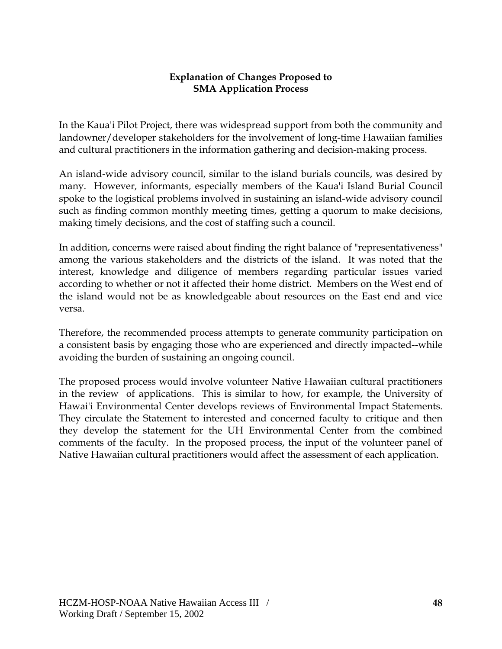## **Explanation of Changes Proposed to SMA Application Process**

In the Kaua'i Pilot Project, there was widespread support from both the community and landowner/developer stakeholders for the involvement of long-time Hawaiian families and cultural practitioners in the information gathering and decision-making process.

An island-wide advisory council, similar to the island burials councils, was desired by many. However, informants, especially members of the Kaua'i Island Burial Council spoke to the logistical problems involved in sustaining an island-wide advisory council such as finding common monthly meeting times, getting a quorum to make decisions, making timely decisions, and the cost of staffing such a council.

In addition, concerns were raised about finding the right balance of "representativeness" among the various stakeholders and the districts of the island. It was noted that the interest, knowledge and diligence of members regarding particular issues varied according to whether or not it affected their home district. Members on the West end of the island would not be as knowledgeable about resources on the East end and vice versa.

Therefore, the recommended process attempts to generate community participation on a consistent basis by engaging those who are experienced and directly impacted--while avoiding the burden of sustaining an ongoing council.

The proposed process would involve volunteer Native Hawaiian cultural practitioners in the review of applications. This is similar to how, for example, the University of Hawai'i Environmental Center develops reviews of Environmental Impact Statements. They circulate the Statement to interested and concerned faculty to critique and then they develop the statement for the UH Environmental Center from the combined comments of the faculty. In the proposed process, the input of the volunteer panel of Native Hawaiian cultural practitioners would affect the assessment of each application.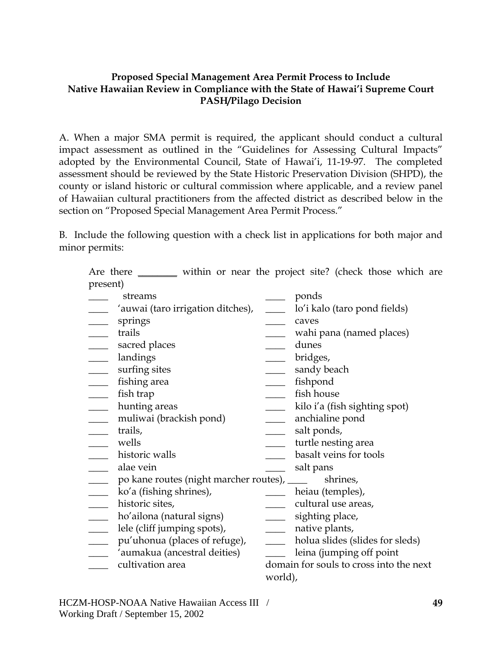## **Proposed Special Management Area Permit Process to Include Native Hawaiian Review in Compliance with the State of Hawai'i Supreme Court PASH/Pilago Decision**

A. When a major SMA permit is required, the applicant should conduct a cultural impact assessment as outlined in the "Guidelines for Assessing Cultural Impacts" adopted by the Environmental Council, State of Hawai'i, 11-19-97. The completed assessment should be reviewed by the State Historic Preservation Division (SHPD), the county or island historic or cultural commission where applicable, and a review panel of Hawaiian cultural practitioners from the affected district as described below in the section on "Proposed Special Management Area Permit Process."

B. Include the following question with a check list in applications for both major and minor permits:

Are there \_\_\_\_\_\_\_\_\_ within or near the project site? (check those which are

| present)                    |                                             |                                 |                                         |
|-----------------------------|---------------------------------------------|---------------------------------|-----------------------------------------|
|                             | streams                                     |                                 | ponds                                   |
|                             | ____ 'auwai (taro irrigation ditches),      |                                 | lo'i kalo (taro pond fields)            |
|                             | springs                                     |                                 | caves                                   |
| $\mathbb{R}^n$              | trails                                      |                                 | wahi pana (named places)                |
| $\mathcal{L}_{\text{max}}$  | sacred places                               | $\frac{1}{2}$                   | dunes                                   |
|                             | landings                                    | $\frac{1}{2}$                   | bridges,                                |
|                             | surfing sites                               | $\frac{1}{2}$ and $\frac{1}{2}$ | sandy beach                             |
|                             | fishing area                                | $\frac{1}{2}$                   | fishpond                                |
| $\overline{\phantom{a}}$    | fish trap                                   | $\mathcal{L}_{\text{max}}$      | fish house                              |
| $\mathbb{R}^2$              | hunting areas                               |                                 | _____ kilo i'a (fish sighting spot)     |
|                             | muliwai (brackish pond)                     | $\mathcal{L}_{\text{max}}$      | anchialine pond                         |
|                             | trails,                                     | $\overline{\phantom{a}}$        | salt ponds,                             |
|                             | wells                                       |                                 | ______ turtle nesting area              |
| $\frac{1}{2}$               | historic walls                              |                                 | basalt veins for tools                  |
|                             | alae vein                                   |                                 | salt pans                               |
| $\overline{\phantom{a}}$    | po kane routes (night marcher routes), ____ |                                 | shrines,                                |
| $\frac{1}{2}$               | ko'a (fishing shrines),                     |                                 | ____ heiau (temples),                   |
| $\frac{1}{2}$               | historic sites,                             |                                 | cultural use areas,                     |
|                             | ho'ailona (natural signs)                   |                                 | _____ sighting place,                   |
| $\mathcal{L}^{\mathcal{L}}$ | lele (cliff jumping spots),                 | $\frac{1}{2}$                   | native plants,                          |
|                             | pu'uhonua (places of refuge),               | $\frac{1}{2}$                   | holua slides (slides for sleds)         |
|                             | 'aumakua (ancestral deities)                |                                 | leina (jumping off point                |
|                             | cultivation area                            |                                 | domain for souls to cross into the next |
|                             |                                             | world),                         |                                         |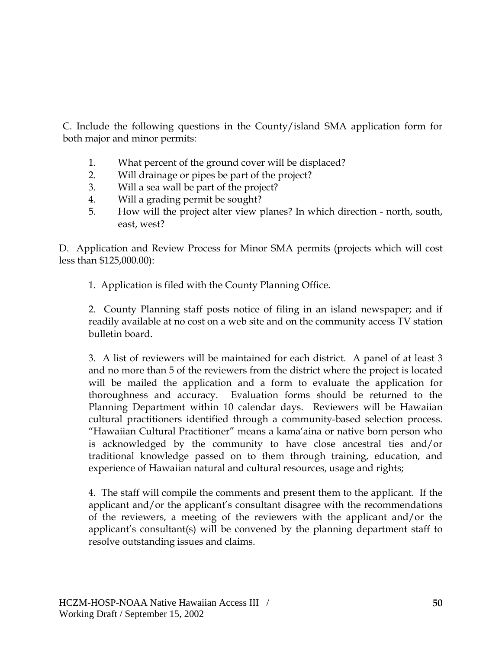C. Include the following questions in the County/island SMA application form for both major and minor permits:

- 1. What percent of the ground cover will be displaced?
- 2. Will drainage or pipes be part of the project?
- 3. Will a sea wall be part of the project?
- 4. Will a grading permit be sought?
- 5. How will the project alter view planes? In which direction north, south, east, west?

D. Application and Review Process for Minor SMA permits (projects which will cost less than \$125,000.00):

1. Application is filed with the County Planning Office.

2. County Planning staff posts notice of filing in an island newspaper; and if readily available at no cost on a web site and on the community access TV station bulletin board.

3. A list of reviewers will be maintained for each district. A panel of at least 3 and no more than 5 of the reviewers from the district where the project is located will be mailed the application and a form to evaluate the application for thoroughness and accuracy. Evaluation forms should be returned to the Planning Department within 10 calendar days. Reviewers will be Hawaiian cultural practitioners identified through a community-based selection process. "Hawaiian Cultural Practitioner" means a kama'aina or native born person who is acknowledged by the community to have close ancestral ties and/or traditional knowledge passed on to them through training, education, and experience of Hawaiian natural and cultural resources, usage and rights;

4. The staff will compile the comments and present them to the applicant. If the applicant and/or the applicant's consultant disagree with the recommendations of the reviewers, a meeting of the reviewers with the applicant and/or the applicant's consultant(s) will be convened by the planning department staff to resolve outstanding issues and claims.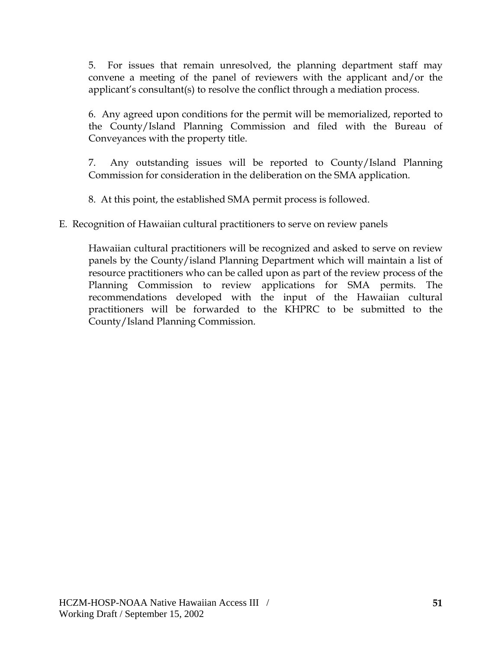5. For issues that remain unresolved, the planning department staff may convene a meeting of the panel of reviewers with the applicant and/or the applicant's consultant(s) to resolve the conflict through a mediation process.

6. Any agreed upon conditions for the permit will be memorialized, reported to the County/Island Planning Commission and filed with the Bureau of Conveyances with the property title.

7. Any outstanding issues will be reported to County/Island Planning Commission for consideration in the deliberation on the SMA application.

8. At this point, the established SMA permit process is followed.

E. Recognition of Hawaiian cultural practitioners to serve on review panels

Hawaiian cultural practitioners will be recognized and asked to serve on review panels by the County/island Planning Department which will maintain a list of resource practitioners who can be called upon as part of the review process of the Planning Commission to review applications for SMA permits. The recommendations developed with the input of the Hawaiian cultural practitioners will be forwarded to the KHPRC to be submitted to the County/Island Planning Commission.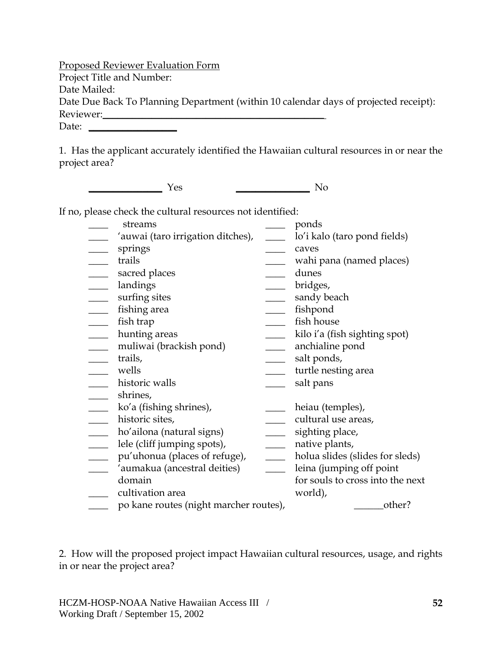Proposed Reviewer Evaluation Form Project Title and Number: Date Mailed: Date Due Back To Planning Department (within 10 calendar days of projected receipt): Reviewer:\_\_\_\_\_\_\_\_\_\_\_\_\_\_\_\_\_\_\_\_\_\_\_\_\_\_\_\_\_\_\_\_\_\_\_\_\_\_\_\_\_\_\_\_\_ Date: \_\_\_\_\_\_\_\_\_\_\_\_\_\_\_\_\_\_

1. Has the applicant accurately identified the Hawaiian cultural resources in or near the project area?

\_\_\_\_\_\_\_\_\_\_\_\_\_\_\_ Yes \_\_\_\_\_\_\_\_\_\_\_\_\_\_\_ No

If no, please check the cultural resources not identified:

|                            | streams                                |                            | ponds                            |
|----------------------------|----------------------------------------|----------------------------|----------------------------------|
|                            | 'auwai (taro irrigation ditches),      |                            | lo'i kalo (taro pond fields)     |
|                            | springs                                |                            | caves                            |
|                            | trails                                 |                            | wahi pana (named places)         |
|                            | sacred places                          |                            | dunes                            |
| $\mathcal{L}(\mathcal{L})$ | landings                               | $\sim 10^{-1}$             | bridges,                         |
|                            | surfing sites                          |                            | sandy beach                      |
| $\mathbb{R}^n$             | fishing area                           | $\mathcal{L}(\mathcal{L})$ | fishpond                         |
| $\overline{\phantom{a}}$   | fish trap                              |                            | fish house                       |
| $\mathcal{L}_{\text{max}}$ | hunting areas                          | $\mathcal{L}_{\text{max}}$ | kilo i'a (fish sighting spot)    |
| $\mathcal{L}^{\text{max}}$ | muliwai (brackish pond)                | $\mathcal{L}^{\text{max}}$ | anchialine pond                  |
| $\overline{\phantom{a}}$   | trails,                                |                            | salt ponds,                      |
| $\overline{\phantom{a}}$   | wells                                  |                            | turtle nesting area              |
|                            | historic walls                         |                            | salt pans                        |
| $\overline{\phantom{a}}$   | shrines,                               |                            |                                  |
| $\mathcal{L}^{\text{max}}$ | ko'a (fishing shrines),                | $\mathcal{L}(\mathcal{L})$ | heiau (temples),                 |
| $\overline{\phantom{a}}$   | historic sites,                        | $\mathcal{L}^{\text{max}}$ | cultural use areas,              |
| $\mathcal{L}_{\text{max}}$ | ho'ailona (natural signs)              | $\mathcal{L}_{\text{max}}$ | sighting place,                  |
| $\overline{\phantom{a}}$   | lele (cliff jumping spots),            | $\overline{\phantom{a}}$   | native plants,                   |
| $\overline{\phantom{a}}$   | pu'uhonua (places of refuge),          | $\mathbb{R}$               | holua slides (slides for sleds)  |
|                            | 'aumakua (ancestral deities)           |                            | leina (jumping off point         |
|                            | domain                                 |                            | for souls to cross into the next |
|                            | cultivation area                       |                            | world),                          |
|                            | po kane routes (night marcher routes), |                            | other?                           |

2. How will the proposed project impact Hawaiian cultural resources, usage, and rights in or near the project area?

HCZM-HOSP-NOAA Native Hawaiian Access III / Working Draft / September 15, 2002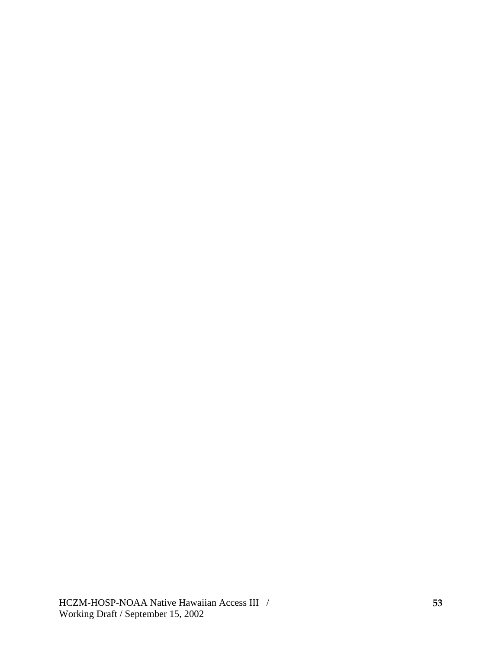HCZM-HOSP-NOAA Native Hawaiian Access III / Working Draft / September 15, 2002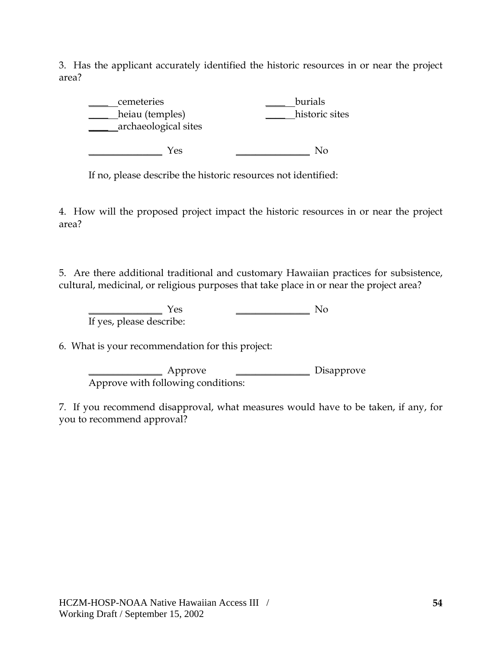3. Has the applicant accurately identified the historic resources in or near the project area?

| burials        |
|----------------|
| historic sites |
|                |
| Nο             |
|                |

If no, please describe the historic resources not identified:

4. How will the proposed project impact the historic resources in or near the project area?

5. Are there additional traditional and customary Hawaiian practices for subsistence, cultural, medicinal, or religious purposes that take place in or near the project area?

\_\_\_\_\_\_\_\_\_\_\_\_\_\_\_ Yes \_\_\_\_\_\_\_\_\_\_\_\_\_\_\_ No If yes, please describe:

6. What is your recommendation for this project:

\_\_\_\_\_\_\_\_\_\_\_\_\_\_\_ Approve \_\_\_\_\_\_\_\_\_\_\_\_\_\_\_ Disapprove Approve with following conditions:

7. If you recommend disapproval, what measures would have to be taken, if any, for you to recommend approval?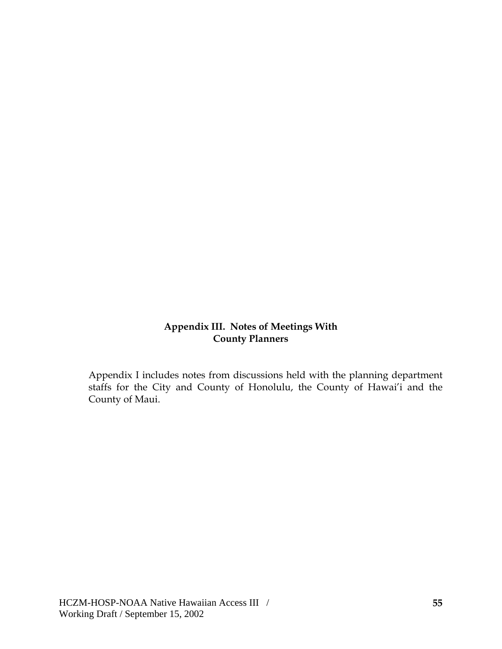## **Appendix III. Notes of Meetings With County Planners**

Appendix I includes notes from discussions held with the planning department staffs for the City and County of Honolulu, the County of Hawai'i and the County of Maui.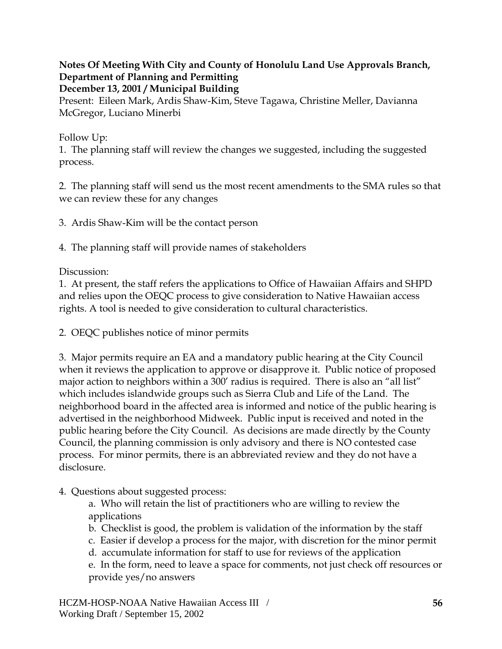#### **Notes Of Meeting With City and County of Honolulu Land Use Approvals Branch, Department of Planning and Permitting December 13, 2001 / Municipal Building**

Present: Eileen Mark, Ardis Shaw-Kim, Steve Tagawa, Christine Meller, Davianna McGregor, Luciano Minerbi

## Follow Up:

1. The planning staff will review the changes we suggested, including the suggested process.

2. The planning staff will send us the most recent amendments to the SMA rules so that we can review these for any changes

3. Ardis Shaw-Kim will be the contact person

4. The planning staff will provide names of stakeholders

Discussion:

1. At present, the staff refers the applications to Office of Hawaiian Affairs and SHPD and relies upon the OEQC process to give consideration to Native Hawaiian access rights. A tool is needed to give consideration to cultural characteristics.

2. OEQC publishes notice of minor permits

3. Major permits require an EA and a mandatory public hearing at the City Council when it reviews the application to approve or disapprove it. Public notice of proposed major action to neighbors within a 300' radius is required. There is also an "all list" which includes islandwide groups such as Sierra Club and Life of the Land. The neighborhood board in the affected area is informed and notice of the public hearing is advertised in the neighborhood Midweek. Public input is received and noted in the public hearing before the City Council. As decisions are made directly by the County Council, the planning commission is only advisory and there is NO contested case process. For minor permits, there is an abbreviated review and they do not have a disclosure.

4. Questions about suggested process:

a. Who will retain the list of practitioners who are willing to review the applications

b. Checklist is good, the problem is validation of the information by the staff

- c. Easier if develop a process for the major, with discretion for the minor permit
- d. accumulate information for staff to use for reviews of the application

e. In the form, need to leave a space for comments, not just check off resources or provide yes/no answers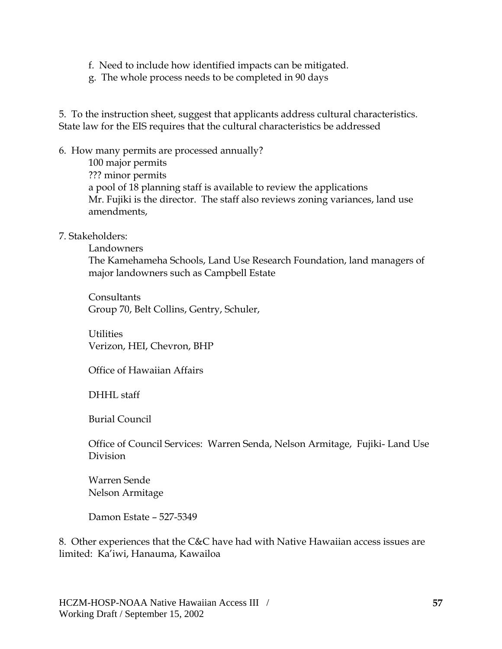- f. Need to include how identified impacts can be mitigated.
- g. The whole process needs to be completed in 90 days

5. To the instruction sheet, suggest that applicants address cultural characteristics. State law for the EIS requires that the cultural characteristics be addressed

6. How many permits are processed annually?

100 major permits ??? minor permits a pool of 18 planning staff is available to review the applications Mr. Fujiki is the director. The staff also reviews zoning variances, land use amendments,

#### 7. Stakeholders:

Landowners

The Kamehameha Schools, Land Use Research Foundation, land managers of major landowners such as Campbell Estate

**Consultants** Group 70, Belt Collins, Gentry, Schuler,

**Utilities** Verizon, HEI, Chevron, BHP

Office of Hawaiian Affairs

DHHL staff

Burial Council

Office of Council Services: Warren Senda, Nelson Armitage, Fujiki- Land Use Division

Warren Sende Nelson Armitage

Damon Estate – 527-5349

8. Other experiences that the C&C have had with Native Hawaiian access issues are limited: Ka'iwi, Hanauma, Kawailoa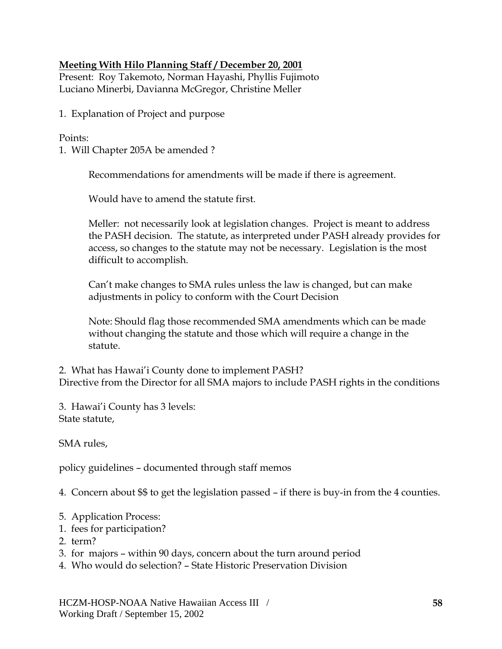## **Meeting With Hilo Planning Staff / December 20, 2001**

Present: Roy Takemoto, Norman Hayashi, Phyllis Fujimoto Luciano Minerbi, Davianna McGregor, Christine Meller

1. Explanation of Project and purpose

#### Points:

1. Will Chapter 205A be amended ?

Recommendations for amendments will be made if there is agreement.

Would have to amend the statute first.

Meller: not necessarily look at legislation changes. Project is meant to address the PASH decision. The statute, as interpreted under PASH already provides for access, so changes to the statute may not be necessary. Legislation is the most difficult to accomplish.

Can't make changes to SMA rules unless the law is changed, but can make adjustments in policy to conform with the Court Decision

Note: Should flag those recommended SMA amendments which can be made without changing the statute and those which will require a change in the statute.

2. What has Hawai'i County done to implement PASH? Directive from the Director for all SMA majors to include PASH rights in the conditions

3. Hawai'i County has 3 levels: State statute,

SMA rules,

policy guidelines – documented through staff memos

4. Concern about \$\$ to get the legislation passed – if there is buy-in from the 4 counties.

- 5. Application Process:
- 1. fees for participation?
- 2. term?
- 3. for majors within 90 days, concern about the turn around period
- 4. Who would do selection? State Historic Preservation Division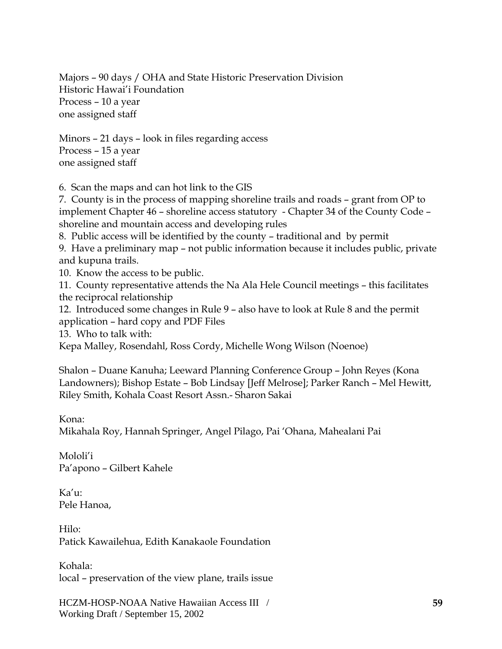Majors – 90 days / OHA and State Historic Preservation Division Historic Hawai'i Foundation Process – 10 a year one assigned staff

Minors – 21 days – look in files regarding access Process – 15 a year one assigned staff

6. Scan the maps and can hot link to the GIS

7. County is in the process of mapping shoreline trails and roads – grant from OP to implement Chapter 46 – shoreline access statutory - Chapter 34 of the County Code – shoreline and mountain access and developing rules

8. Public access will be identified by the county – traditional and by permit

9. Have a preliminary map – not public information because it includes public, private and kupuna trails.

10. Know the access to be public.

11. County representative attends the Na Ala Hele Council meetings – this facilitates the reciprocal relationship

12. Introduced some changes in Rule 9 – also have to look at Rule 8 and the permit application – hard copy and PDF Files

13. Who to talk with:

Kepa Malley, Rosendahl, Ross Cordy, Michelle Wong Wilson (Noenoe)

Shalon – Duane Kanuha; Leeward Planning Conference Group – John Reyes (Kona Landowners); Bishop Estate – Bob Lindsay [Jeff Melrose]; Parker Ranch – Mel Hewitt, Riley Smith, Kohala Coast Resort Assn.- Sharon Sakai

Kona:

Mikahala Roy, Hannah Springer, Angel Pilago, Pai 'Ohana, Mahealani Pai

Mololi'i Pa'apono – Gilbert Kahele

Ka'u: Pele Hanoa,

Hilo: Patick Kawailehua, Edith Kanakaole Foundation

Kohala: local – preservation of the view plane, trails issue

HCZM-HOSP-NOAA Native Hawaiian Access III / Working Draft / September 15, 2002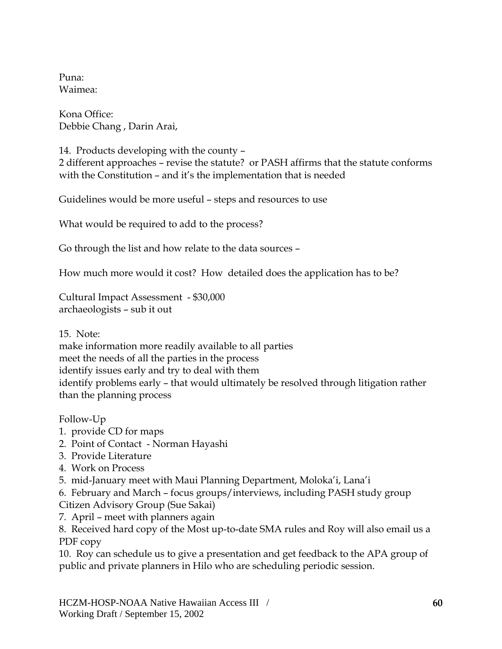Puna: Waimea:

Kona Office: Debbie Chang , Darin Arai,

14. Products developing with the county – 2 different approaches – revise the statute? or PASH affirms that the statute conforms with the Constitution – and it's the implementation that is needed

Guidelines would be more useful – steps and resources to use

What would be required to add to the process?

Go through the list and how relate to the data sources –

How much more would it cost? How detailed does the application has to be?

Cultural Impact Assessment - \$30,000 archaeologists – sub it out

15. Note:

make information more readily available to all parties meet the needs of all the parties in the process identify issues early and try to deal with them identify problems early – that would ultimately be resolved through litigation rather than the planning process

Follow-Up

- 1. provide CD for maps
- 2. Point of Contact Norman Hayashi
- 3. Provide Literature
- 4. Work on Process
- 5. mid-January meet with Maui Planning Department, Moloka'i, Lana'i
- 6. February and March focus groups/interviews, including PASH study group Citizen Advisory Group (Sue Sakai)
- 7. April meet with planners again

8. Received hard copy of the Most up-to-date SMA rules and Roy will also email us a PDF copy

10. Roy can schedule us to give a presentation and get feedback to the APA group of public and private planners in Hilo who are scheduling periodic session.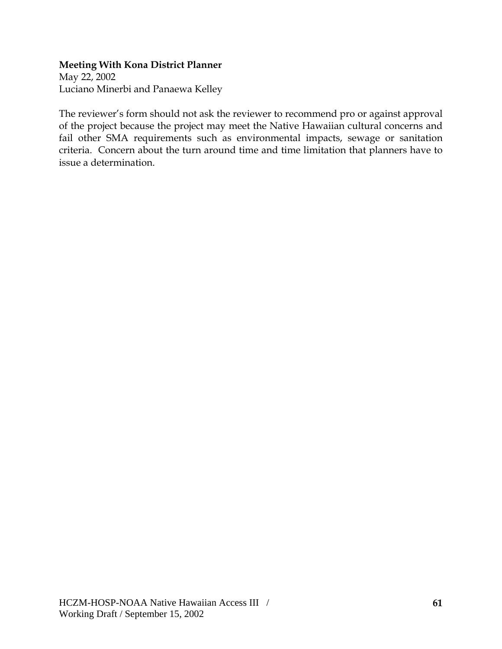#### **Meeting With Kona District Planner**

May 22, 2002 Luciano Minerbi and Panaewa Kelley

The reviewer's form should not ask the reviewer to recommend pro or against approval of the project because the project may meet the Native Hawaiian cultural concerns and fail other SMA requirements such as environmental impacts, sewage or sanitation criteria. Concern about the turn around time and time limitation that planners have to issue a determination.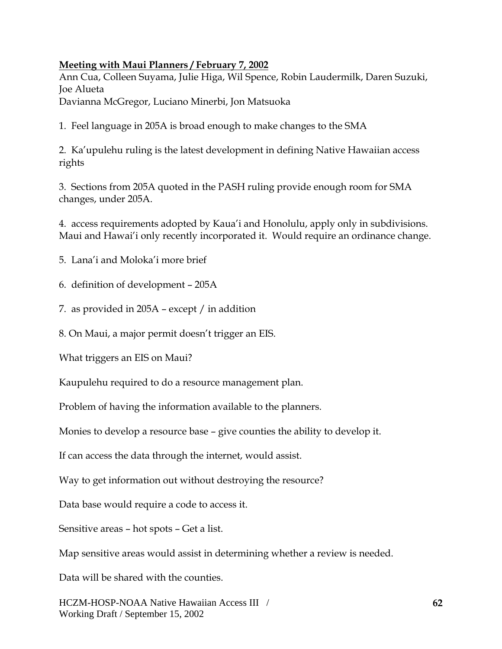## **Meeting with Maui Planners / February 7, 2002**

Ann Cua, Colleen Suyama, Julie Higa, Wil Spence, Robin Laudermilk, Daren Suzuki, Joe Alueta

Davianna McGregor, Luciano Minerbi, Jon Matsuoka

1. Feel language in 205A is broad enough to make changes to the SMA

2. Ka'upulehu ruling is the latest development in defining Native Hawaiian access rights

3. Sections from 205A quoted in the PASH ruling provide enough room for SMA changes, under 205A.

4. access requirements adopted by Kaua'i and Honolulu, apply only in subdivisions. Maui and Hawai'i only recently incorporated it. Would require an ordinance change.

5. Lana'i and Moloka'i more brief

6. definition of development – 205A

7. as provided in 205A – except / in addition

8. On Maui, a major permit doesn't trigger an EIS.

What triggers an EIS on Maui?

Kaupulehu required to do a resource management plan.

Problem of having the information available to the planners.

Monies to develop a resource base – give counties the ability to develop it.

If can access the data through the internet, would assist.

Way to get information out without destroying the resource?

Data base would require a code to access it.

Sensitive areas – hot spots – Get a list.

Map sensitive areas would assist in determining whether a review is needed.

Data will be shared with the counties.

HCZM-HOSP-NOAA Native Hawaiian Access III / Working Draft / September 15, 2002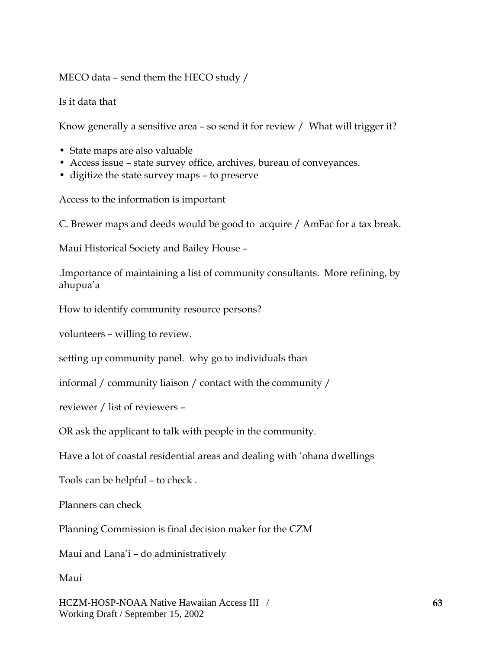MECO data – send them the HECO study /

Is it data that

Know generally a sensitive area – so send it for review / What will trigger it?

- State maps are also valuable
- Access issue state survey office, archives, bureau of conveyances.
- digitize the state survey maps to preserve

Access to the information is important

C. Brewer maps and deeds would be good to acquire / AmFac for a tax break.

Maui Historical Society and Bailey House –

.Importance of maintaining a list of community consultants. More refining, by ahupua'a

How to identify community resource persons?

volunteers – willing to review.

setting up community panel. why go to individuals than

informal / community liaison / contact with the community /

reviewer / list of reviewers –

OR ask the applicant to talk with people in the community.

Have a lot of coastal residential areas and dealing with 'ohana dwellings

Tools can be helpful – to check .

Planners can check

Planning Commission is final decision maker for the CZM

Maui and Lana'i – do administratively

#### Maui

HCZM-HOSP-NOAA Native Hawaiian Access III / Working Draft / September 15, 2002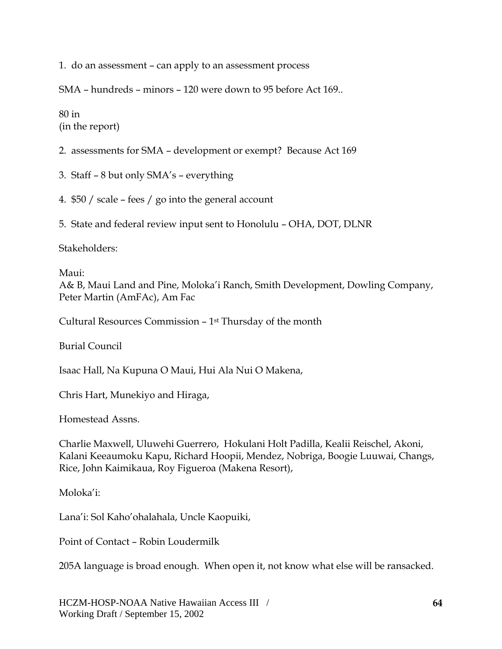1. do an assessment – can apply to an assessment process

SMA – hundreds – minors – 120 were down to 95 before Act 169..

80 in (in the report)

- 2. assessments for SMA development or exempt? Because Act 169
- 3. Staff 8 but only SMA's everything
- 4. \$50 / scale fees / go into the general account
- 5. State and federal review input sent to Honolulu OHA, DOT, DLNR

Stakeholders:

#### Maui:

A& B, Maui Land and Pine, Moloka'i Ranch, Smith Development, Dowling Company, Peter Martin (AmFAc), Am Fac

Cultural Resources Commission  $-1$ <sup>st</sup> Thursday of the month

Burial Council

Isaac Hall, Na Kupuna O Maui, Hui Ala Nui O Makena,

Chris Hart, Munekiyo and Hiraga,

Homestead Assns.

Charlie Maxwell, Uluwehi Guerrero, Hokulani Holt Padilla, Kealii Reischel, Akoni, Kalani Keeaumoku Kapu, Richard Hoopii, Mendez, Nobriga, Boogie Luuwai, Changs, Rice, John Kaimikaua, Roy Figueroa (Makena Resort),

Moloka'i:

Lana'i: Sol Kaho'ohalahala, Uncle Kaopuiki,

Point of Contact – Robin Loudermilk

205A language is broad enough. When open it, not know what else will be ransacked.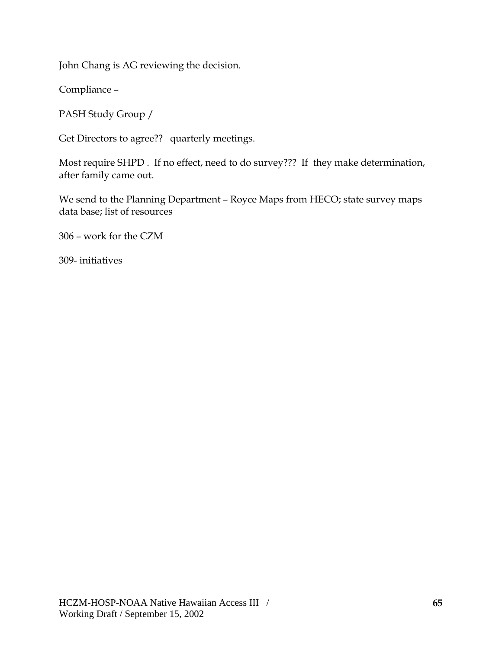John Chang is AG reviewing the decision.

Compliance –

PASH Study Group /

Get Directors to agree?? quarterly meetings.

Most require SHPD . If no effect, need to do survey??? If they make determination, after family came out.

We send to the Planning Department – Royce Maps from HECO; state survey maps data base; list of resources

306 – work for the CZM

309- initiatives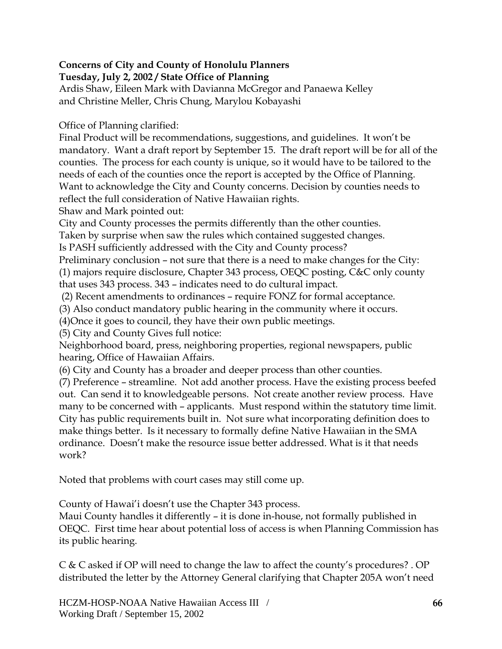#### **Concerns of City and County of Honolulu Planners Tuesday, July 2, 2002 / State Office of Planning**

Ardis Shaw, Eileen Mark with Davianna McGregor and Panaewa Kelley and Christine Meller, Chris Chung, Marylou Kobayashi

Office of Planning clarified:

Final Product will be recommendations, suggestions, and guidelines. It won't be mandatory. Want a draft report by September 15. The draft report will be for all of the counties. The process for each county is unique, so it would have to be tailored to the needs of each of the counties once the report is accepted by the Office of Planning. Want to acknowledge the City and County concerns. Decision by counties needs to reflect the full consideration of Native Hawaiian rights.

Shaw and Mark pointed out:

City and County processes the permits differently than the other counties.

Taken by surprise when saw the rules which contained suggested changes.

Is PASH sufficiently addressed with the City and County process?

Preliminary conclusion – not sure that there is a need to make changes for the City: (1) majors require disclosure, Chapter 343 process, OEQC posting, C&C only county that uses 343 process. 343 – indicates need to do cultural impact.

(2) Recent amendments to ordinances – require FONZ for formal acceptance.

(3) Also conduct mandatory public hearing in the community where it occurs.

(4)Once it goes to council, they have their own public meetings.

(5) City and County Gives full notice:

Neighborhood board, press, neighboring properties, regional newspapers, public hearing, Office of Hawaiian Affairs.

(6) City and County has a broader and deeper process than other counties.

(7) Preference – streamline. Not add another process. Have the existing process beefed out. Can send it to knowledgeable persons. Not create another review process. Have many to be concerned with – applicants. Must respond within the statutory time limit. City has public requirements built in. Not sure what incorporating definition does to make things better. Is it necessary to formally define Native Hawaiian in the SMA ordinance. Doesn't make the resource issue better addressed. What is it that needs work?

Noted that problems with court cases may still come up.

County of Hawai'i doesn't use the Chapter 343 process.

Maui County handles it differently – it is done in-house, not formally published in OEQC. First time hear about potential loss of access is when Planning Commission has its public hearing.

C & C asked if OP will need to change the law to affect the county's procedures? . OP distributed the letter by the Attorney General clarifying that Chapter 205A won't need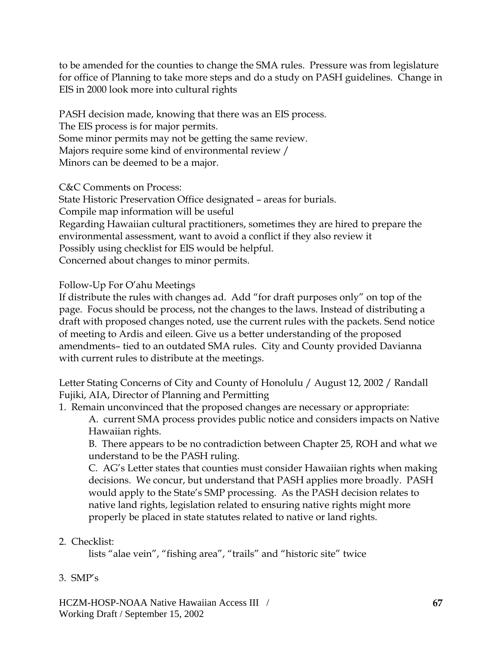to be amended for the counties to change the SMA rules. Pressure was from legislature for office of Planning to take more steps and do a study on PASH guidelines. Change in EIS in 2000 look more into cultural rights

PASH decision made, knowing that there was an EIS process. The EIS process is for major permits. Some minor permits may not be getting the same review. Majors require some kind of environmental review / Minors can be deemed to be a major.

C&C Comments on Process: State Historic Preservation Office designated – areas for burials. Compile map information will be useful Regarding Hawaiian cultural practitioners, sometimes they are hired to prepare the environmental assessment, want to avoid a conflict if they also review it Possibly using checklist for EIS would be helpful. Concerned about changes to minor permits.

Follow-Up For O'ahu Meetings

If distribute the rules with changes ad. Add "for draft purposes only" on top of the page. Focus should be process, not the changes to the laws. Instead of distributing a draft with proposed changes noted, use the current rules with the packets. Send notice of meeting to Ardis and eileen. Give us a better understanding of the proposed amendments– tied to an outdated SMA rules. City and County provided Davianna with current rules to distribute at the meetings.

Letter Stating Concerns of City and County of Honolulu / August 12, 2002 / Randall Fujiki, AIA, Director of Planning and Permitting

1. Remain unconvinced that the proposed changes are necessary or appropriate:

A. current SMA process provides public notice and considers impacts on Native Hawaiian rights.

B. There appears to be no contradiction between Chapter 25, ROH and what we understand to be the PASH ruling.

C. AG's Letter states that counties must consider Hawaiian rights when making decisions. We concur, but understand that PASH applies more broadly. PASH would apply to the State's SMP processing. As the PASH decision relates to native land rights, legislation related to ensuring native rights might more properly be placed in state statutes related to native or land rights.

## 2. Checklist:

lists "alae vein", "fishing area", "trails" and "historic site" twice

## 3. SMP's

HCZM-HOSP-NOAA Native Hawaiian Access III / Working Draft / September 15, 2002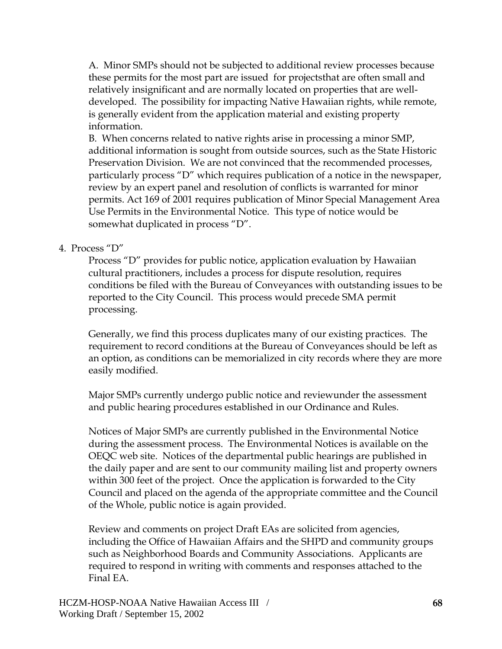A. Minor SMPs should not be subjected to additional review processes because these permits for the most part are issued for projectsthat are often small and relatively insignificant and are normally located on properties that are welldeveloped. The possibility for impacting Native Hawaiian rights, while remote, is generally evident from the application material and existing property information.

B. When concerns related to native rights arise in processing a minor SMP, additional information is sought from outside sources, such as the State Historic Preservation Division. We are not convinced that the recommended processes, particularly process "D" which requires publication of a notice in the newspaper, review by an expert panel and resolution of conflicts is warranted for minor permits. Act 169 of 2001 requires publication of Minor Special Management Area Use Permits in the Environmental Notice. This type of notice would be somewhat duplicated in process "D".

#### 4. Process "D"

Process "D" provides for public notice, application evaluation by Hawaiian cultural practitioners, includes a process for dispute resolution, requires conditions be filed with the Bureau of Conveyances with outstanding issues to be reported to the City Council. This process would precede SMA permit processing.

Generally, we find this process duplicates many of our existing practices. The requirement to record conditions at the Bureau of Conveyances should be left as an option, as conditions can be memorialized in city records where they are more easily modified.

Major SMPs currently undergo public notice and reviewunder the assessment and public hearing procedures established in our Ordinance and Rules.

Notices of Major SMPs are currently published in the Environmental Notice during the assessment process. The Environmental Notices is available on the OEQC web site. Notices of the departmental public hearings are published in the daily paper and are sent to our community mailing list and property owners within 300 feet of the project. Once the application is forwarded to the City Council and placed on the agenda of the appropriate committee and the Council of the Whole, public notice is again provided.

Review and comments on project Draft EAs are solicited from agencies, including the Office of Hawaiian Affairs and the SHPD and community groups such as Neighborhood Boards and Community Associations. Applicants are required to respond in writing with comments and responses attached to the Final EA.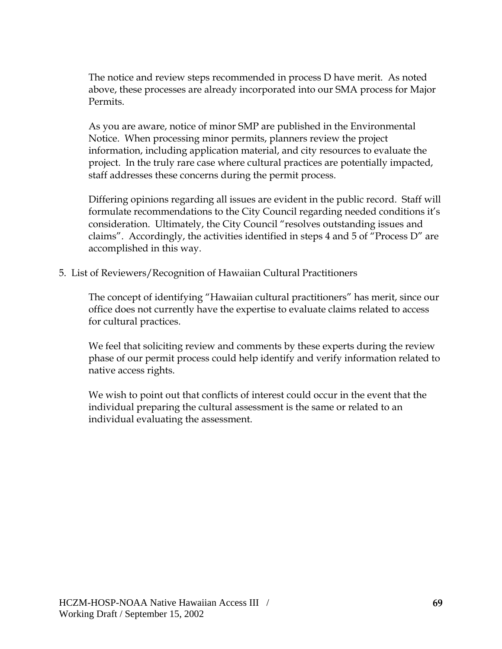The notice and review steps recommended in process D have merit. As noted above, these processes are already incorporated into our SMA process for Major Permits.

As you are aware, notice of minor SMP are published in the Environmental Notice. When processing minor permits, planners review the project information, including application material, and city resources to evaluate the project. In the truly rare case where cultural practices are potentially impacted, staff addresses these concerns during the permit process.

Differing opinions regarding all issues are evident in the public record. Staff will formulate recommendations to the City Council regarding needed conditions it's consideration. Ultimately, the City Council "resolves outstanding issues and claims". Accordingly, the activities identified in steps 4 and 5 of "Process D" are accomplished in this way.

5. List of Reviewers/Recognition of Hawaiian Cultural Practitioners

The concept of identifying "Hawaiian cultural practitioners" has merit, since our office does not currently have the expertise to evaluate claims related to access for cultural practices.

We feel that soliciting review and comments by these experts during the review phase of our permit process could help identify and verify information related to native access rights.

We wish to point out that conflicts of interest could occur in the event that the individual preparing the cultural assessment is the same or related to an individual evaluating the assessment.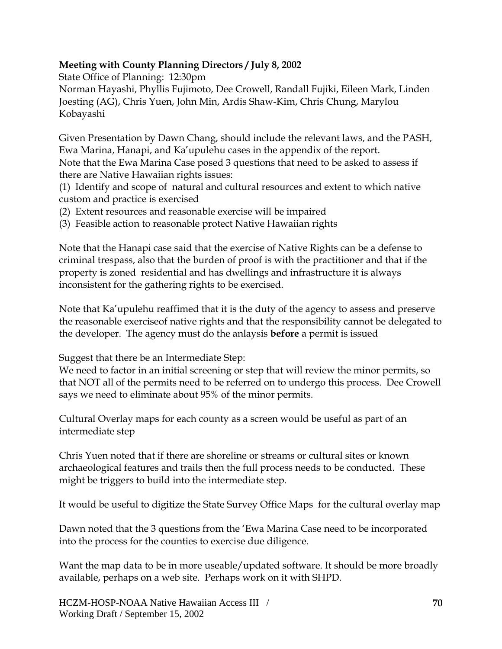## **Meeting with County Planning Directors / July 8, 2002**

State Office of Planning: 12:30pm

Norman Hayashi, Phyllis Fujimoto, Dee Crowell, Randall Fujiki, Eileen Mark, Linden Joesting (AG), Chris Yuen, John Min, Ardis Shaw-Kim, Chris Chung, Marylou Kobayashi

Given Presentation by Dawn Chang, should include the relevant laws, and the PASH, Ewa Marina, Hanapi, and Ka'upulehu cases in the appendix of the report. Note that the Ewa Marina Case posed 3 questions that need to be asked to assess if there are Native Hawaiian rights issues:

(1) Identify and scope of natural and cultural resources and extent to which native custom and practice is exercised

- (2) Extent resources and reasonable exercise will be impaired
- (3) Feasible action to reasonable protect Native Hawaiian rights

Note that the Hanapi case said that the exercise of Native Rights can be a defense to criminal trespass, also that the burden of proof is with the practitioner and that if the property is zoned residential and has dwellings and infrastructure it is always inconsistent for the gathering rights to be exercised.

Note that Ka'upulehu reaffimed that it is the duty of the agency to assess and preserve the reasonable exerciseof native rights and that the responsibility cannot be delegated to the developer. The agency must do the anlaysis **before** a permit is issued

Suggest that there be an Intermediate Step:

We need to factor in an initial screening or step that will review the minor permits, so that NOT all of the permits need to be referred on to undergo this process. Dee Crowell says we need to eliminate about 95% of the minor permits.

Cultural Overlay maps for each county as a screen would be useful as part of an intermediate step

Chris Yuen noted that if there are shoreline or streams or cultural sites or known archaeological features and trails then the full process needs to be conducted. These might be triggers to build into the intermediate step.

It would be useful to digitize the State Survey Office Maps for the cultural overlay map

Dawn noted that the 3 questions from the 'Ewa Marina Case need to be incorporated into the process for the counties to exercise due diligence.

Want the map data to be in more useable/updated software. It should be more broadly available, perhaps on a web site. Perhaps work on it with SHPD.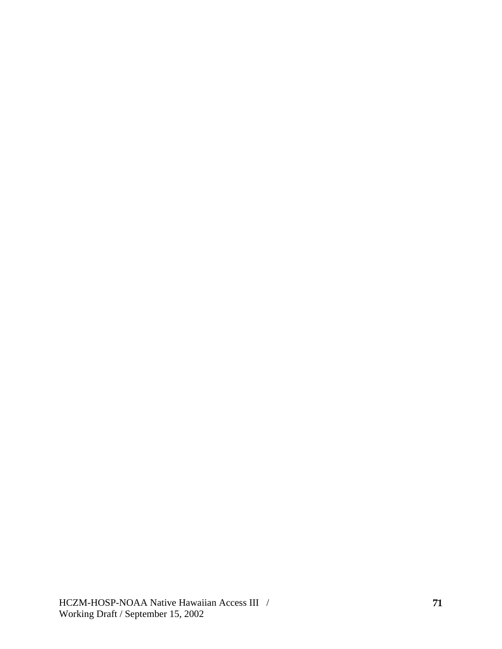HCZM-HOSP-NOAA Native Hawaiian Access III / Working Draft / September 15, 2002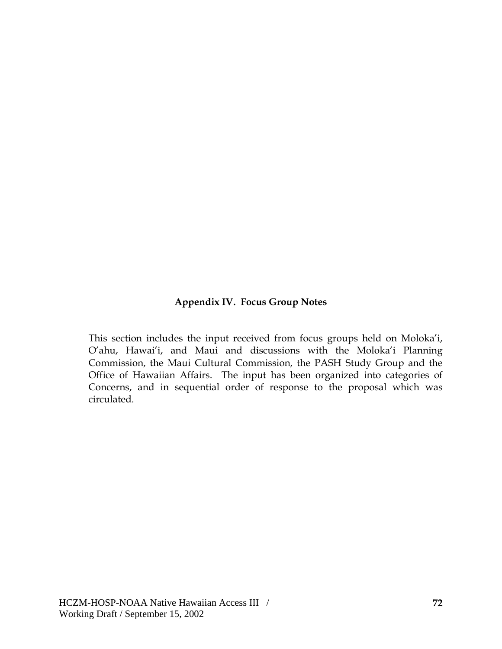## **Appendix IV. Focus Group Notes**

This section includes the input received from focus groups held on Moloka'i, O'ahu, Hawai'i, and Maui and discussions with the Moloka'i Planning Commission, the Maui Cultural Commission, the PASH Study Group and the Office of Hawaiian Affairs. The input has been organized into categories of Concerns, and in sequential order of response to the proposal which was circulated.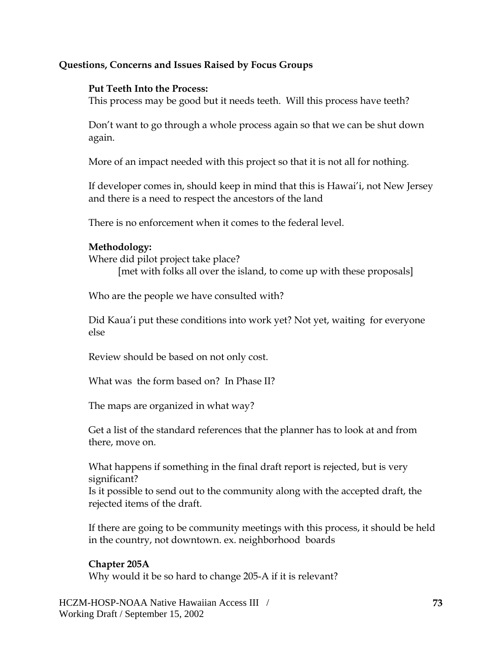## **Questions, Concerns and Issues Raised by Focus Groups**

## **Put Teeth Into the Process:**

This process may be good but it needs teeth. Will this process have teeth?

Don't want to go through a whole process again so that we can be shut down again.

More of an impact needed with this project so that it is not all for nothing.

If developer comes in, should keep in mind that this is Hawai'i, not New Jersey and there is a need to respect the ancestors of the land

There is no enforcement when it comes to the federal level.

# **Methodology:**

Where did pilot project take place? [met with folks all over the island, to come up with these proposals]

Who are the people we have consulted with?

Did Kaua'i put these conditions into work yet? Not yet, waiting for everyone else

Review should be based on not only cost.

What was the form based on? In Phase II?

The maps are organized in what way?

Get a list of the standard references that the planner has to look at and from there, move on.

What happens if something in the final draft report is rejected, but is very significant?

Is it possible to send out to the community along with the accepted draft, the rejected items of the draft.

If there are going to be community meetings with this process, it should be held in the country, not downtown. ex. neighborhood boards

# **Chapter 205A**

Why would it be so hard to change 205-A if it is relevant?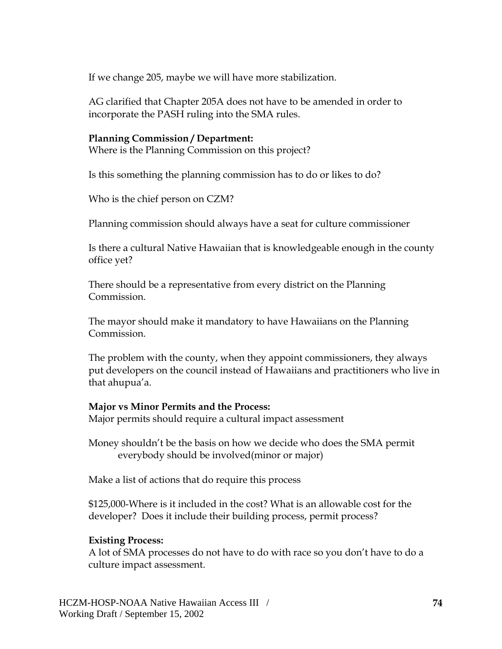If we change 205, maybe we will have more stabilization.

AG clarified that Chapter 205A does not have to be amended in order to incorporate the PASH ruling into the SMA rules.

#### **Planning Commission / Department:**

Where is the Planning Commission on this project?

Is this something the planning commission has to do or likes to do?

Who is the chief person on CZM?

Planning commission should always have a seat for culture commissioner

Is there a cultural Native Hawaiian that is knowledgeable enough in the county office yet?

There should be a representative from every district on the Planning Commission.

The mayor should make it mandatory to have Hawaiians on the Planning Commission.

The problem with the county, when they appoint commissioners, they always put developers on the council instead of Hawaiians and practitioners who live in that ahupua'a.

#### **Major vs Minor Permits and the Process:**

Major permits should require a cultural impact assessment

Money shouldn't be the basis on how we decide who does the SMA permit everybody should be involved(minor or major)

Make a list of actions that do require this process

\$125,000-Where is it included in the cost? What is an allowable cost for the developer? Does it include their building process, permit process?

#### **Existing Process:**

A lot of SMA processes do not have to do with race so you don't have to do a culture impact assessment.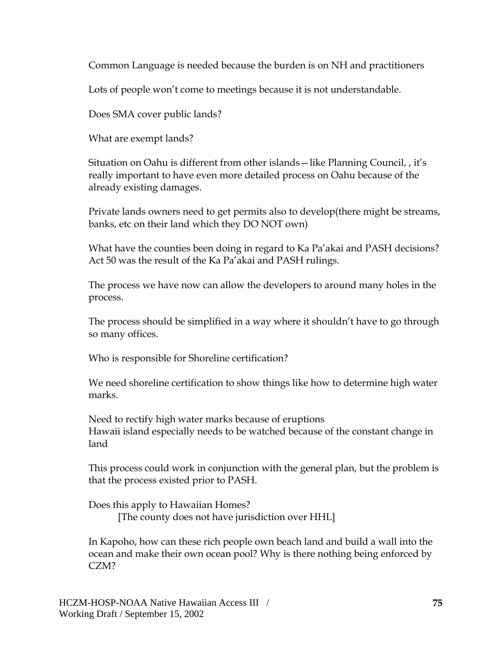Common Language is needed because the burden is on NH and practitioners

Lots of people won't come to meetings because it is not understandable.

Does SMA cover public lands?

What are exempt lands?

Situation on Oahu is different from other islands—like Planning Council, , it's really important to have even more detailed process on Oahu because of the already existing damages.

Private lands owners need to get permits also to develop(there might be streams, banks, etc on their land which they DO NOT own)

What have the counties been doing in regard to Ka Pa'akai and PASH decisions? Act 50 was the result of the Ka Pa'akai and PASH rulings.

The process we have now can allow the developers to around many holes in the process.

The process should be simplified in a way where it shouldn't have to go through so many offices.

Who is responsible for Shoreline certification?

We need shoreline certification to show things like how to determine high water marks.

Need to rectify high water marks because of eruptions Hawaii island especially needs to be watched because of the constant change in land

This process could work in conjunction with the general plan, but the problem is that the process existed prior to PASH.

Does this apply to Hawaiian Homes? [The county does not have jurisdiction over HHL]

In Kapoho, how can these rich people own beach land and build a wall into the ocean and make their own ocean pool? Why is there nothing being enforced by CZM?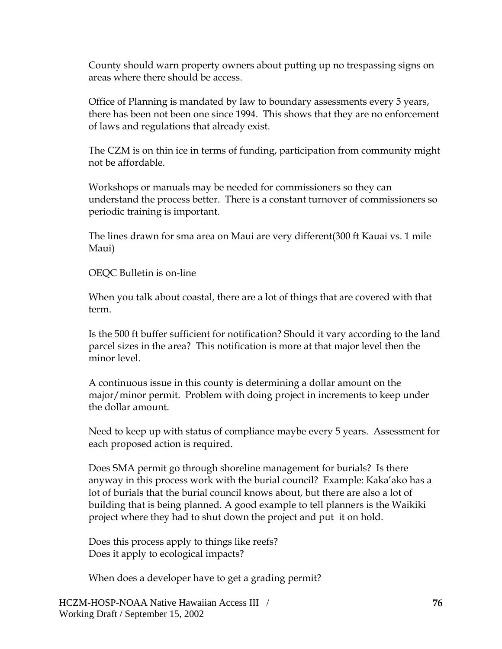County should warn property owners about putting up no trespassing signs on areas where there should be access.

Office of Planning is mandated by law to boundary assessments every 5 years, there has been not been one since 1994. This shows that they are no enforcement of laws and regulations that already exist.

The CZM is on thin ice in terms of funding, participation from community might not be affordable.

Workshops or manuals may be needed for commissioners so they can understand the process better. There is a constant turnover of commissioners so periodic training is important.

The lines drawn for sma area on Maui are very different(300 ft Kauai vs. 1 mile Maui)

OEQC Bulletin is on-line

When you talk about coastal, there are a lot of things that are covered with that term.

Is the 500 ft buffer sufficient for notification? Should it vary according to the land parcel sizes in the area? This notification is more at that major level then the minor level.

A continuous issue in this county is determining a dollar amount on the major/minor permit. Problem with doing project in increments to keep under the dollar amount.

Need to keep up with status of compliance maybe every 5 years. Assessment for each proposed action is required.

Does SMA permit go through shoreline management for burials? Is there anyway in this process work with the burial council? Example: Kaka'ako has a lot of burials that the burial council knows about, but there are also a lot of building that is being planned. A good example to tell planners is the Waikiki project where they had to shut down the project and put it on hold.

Does this process apply to things like reefs? Does it apply to ecological impacts?

When does a developer have to get a grading permit?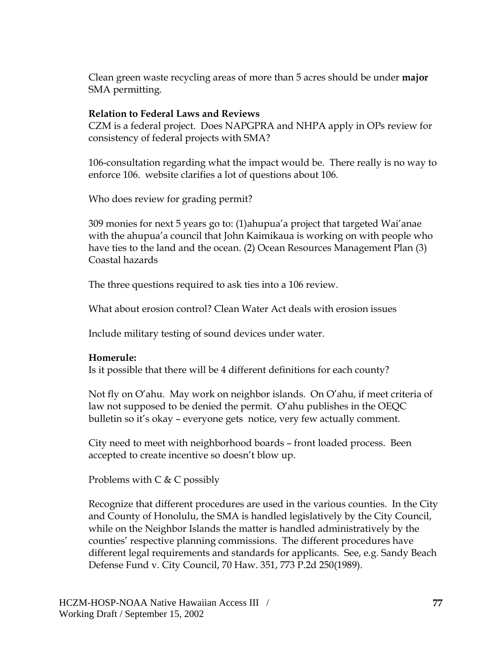Clean green waste recycling areas of more than 5 acres should be under **major** SMA permitting.

#### **Relation to Federal Laws and Reviews**

CZM is a federal project. Does NAPGPRA and NHPA apply in OPs review for consistency of federal projects with SMA?

106-consultation regarding what the impact would be. There really is no way to enforce 106. website clarifies a lot of questions about 106.

Who does review for grading permit?

309 monies for next 5 years go to: (1)ahupua'a project that targeted Wai'anae with the ahupua'a council that John Kaimikaua is working on with people who have ties to the land and the ocean. (2) Ocean Resources Management Plan (3) Coastal hazards

The three questions required to ask ties into a 106 review.

What about erosion control? Clean Water Act deals with erosion issues

Include military testing of sound devices under water.

#### **Homerule:**

Is it possible that there will be 4 different definitions for each county?

Not fly on O'ahu. May work on neighbor islands. On O'ahu, if meet criteria of law not supposed to be denied the permit. O'ahu publishes in the OEQC bulletin so it's okay – everyone gets notice, very few actually comment.

City need to meet with neighborhood boards – front loaded process. Been accepted to create incentive so doesn't blow up.

Problems with  $C & C$  possibly

Recognize that different procedures are used in the various counties. In the City and County of Honolulu, the SMA is handled legislatively by the City Council, while on the Neighbor Islands the matter is handled administratively by the counties' respective planning commissions. The different procedures have different legal requirements and standards for applicants. See, e.g. Sandy Beach Defense Fund v. City Council, 70 Haw. 351, 773 P.2d 250(1989).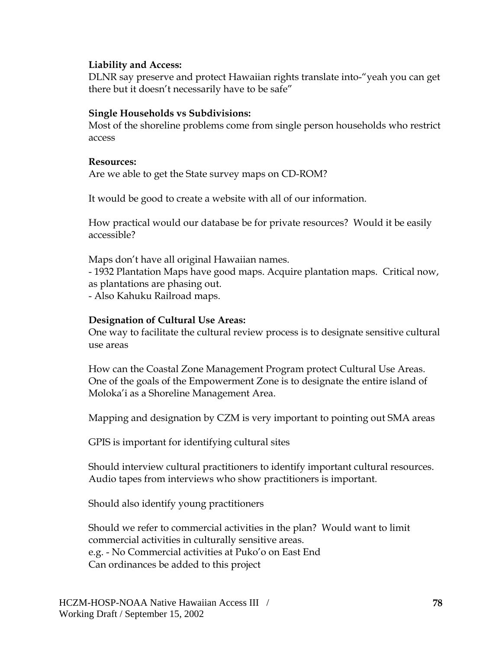#### **Liability and Access:**

DLNR say preserve and protect Hawaiian rights translate into-"yeah you can get there but it doesn't necessarily have to be safe"

## **Single Households vs Subdivisions:**

Most of the shoreline problems come from single person households who restrict access

#### **Resources:**

Are we able to get the State survey maps on CD-ROM?

It would be good to create a website with all of our information.

How practical would our database be for private resources? Would it be easily accessible?

Maps don't have all original Hawaiian names.

- 1932 Plantation Maps have good maps. Acquire plantation maps. Critical now, as plantations are phasing out.

- Also Kahuku Railroad maps.

## **Designation of Cultural Use Areas:**

One way to facilitate the cultural review process is to designate sensitive cultural use areas

How can the Coastal Zone Management Program protect Cultural Use Areas. One of the goals of the Empowerment Zone is to designate the entire island of Moloka'i as a Shoreline Management Area.

Mapping and designation by CZM is very important to pointing out SMA areas

GPIS is important for identifying cultural sites

Should interview cultural practitioners to identify important cultural resources. Audio tapes from interviews who show practitioners is important.

Should also identify young practitioners

Should we refer to commercial activities in the plan? Would want to limit commercial activities in culturally sensitive areas. e.g. - No Commercial activities at Puko'o on East End Can ordinances be added to this project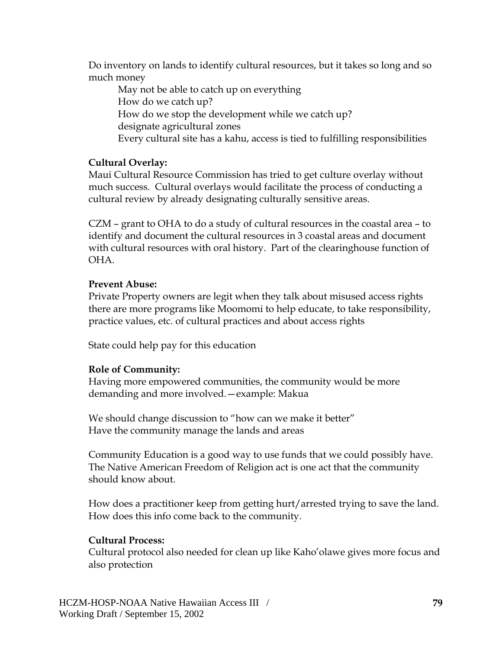Do inventory on lands to identify cultural resources, but it takes so long and so much money

 May not be able to catch up on everything How do we catch up? How do we stop the development while we catch up? designate agricultural zones Every cultural site has a kahu, access is tied to fulfilling responsibilities

## **Cultural Overlay:**

Maui Cultural Resource Commission has tried to get culture overlay without much success. Cultural overlays would facilitate the process of conducting a cultural review by already designating culturally sensitive areas.

CZM – grant to OHA to do a study of cultural resources in the coastal area – to identify and document the cultural resources in 3 coastal areas and document with cultural resources with oral history. Part of the clearinghouse function of OHA.

## **Prevent Abuse:**

Private Property owners are legit when they talk about misused access rights there are more programs like Moomomi to help educate, to take responsibility, practice values, etc. of cultural practices and about access rights

State could help pay for this education

# **Role of Community:**

Having more empowered communities, the community would be more demanding and more involved.—example: Makua

We should change discussion to "how can we make it better" Have the community manage the lands and areas

Community Education is a good way to use funds that we could possibly have. The Native American Freedom of Religion act is one act that the community should know about.

How does a practitioner keep from getting hurt/arrested trying to save the land. How does this info come back to the community.

# **Cultural Process:**

Cultural protocol also needed for clean up like Kaho'olawe gives more focus and also protection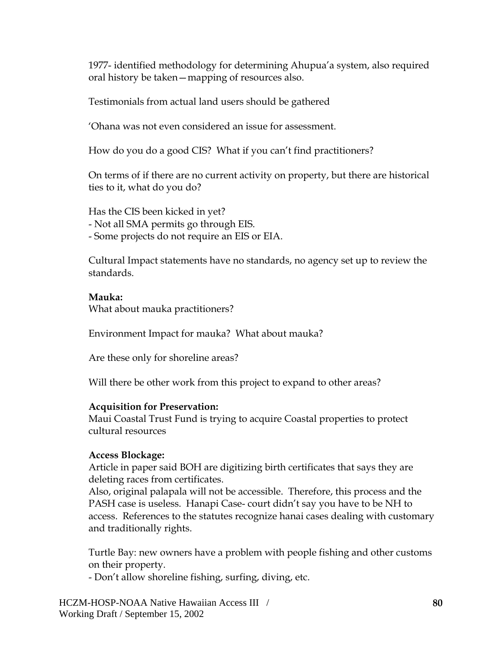1977- identified methodology for determining Ahupua'a system, also required oral history be taken—mapping of resources also.

Testimonials from actual land users should be gathered

'Ohana was not even considered an issue for assessment.

How do you do a good CIS? What if you can't find practitioners?

On terms of if there are no current activity on property, but there are historical ties to it, what do you do?

Has the CIS been kicked in yet?

- Not all SMA permits go through EIS.
- Some projects do not require an EIS or EIA.

Cultural Impact statements have no standards, no agency set up to review the standards.

## **Mauka:**

What about mauka practitioners?

Environment Impact for mauka? What about mauka?

Are these only for shoreline areas?

Will there be other work from this project to expand to other areas?

#### **Acquisition for Preservation:**

Maui Coastal Trust Fund is trying to acquire Coastal properties to protect cultural resources

# **Access Blockage:**

Article in paper said BOH are digitizing birth certificates that says they are deleting races from certificates.

Also, original palapala will not be accessible. Therefore, this process and the PASH case is useless. Hanapi Case- court didn't say you have to be NH to access. References to the statutes recognize hanai cases dealing with customary and traditionally rights.

Turtle Bay: new owners have a problem with people fishing and other customs on their property.

- Don't allow shoreline fishing, surfing, diving, etc.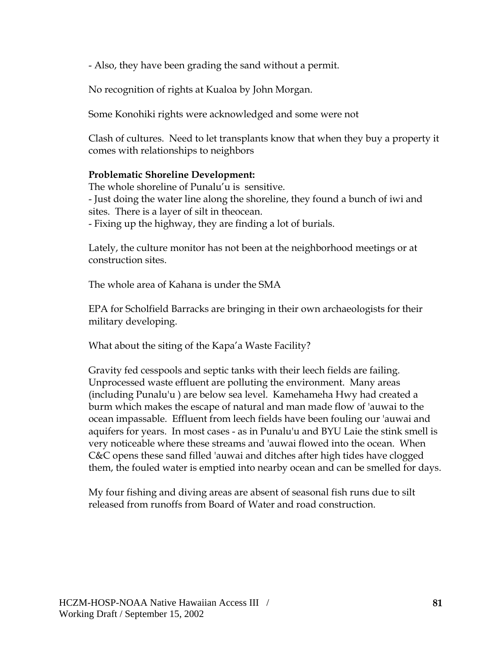- Also, they have been grading the sand without a permit.

No recognition of rights at Kualoa by John Morgan.

Some Konohiki rights were acknowledged and some were not

Clash of cultures. Need to let transplants know that when they buy a property it comes with relationships to neighbors

# **Problematic Shoreline Development:**

The whole shoreline of Punalu'u is sensitive. - Just doing the water line along the shoreline, they found a bunch of iwi and sites. There is a layer of silt in theocean.

- Fixing up the highway, they are finding a lot of burials.

Lately, the culture monitor has not been at the neighborhood meetings or at construction sites.

The whole area of Kahana is under the SMA

EPA for Scholfield Barracks are bringing in their own archaeologists for their military developing.

What about the siting of the Kapa'a Waste Facility?

Gravity fed cesspools and septic tanks with their leech fields are failing. Unprocessed waste effluent are polluting the environment. Many areas (including Punalu'u ) are below sea level. Kamehameha Hwy had created a burm which makes the escape of natural and man made flow of 'auwai to the ocean impassable. Effluent from leech fields have been fouling our 'auwai and aquifers for years. In most cases - as in Punalu'u and BYU Laie the stink smell is very noticeable where these streams and 'auwai flowed into the ocean. When C&C opens these sand filled 'auwai and ditches after high tides have clogged them, the fouled water is emptied into nearby ocean and can be smelled for days.

My four fishing and diving areas are absent of seasonal fish runs due to silt released from runoffs from Board of Water and road construction.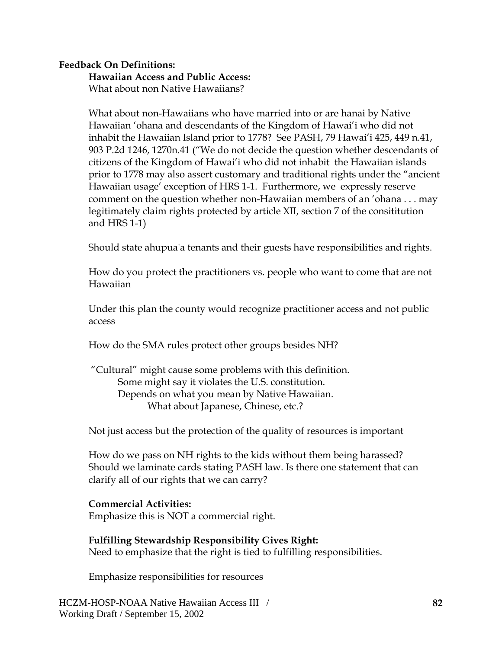#### **Feedback On Definitions:**

# **Hawaiian Access and Public Access:**

What about non Native Hawaiians?

What about non-Hawaiians who have married into or are hanai by Native Hawaiian 'ohana and descendants of the Kingdom of Hawai'i who did not inhabit the Hawaiian Island prior to 1778? See PASH, 79 Hawai'i 425, 449 n.41, 903 P.2d 1246, 1270n.41 ("We do not decide the question whether descendants of citizens of the Kingdom of Hawai'i who did not inhabit the Hawaiian islands prior to 1778 may also assert customary and traditional rights under the "ancient Hawaiian usage' exception of HRS 1-1. Furthermore, we expressly reserve comment on the question whether non-Hawaiian members of an 'ohana . . . may legitimately claim rights protected by article XII, section 7 of the consititution and HRS 1-1)

Should state ahupua'a tenants and their guests have responsibilities and rights.

How do you protect the practitioners vs. people who want to come that are not Hawaiian

Under this plan the county would recognize practitioner access and not public access

How do the SMA rules protect other groups besides NH?

 "Cultural" might cause some problems with this definition. Some might say it violates the U.S. constitution. Depends on what you mean by Native Hawaiian. What about Japanese, Chinese, etc.?

Not just access but the protection of the quality of resources is important

How do we pass on NH rights to the kids without them being harassed? Should we laminate cards stating PASH law. Is there one statement that can clarify all of our rights that we can carry?

# **Commercial Activities:**

Emphasize this is NOT a commercial right.

#### **Fulfilling Stewardship Responsibility Gives Right:**

Need to emphasize that the right is tied to fulfilling responsibilities.

Emphasize responsibilities for resources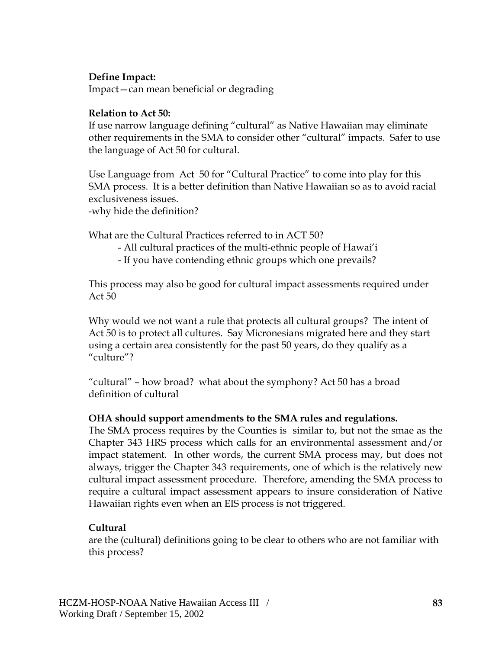#### **Define Impact:**

Impact—can mean beneficial or degrading

## **Relation to Act 50:**

If use narrow language defining "cultural" as Native Hawaiian may eliminate other requirements in the SMA to consider other "cultural" impacts. Safer to use the language of Act 50 for cultural.

Use Language from Act 50 for "Cultural Practice" to come into play for this SMA process. It is a better definition than Native Hawaiian so as to avoid racial exclusiveness issues.

-why hide the definition?

What are the Cultural Practices referred to in ACT 50?

- All cultural practices of the multi-ethnic people of Hawai'i
- If you have contending ethnic groups which one prevails?

This process may also be good for cultural impact assessments required under Act 50

Why would we not want a rule that protects all cultural groups? The intent of Act 50 is to protect all cultures. Say Micronesians migrated here and they start using a certain area consistently for the past 50 years, do they qualify as a "culture"?

"cultural" – how broad? what about the symphony? Act 50 has a broad definition of cultural

# **OHA should support amendments to the SMA rules and regulations.**

The SMA process requires by the Counties is similar to, but not the smae as the Chapter 343 HRS process which calls for an environmental assessment and/or impact statement. In other words, the current SMA process may, but does not always, trigger the Chapter 343 requirements, one of which is the relatively new cultural impact assessment procedure. Therefore, amending the SMA process to require a cultural impact assessment appears to insure consideration of Native Hawaiian rights even when an EIS process is not triggered.

# **Cultural**

are the (cultural) definitions going to be clear to others who are not familiar with this process?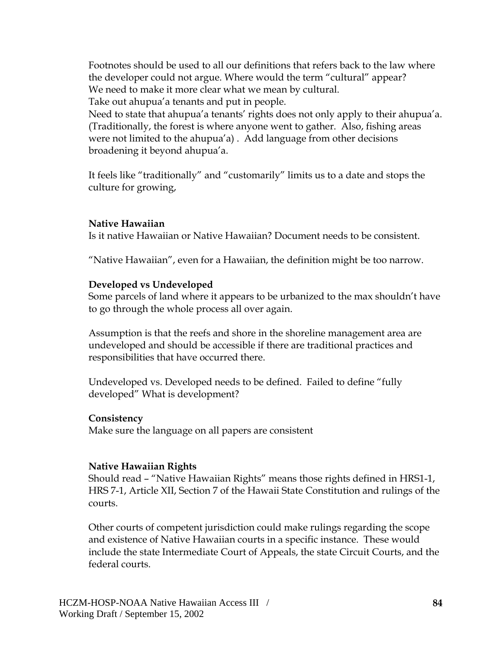Footnotes should be used to all our definitions that refers back to the law where the developer could not argue. Where would the term "cultural" appear? We need to make it more clear what we mean by cultural. Take out ahupua'a tenants and put in people.

Need to state that ahupua'a tenants' rights does not only apply to their ahupua'a. (Traditionally, the forest is where anyone went to gather. Also, fishing areas were not limited to the ahupua'a) . Add language from other decisions broadening it beyond ahupua'a.

It feels like "traditionally" and "customarily" limits us to a date and stops the culture for growing,

## **Native Hawaiian**

Is it native Hawaiian or Native Hawaiian? Document needs to be consistent.

"Native Hawaiian", even for a Hawaiian, the definition might be too narrow.

#### **Developed vs Undeveloped**

Some parcels of land where it appears to be urbanized to the max shouldn't have to go through the whole process all over again.

Assumption is that the reefs and shore in the shoreline management area are undeveloped and should be accessible if there are traditional practices and responsibilities that have occurred there.

Undeveloped vs. Developed needs to be defined. Failed to define "fully developed" What is development?

# **Consistency**

Make sure the language on all papers are consistent

#### **Native Hawaiian Rights**

Should read – "Native Hawaiian Rights" means those rights defined in HRS1-1, HRS 7-1, Article XII, Section 7 of the Hawaii State Constitution and rulings of the courts.

Other courts of competent jurisdiction could make rulings regarding the scope and existence of Native Hawaiian courts in a specific instance. These would include the state Intermediate Court of Appeals, the state Circuit Courts, and the federal courts.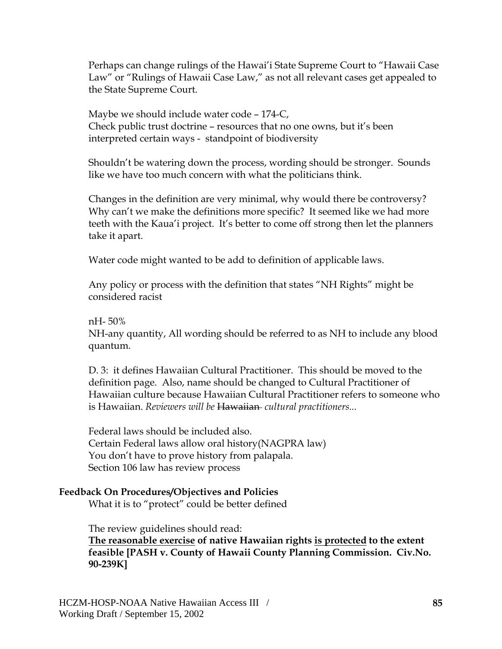Perhaps can change rulings of the Hawai'i State Supreme Court to "Hawaii Case Law" or "Rulings of Hawaii Case Law," as not all relevant cases get appealed to the State Supreme Court.

Maybe we should include water code – 174-C, Check public trust doctrine – resources that no one owns, but it's been interpreted certain ways - standpoint of biodiversity

Shouldn't be watering down the process, wording should be stronger. Sounds like we have too much concern with what the politicians think.

Changes in the definition are very minimal, why would there be controversy? Why can't we make the definitions more specific? It seemed like we had more teeth with the Kaua'i project. It's better to come off strong then let the planners take it apart.

Water code might wanted to be add to definition of applicable laws.

Any policy or process with the definition that states "NH Rights" might be considered racist

nH- 50%

NH-any quantity, All wording should be referred to as NH to include any blood quantum.

D. 3: it defines Hawaiian Cultural Practitioner. This should be moved to the definition page. Also, name should be changed to Cultural Practitioner of Hawaiian culture because Hawaiian Cultural Practitioner refers to someone who is Hawaiian. *Reviewers will be* Hawaiian *cultural practitioners...*

Federal laws should be included also. Certain Federal laws allow oral history(NAGPRA law) You don't have to prove history from palapala. Section 106 law has review process

#### **Feedback On Procedures/Objectives and Policies**

What it is to "protect" could be better defined

The review guidelines should read: **The reasonable exercise of native Hawaiian rights is protected to the extent feasible [PASH v. County of Hawaii County Planning Commission. Civ.No. 90-239K]**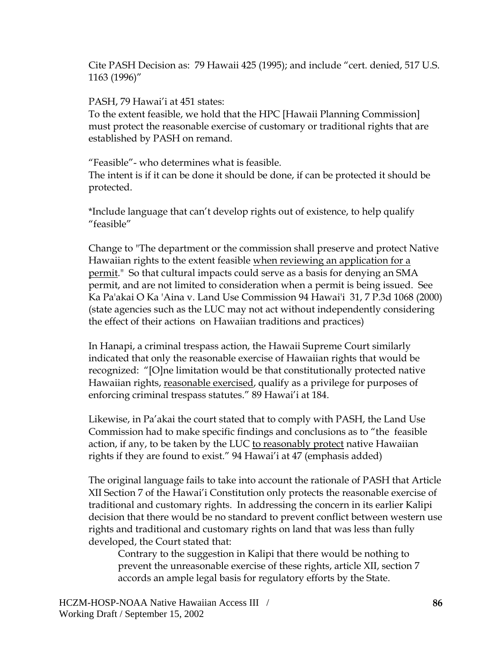Cite PASH Decision as: 79 Hawaii 425 (1995); and include "cert. denied, 517 U.S. 1163 (1996)"

PASH, 79 Hawai'i at 451 states:

To the extent feasible, we hold that the HPC [Hawaii Planning Commission] must protect the reasonable exercise of customary or traditional rights that are established by PASH on remand.

"Feasible"- who determines what is feasible. The intent is if it can be done it should be done, if can be protected it should be protected.

\*Include language that can't develop rights out of existence, to help qualify "feasible"

Change to "The department or the commission shall preserve and protect Native Hawaiian rights to the extent feasible when reviewing an application for a permit." So that cultural impacts could serve as a basis for denying an SMA permit, and are not limited to consideration when a permit is being issued. See Ka Pa'akai O Ka 'Aina v. Land Use Commission 94 Hawai'i 31, 7 P.3d 1068 (2000) (state agencies such as the LUC may not act without independently considering the effect of their actions on Hawaiian traditions and practices)

In Hanapi, a criminal trespass action, the Hawaii Supreme Court similarly indicated that only the reasonable exercise of Hawaiian rights that would be recognized: "[O]ne limitation would be that constitutionally protected native Hawaiian rights, reasonable exercised, qualify as a privilege for purposes of enforcing criminal trespass statutes." 89 Hawai'i at 184.

Likewise, in Pa'akai the court stated that to comply with PASH, the Land Use Commission had to make specific findings and conclusions as to "the feasible action, if any, to be taken by the LUC to reasonably protect native Hawaiian rights if they are found to exist." 94 Hawai'i at 47 (emphasis added)

The original language fails to take into account the rationale of PASH that Article XII Section 7 of the Hawai'i Constitution only protects the reasonable exercise of traditional and customary rights. In addressing the concern in its earlier Kalipi decision that there would be no standard to prevent conflict between western use rights and traditional and customary rights on land that was less than fully developed, the Court stated that:

Contrary to the suggestion in Kalipi that there would be nothing to prevent the unreasonable exercise of these rights, article XII, section 7 accords an ample legal basis for regulatory efforts by the State.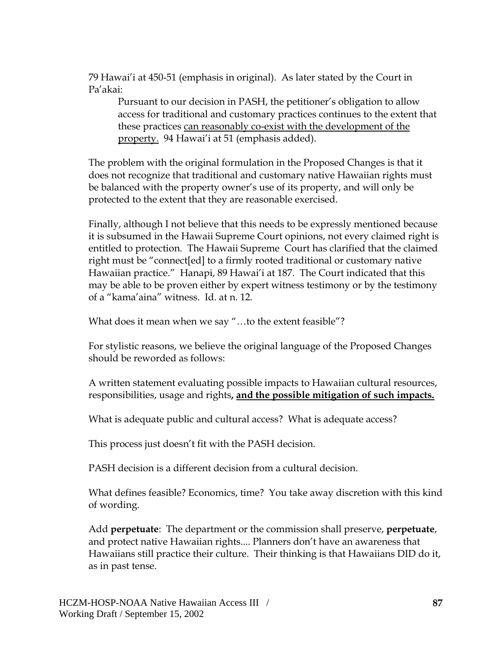79 Hawai'i at 450-51 (emphasis in original). As later stated by the Court in Pa'akai:

Pursuant to our decision in PASH, the petitioner's obligation to allow access for traditional and customary practices continues to the extent that these practices can reasonably co-exist with the development of the property. 94 Hawai'i at 51 (emphasis added).

The problem with the original formulation in the Proposed Changes is that it does not recognize that traditional and customary native Hawaiian rights must be balanced with the property owner's use of its property, and will only be protected to the extent that they are reasonable exercised.

Finally, although I not believe that this needs to be expressly mentioned because it is subsumed in the Hawaii Supreme Court opinions, not every claimed right is entitled to protection. The Hawaii Supreme Court has clarified that the claimed right must be "connect[ed] to a firmly rooted traditional or customary native Hawaiian practice." Hanapi, 89 Hawai'i at 187. The Court indicated that this may be able to be proven either by expert witness testimony or by the testimony of a "kama'aina" witness. Id. at n. 12.

What does it mean when we say "...to the extent feasible"?

For stylistic reasons, we believe the original language of the Proposed Changes should be reworded as follows:

A written statement evaluating possible impacts to Hawaiian cultural resources, responsibilities, usage and rights**, and the possible mitigation of such impacts.**

What is adequate public and cultural access? What is adequate access?

This process just doesn't fit with the PASH decision.

PASH decision is a different decision from a cultural decision.

What defines feasible? Economics, time? You take away discretion with this kind of wording.

Add **perpetuate**: The department or the commission shall preserve, **perpetuate**, and protect native Hawaiian rights.... Planners don't have an awareness that Hawaiians still practice their culture. Their thinking is that Hawaiians DID do it, as in past tense.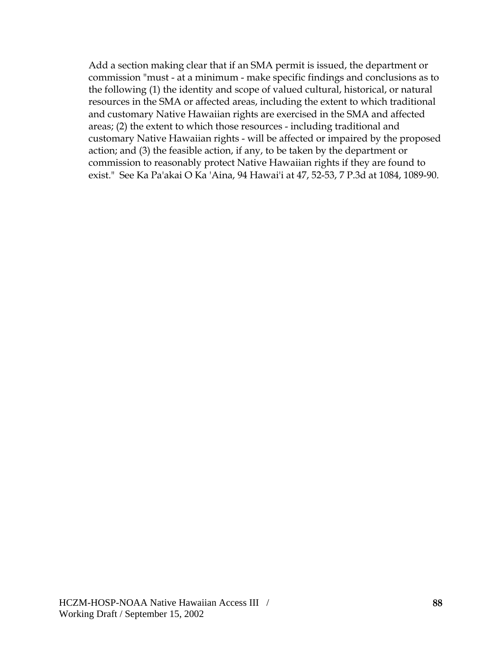Add a section making clear that if an SMA permit is issued, the department or commission "must - at a minimum - make specific findings and conclusions as to the following (1) the identity and scope of valued cultural, historical, or natural resources in the SMA or affected areas, including the extent to which traditional and customary Native Hawaiian rights are exercised in the SMA and affected areas; (2) the extent to which those resources - including traditional and customary Native Hawaiian rights - will be affected or impaired by the proposed action; and (3) the feasible action, if any, to be taken by the department or commission to reasonably protect Native Hawaiian rights if they are found to exist." See Ka Pa'akai O Ka 'Aina, 94 Hawai'i at 47, 52-53, 7 P.3d at 1084, 1089-90.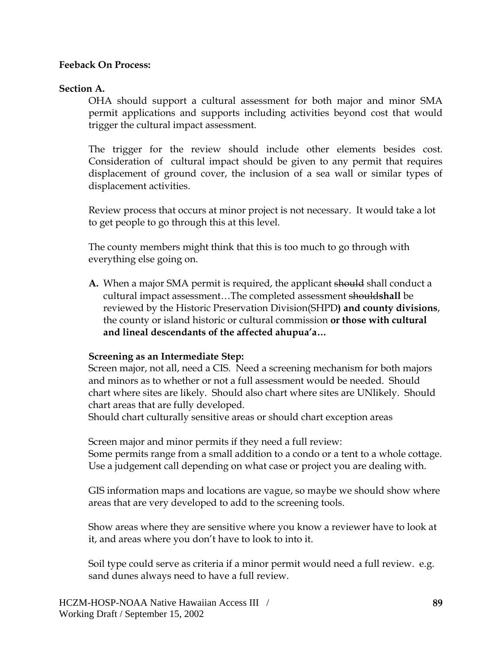#### **Feeback On Process:**

#### **Section A.**

OHA should support a cultural assessment for both major and minor SMA permit applications and supports including activities beyond cost that would trigger the cultural impact assessment.

The trigger for the review should include other elements besides cost. Consideration of cultural impact should be given to any permit that requires displacement of ground cover, the inclusion of a sea wall or similar types of displacement activities.

Review process that occurs at minor project is not necessary. It would take a lot to get people to go through this at this level.

The county members might think that this is too much to go through with everything else going on.

**A.** When a major SMA permit is required, the applicant should shall conduct a cultural impact assessment…The completed assessment should**shall** be reviewed by the Historic Preservation Division(SHPD**) and county divisions**, the county or island historic or cultural commission **or those with cultural and lineal descendants of the affected ahupua'a…** 

#### **Screening as an Intermediate Step:**

Screen major, not all, need a CIS. Need a screening mechanism for both majors and minors as to whether or not a full assessment would be needed. Should chart where sites are likely. Should also chart where sites are UNlikely. Should chart areas that are fully developed.

Should chart culturally sensitive areas or should chart exception areas

Screen major and minor permits if they need a full review:

Some permits range from a small addition to a condo or a tent to a whole cottage. Use a judgement call depending on what case or project you are dealing with.

GIS information maps and locations are vague, so maybe we should show where areas that are very developed to add to the screening tools.

Show areas where they are sensitive where you know a reviewer have to look at it, and areas where you don't have to look to into it.

Soil type could serve as criteria if a minor permit would need a full review. e.g. sand dunes always need to have a full review.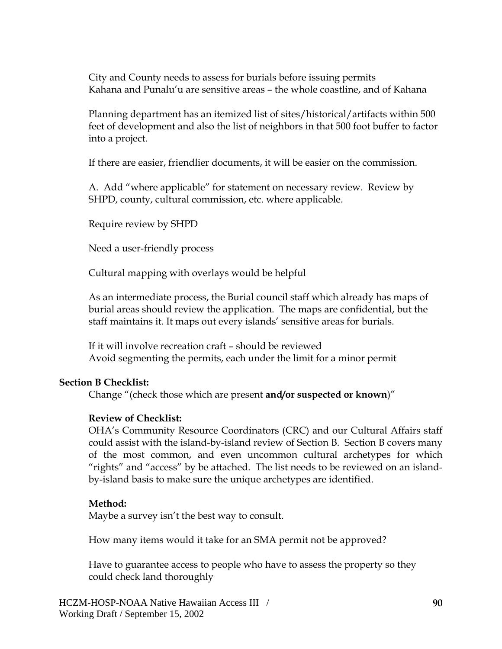City and County needs to assess for burials before issuing permits Kahana and Punalu'u are sensitive areas – the whole coastline, and of Kahana

Planning department has an itemized list of sites/historical/artifacts within 500 feet of development and also the list of neighbors in that 500 foot buffer to factor into a project.

If there are easier, friendlier documents, it will be easier on the commission.

A. Add "where applicable" for statement on necessary review. Review by SHPD, county, cultural commission, etc. where applicable.

Require review by SHPD

Need a user-friendly process

Cultural mapping with overlays would be helpful

As an intermediate process, the Burial council staff which already has maps of burial areas should review the application. The maps are confidential, but the staff maintains it. It maps out every islands' sensitive areas for burials.

If it will involve recreation craft – should be reviewed Avoid segmenting the permits, each under the limit for a minor permit

#### **Section B Checklist:**

Change "(check those which are present **and/or suspected or known**)"

# **Review of Checklist:**

OHA's Community Resource Coordinators (CRC) and our Cultural Affairs staff could assist with the island-by-island review of Section B. Section B covers many of the most common, and even uncommon cultural archetypes for which "rights" and "access" by be attached. The list needs to be reviewed on an islandby-island basis to make sure the unique archetypes are identified.

#### **Method:**

Maybe a survey isn't the best way to consult.

How many items would it take for an SMA permit not be approved?

Have to guarantee access to people who have to assess the property so they could check land thoroughly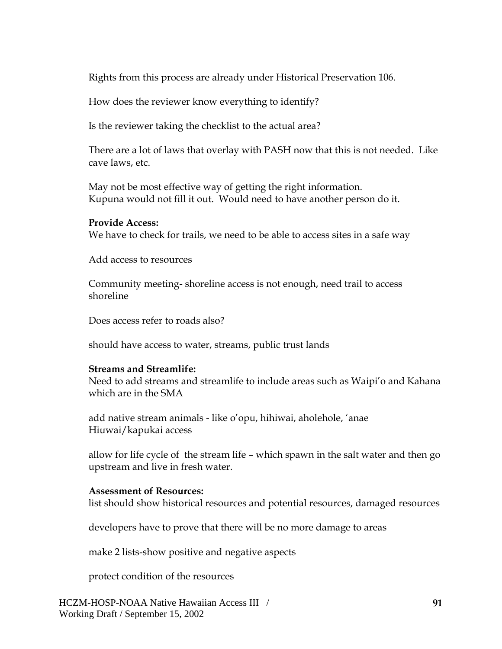Rights from this process are already under Historical Preservation 106.

How does the reviewer know everything to identify?

Is the reviewer taking the checklist to the actual area?

There are a lot of laws that overlay with PASH now that this is not needed. Like cave laws, etc.

May not be most effective way of getting the right information. Kupuna would not fill it out. Would need to have another person do it.

#### **Provide Access:**

We have to check for trails, we need to be able to access sites in a safe way

Add access to resources

Community meeting- shoreline access is not enough, need trail to access shoreline

Does access refer to roads also?

should have access to water, streams, public trust lands

#### **Streams and Streamlife:**

Need to add streams and streamlife to include areas such as Waipi'o and Kahana which are in the SMA

add native stream animals - like o'opu, hihiwai, aholehole, 'anae Hiuwai/kapukai access

allow for life cycle of the stream life – which spawn in the salt water and then go upstream and live in fresh water.

#### **Assessment of Resources:**

list should show historical resources and potential resources, damaged resources

developers have to prove that there will be no more damage to areas

make 2 lists-show positive and negative aspects

protect condition of the resources

HCZM-HOSP-NOAA Native Hawaiian Access III / Working Draft / September 15, 2002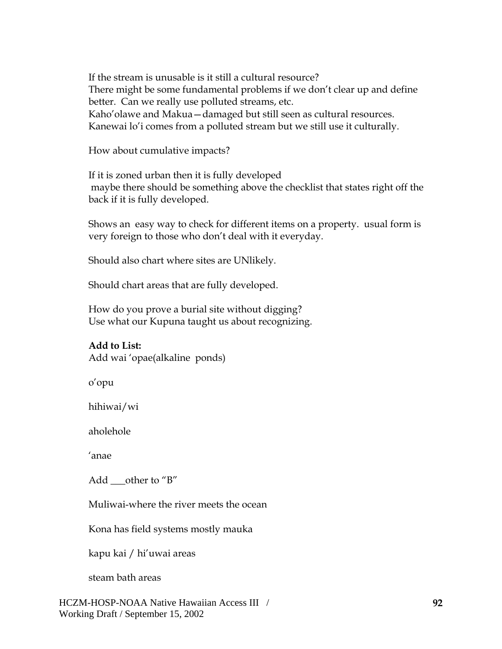If the stream is unusable is it still a cultural resource? There might be some fundamental problems if we don't clear up and define better. Can we really use polluted streams, etc. Kaho'olawe and Makua—damaged but still seen as cultural resources. Kanewai lo'i comes from a polluted stream but we still use it culturally.

How about cumulative impacts?

If it is zoned urban then it is fully developed maybe there should be something above the checklist that states right off the back if it is fully developed.

Shows an easy way to check for different items on a property. usual form is very foreign to those who don't deal with it everyday.

Should also chart where sites are UNlikely.

Should chart areas that are fully developed.

How do you prove a burial site without digging? Use what our Kupuna taught us about recognizing.

# **Add to List:**

Add wai 'opae(alkaline ponds)

o'opu

hihiwai/wi

aholehole

'anae

Add other to "B"

Muliwai-where the river meets the ocean

Kona has field systems mostly mauka

kapu kai / hi'uwai areas

steam bath areas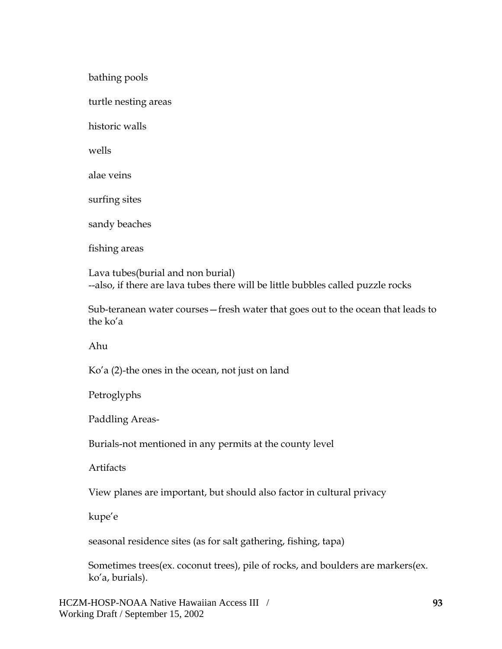bathing pools

turtle nesting areas

historic walls

wells

alae veins

surfing sites

sandy beaches

fishing areas

Lava tubes(burial and non burial) --also, if there are lava tubes there will be little bubbles called puzzle rocks

Sub-teranean water courses—fresh water that goes out to the ocean that leads to the ko'a

Ahu

Ko'a (2)-the ones in the ocean, not just on land

Petroglyphs

Paddling Areas-

Burials-not mentioned in any permits at the county level

**Artifacts** 

View planes are important, but should also factor in cultural privacy

kupe'e

seasonal residence sites (as for salt gathering, fishing, tapa)

Sometimes trees(ex. coconut trees), pile of rocks, and boulders are markers(ex. ko'a, burials).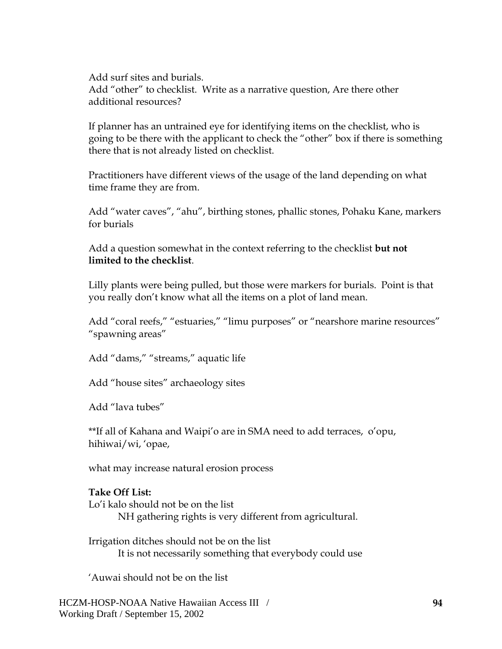Add surf sites and burials. Add "other" to checklist. Write as a narrative question, Are there other additional resources?

If planner has an untrained eye for identifying items on the checklist, who is going to be there with the applicant to check the "other" box if there is something there that is not already listed on checklist.

Practitioners have different views of the usage of the land depending on what time frame they are from.

Add "water caves", "ahu", birthing stones, phallic stones, Pohaku Kane, markers for burials

Add a question somewhat in the context referring to the checklist **but not limited to the checklist**.

Lilly plants were being pulled, but those were markers for burials. Point is that you really don't know what all the items on a plot of land mean.

Add "coral reefs," "estuaries," "limu purposes" or "nearshore marine resources" "spawning areas"

Add "dams," "streams," aquatic life

Add "house sites" archaeology sites

Add "lava tubes"

\*\*If all of Kahana and Waipi'o are in SMA need to add terraces, o'opu, hihiwai/wi, 'opae,

what may increase natural erosion process

#### **Take Off List:**

Lo'i kalo should not be on the list NH gathering rights is very different from agricultural.

Irrigation ditches should not be on the list It is not necessarily something that everybody could use

'Auwai should not be on the list

HCZM-HOSP-NOAA Native Hawaiian Access III / Working Draft / September 15, 2002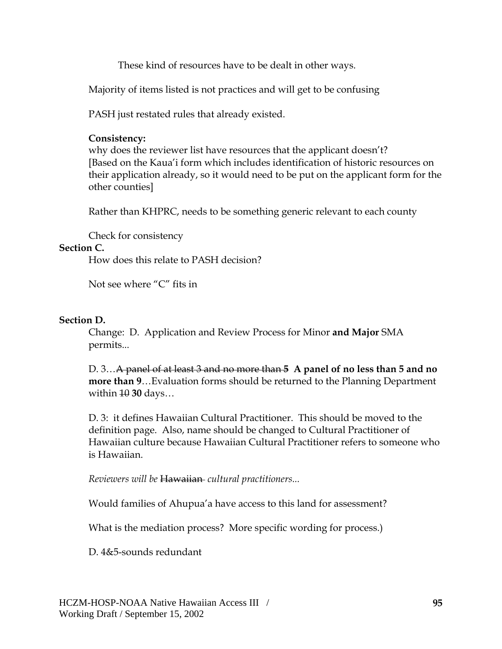These kind of resources have to be dealt in other ways.

Majority of items listed is not practices and will get to be confusing

PASH just restated rules that already existed.

## **Consistency:**

why does the reviewer list have resources that the applicant doesn't? [Based on the Kaua'i form which includes identification of historic resources on their application already, so it would need to be put on the applicant form for the other counties]

Rather than KHPRC, needs to be something generic relevant to each county

Check for consistency

# **Section C.**

How does this relate to PASH decision?

Not see where "C" fits in

## **Section D.**

Change: D. Application and Review Process for Minor **and Major** SMA permits...

D. 3…A panel of at least 3 and no more than **5 A panel of no less than 5 and no more than 9**…Evaluation forms should be returned to the Planning Department within 10 **30** days…

D. 3: it defines Hawaiian Cultural Practitioner. This should be moved to the definition page. Also, name should be changed to Cultural Practitioner of Hawaiian culture because Hawaiian Cultural Practitioner refers to someone who is Hawaiian.

*Reviewers will be* Hawaiian *cultural practitioners...*

Would families of Ahupua'a have access to this land for assessment?

What is the mediation process? More specific wording for process.)

D. 4&5-sounds redundant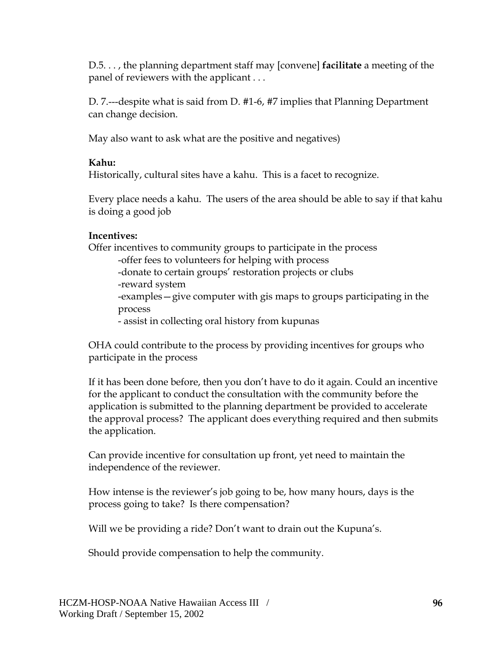D.5. . . , the planning department staff may [convene] **facilitate** a meeting of the panel of reviewers with the applicant . . .

D. 7.---despite what is said from D. #1-6, #7 implies that Planning Department can change decision.

May also want to ask what are the positive and negatives)

# **Kahu:**

Historically, cultural sites have a kahu. This is a facet to recognize.

Every place needs a kahu. The users of the area should be able to say if that kahu is doing a good job

# **Incentives:**

Offer incentives to community groups to participate in the process

-offer fees to volunteers for helping with process

-donate to certain groups' restoration projects or clubs

-reward system

-examples—give computer with gis maps to groups participating in the process

- assist in collecting oral history from kupunas

OHA could contribute to the process by providing incentives for groups who participate in the process

If it has been done before, then you don't have to do it again. Could an incentive for the applicant to conduct the consultation with the community before the application is submitted to the planning department be provided to accelerate the approval process? The applicant does everything required and then submits the application.

Can provide incentive for consultation up front, yet need to maintain the independence of the reviewer.

How intense is the reviewer's job going to be, how many hours, days is the process going to take? Is there compensation?

Will we be providing a ride? Don't want to drain out the Kupuna's.

Should provide compensation to help the community.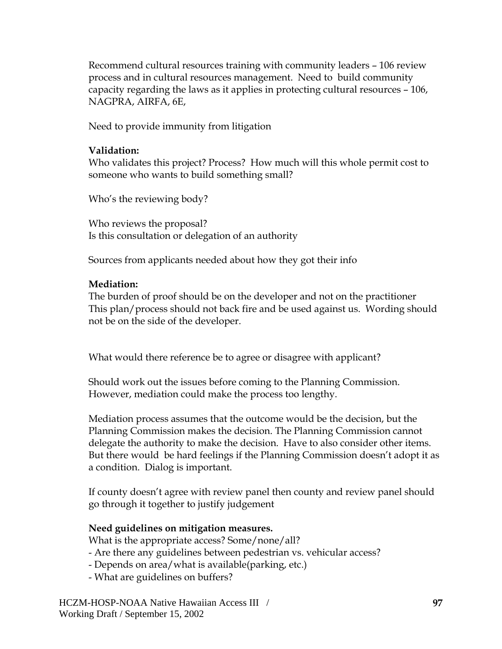Recommend cultural resources training with community leaders – 106 review process and in cultural resources management. Need to build community capacity regarding the laws as it applies in protecting cultural resources – 106, NAGPRA, AIRFA, 6E,

Need to provide immunity from litigation

## **Validation:**

Who validates this project? Process? How much will this whole permit cost to someone who wants to build something small?

Who's the reviewing body?

Who reviews the proposal? Is this consultation or delegation of an authority

Sources from applicants needed about how they got their info

## **Mediation:**

The burden of proof should be on the developer and not on the practitioner This plan/process should not back fire and be used against us. Wording should not be on the side of the developer.

What would there reference be to agree or disagree with applicant?

Should work out the issues before coming to the Planning Commission. However, mediation could make the process too lengthy.

Mediation process assumes that the outcome would be the decision, but the Planning Commission makes the decision. The Planning Commission cannot delegate the authority to make the decision. Have to also consider other items. But there would be hard feelings if the Planning Commission doesn't adopt it as a condition. Dialog is important.

If county doesn't agree with review panel then county and review panel should go through it together to justify judgement

# **Need guidelines on mitigation measures.**

What is the appropriate access? Some/none/all?

- Are there any guidelines between pedestrian vs. vehicular access?
- Depends on area/what is available(parking, etc.)
- What are guidelines on buffers?

HCZM-HOSP-NOAA Native Hawaiian Access III / Working Draft / September 15, 2002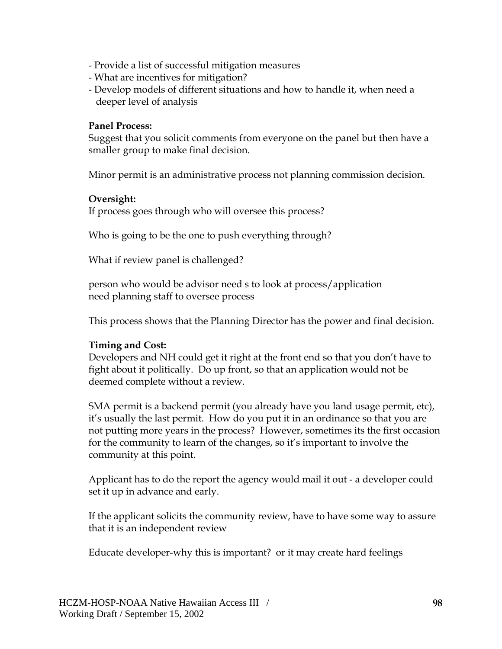- Provide a list of successful mitigation measures
- What are incentives for mitigation?
- Develop models of different situations and how to handle it, when need a deeper level of analysis

## **Panel Process:**

Suggest that you solicit comments from everyone on the panel but then have a smaller group to make final decision.

Minor permit is an administrative process not planning commission decision.

## **Oversight:**

If process goes through who will oversee this process?

Who is going to be the one to push everything through?

What if review panel is challenged?

person who would be advisor need s to look at process/application need planning staff to oversee process

This process shows that the Planning Director has the power and final decision.

# **Timing and Cost:**

Developers and NH could get it right at the front end so that you don't have to fight about it politically. Do up front, so that an application would not be deemed complete without a review.

SMA permit is a backend permit (you already have you land usage permit, etc), it's usually the last permit. How do you put it in an ordinance so that you are not putting more years in the process? However, sometimes its the first occasion for the community to learn of the changes, so it's important to involve the community at this point.

Applicant has to do the report the agency would mail it out - a developer could set it up in advance and early.

If the applicant solicits the community review, have to have some way to assure that it is an independent review

Educate developer-why this is important? or it may create hard feelings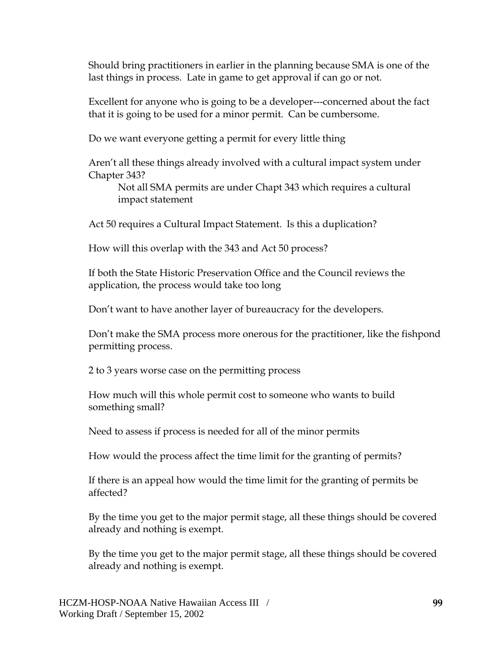Should bring practitioners in earlier in the planning because SMA is one of the last things in process. Late in game to get approval if can go or not.

Excellent for anyone who is going to be a developer---concerned about the fact that it is going to be used for a minor permit. Can be cumbersome.

Do we want everyone getting a permit for every little thing

Aren't all these things already involved with a cultural impact system under Chapter 343?

Not all SMA permits are under Chapt 343 which requires a cultural impact statement

Act 50 requires a Cultural Impact Statement. Is this a duplication?

How will this overlap with the 343 and Act 50 process?

If both the State Historic Preservation Office and the Council reviews the application, the process would take too long

Don't want to have another layer of bureaucracy for the developers.

Don't make the SMA process more onerous for the practitioner, like the fishpond permitting process.

2 to 3 years worse case on the permitting process

How much will this whole permit cost to someone who wants to build something small?

Need to assess if process is needed for all of the minor permits

How would the process affect the time limit for the granting of permits?

If there is an appeal how would the time limit for the granting of permits be affected?

By the time you get to the major permit stage, all these things should be covered already and nothing is exempt.

By the time you get to the major permit stage, all these things should be covered already and nothing is exempt.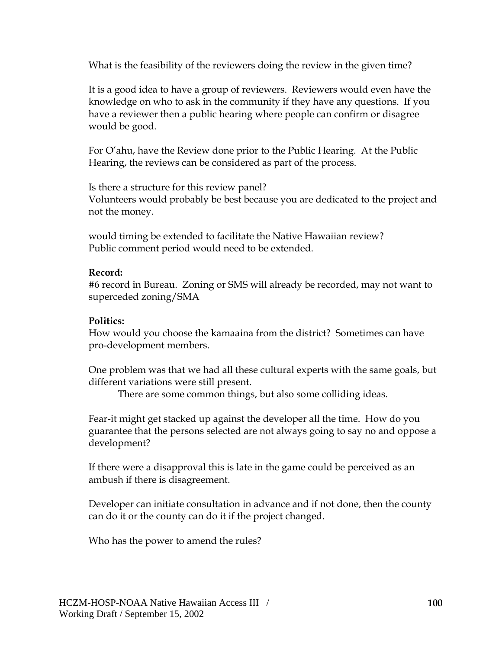What is the feasibility of the reviewers doing the review in the given time?

It is a good idea to have a group of reviewers. Reviewers would even have the knowledge on who to ask in the community if they have any questions. If you have a reviewer then a public hearing where people can confirm or disagree would be good.

For O'ahu, have the Review done prior to the Public Hearing. At the Public Hearing, the reviews can be considered as part of the process.

Is there a structure for this review panel? Volunteers would probably be best because you are dedicated to the project and not the money.

would timing be extended to facilitate the Native Hawaiian review? Public comment period would need to be extended.

## **Record:**

#6 record in Bureau. Zoning or SMS will already be recorded, may not want to superceded zoning/SMA

# **Politics:**

How would you choose the kamaaina from the district? Sometimes can have pro-development members.

One problem was that we had all these cultural experts with the same goals, but different variations were still present.

There are some common things, but also some colliding ideas.

Fear-it might get stacked up against the developer all the time. How do you guarantee that the persons selected are not always going to say no and oppose a development?

If there were a disapproval this is late in the game could be perceived as an ambush if there is disagreement.

Developer can initiate consultation in advance and if not done, then the county can do it or the county can do it if the project changed.

Who has the power to amend the rules?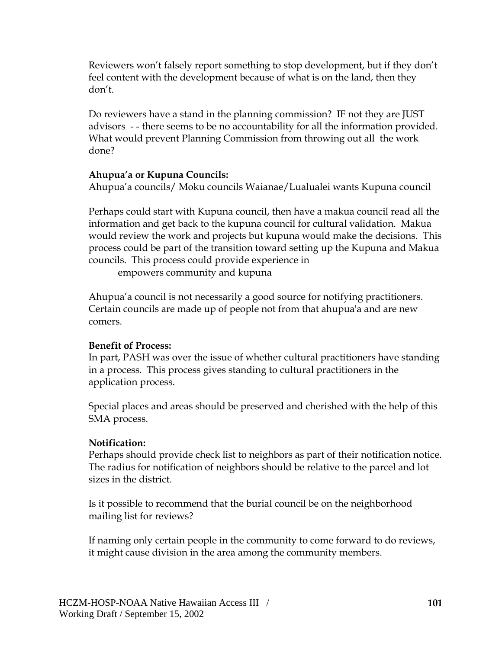Reviewers won't falsely report something to stop development, but if they don't feel content with the development because of what is on the land, then they don't.

Do reviewers have a stand in the planning commission? IF not they are JUST advisors - - there seems to be no accountability for all the information provided. What would prevent Planning Commission from throwing out all the work done?

## **Ahupua'a or Kupuna Councils:**

Ahupua'a councils/ Moku councils Waianae/Lualualei wants Kupuna council

Perhaps could start with Kupuna council, then have a makua council read all the information and get back to the kupuna council for cultural validation. Makua would review the work and projects but kupuna would make the decisions. This process could be part of the transition toward setting up the Kupuna and Makua councils. This process could provide experience in

empowers community and kupuna

Ahupua'a council is not necessarily a good source for notifying practitioners. Certain councils are made up of people not from that ahupua'a and are new comers.

#### **Benefit of Process:**

In part, PASH was over the issue of whether cultural practitioners have standing in a process. This process gives standing to cultural practitioners in the application process.

Special places and areas should be preserved and cherished with the help of this SMA process.

#### **Notification:**

Perhaps should provide check list to neighbors as part of their notification notice. The radius for notification of neighbors should be relative to the parcel and lot sizes in the district.

Is it possible to recommend that the burial council be on the neighborhood mailing list for reviews?

If naming only certain people in the community to come forward to do reviews, it might cause division in the area among the community members.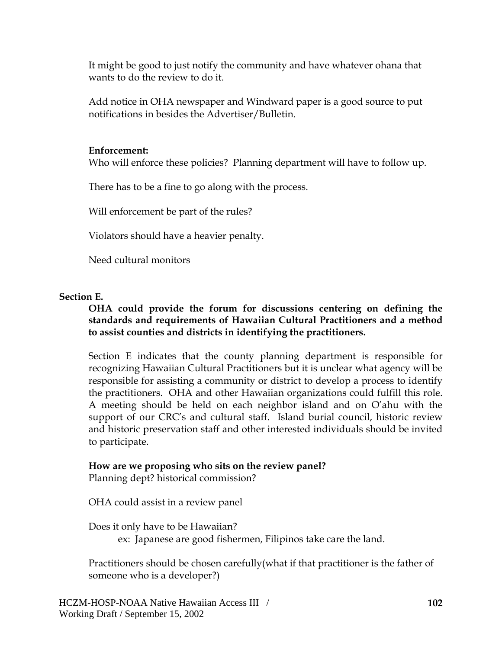It might be good to just notify the community and have whatever ohana that wants to do the review to do it.

Add notice in OHA newspaper and Windward paper is a good source to put notifications in besides the Advertiser/Bulletin.

## **Enforcement:**

Who will enforce these policies? Planning department will have to follow up.

There has to be a fine to go along with the process.

Will enforcement be part of the rules?

Violators should have a heavier penalty.

Need cultural monitors

## **Section E.**

## **OHA could provide the forum for discussions centering on defining the standards and requirements of Hawaiian Cultural Practitioners and a method to assist counties and districts in identifying the practitioners.**

Section E indicates that the county planning department is responsible for recognizing Hawaiian Cultural Practitioners but it is unclear what agency will be responsible for assisting a community or district to develop a process to identify the practitioners. OHA and other Hawaiian organizations could fulfill this role. A meeting should be held on each neighbor island and on O'ahu with the support of our CRC's and cultural staff. Island burial council, historic review and historic preservation staff and other interested individuals should be invited to participate.

#### **How are we proposing who sits on the review panel?**

Planning dept? historical commission?

OHA could assist in a review panel

Does it only have to be Hawaiian? ex: Japanese are good fishermen, Filipinos take care the land.

Practitioners should be chosen carefully(what if that practitioner is the father of someone who is a developer?)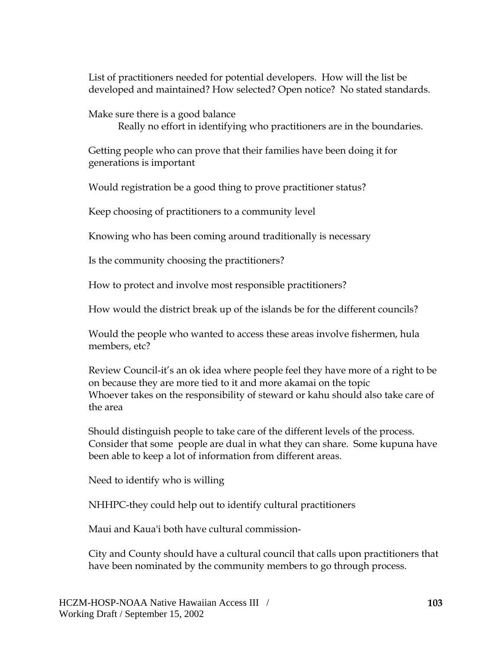List of practitioners needed for potential developers. How will the list be developed and maintained? How selected? Open notice? No stated standards.

Make sure there is a good balance

Really no effort in identifying who practitioners are in the boundaries.

Getting people who can prove that their families have been doing it for generations is important

Would registration be a good thing to prove practitioner status?

Keep choosing of practitioners to a community level

Knowing who has been coming around traditionally is necessary

Is the community choosing the practitioners?

How to protect and involve most responsible practitioners?

How would the district break up of the islands be for the different councils?

Would the people who wanted to access these areas involve fishermen, hula members, etc?

Review Council-it's an ok idea where people feel they have more of a right to be on because they are more tied to it and more akamai on the topic Whoever takes on the responsibility of steward or kahu should also take care of the area

Should distinguish people to take care of the different levels of the process. Consider that some people are dual in what they can share. Some kupuna have been able to keep a lot of information from different areas.

Need to identify who is willing

NHHPC-they could help out to identify cultural practitioners

Maui and Kaua'i both have cultural commission-

City and County should have a cultural council that calls upon practitioners that have been nominated by the community members to go through process.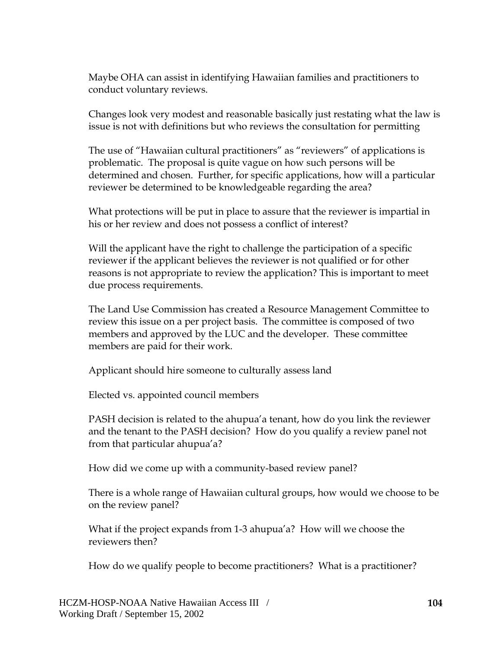Maybe OHA can assist in identifying Hawaiian families and practitioners to conduct voluntary reviews.

Changes look very modest and reasonable basically just restating what the law is issue is not with definitions but who reviews the consultation for permitting

The use of "Hawaiian cultural practitioners" as "reviewers" of applications is problematic. The proposal is quite vague on how such persons will be determined and chosen. Further, for specific applications, how will a particular reviewer be determined to be knowledgeable regarding the area?

What protections will be put in place to assure that the reviewer is impartial in his or her review and does not possess a conflict of interest?

Will the applicant have the right to challenge the participation of a specific reviewer if the applicant believes the reviewer is not qualified or for other reasons is not appropriate to review the application? This is important to meet due process requirements.

The Land Use Commission has created a Resource Management Committee to review this issue on a per project basis. The committee is composed of two members and approved by the LUC and the developer. These committee members are paid for their work.

Applicant should hire someone to culturally assess land

Elected vs. appointed council members

PASH decision is related to the ahupua'a tenant, how do you link the reviewer and the tenant to the PASH decision? How do you qualify a review panel not from that particular ahupua'a?

How did we come up with a community-based review panel?

There is a whole range of Hawaiian cultural groups, how would we choose to be on the review panel?

What if the project expands from 1-3 ahupua'a? How will we choose the reviewers then?

How do we qualify people to become practitioners? What is a practitioner?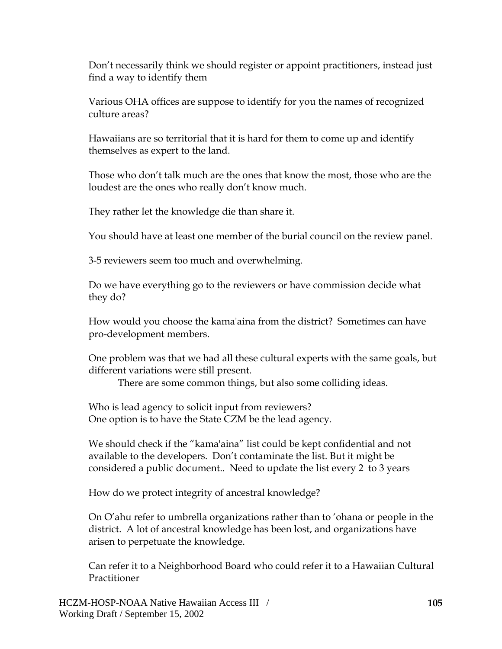Don't necessarily think we should register or appoint practitioners, instead just find a way to identify them

Various OHA offices are suppose to identify for you the names of recognized culture areas?

Hawaiians are so territorial that it is hard for them to come up and identify themselves as expert to the land.

Those who don't talk much are the ones that know the most, those who are the loudest are the ones who really don't know much.

They rather let the knowledge die than share it.

You should have at least one member of the burial council on the review panel.

3-5 reviewers seem too much and overwhelming.

Do we have everything go to the reviewers or have commission decide what they do?

How would you choose the kama'aina from the district? Sometimes can have pro-development members.

One problem was that we had all these cultural experts with the same goals, but different variations were still present.

There are some common things, but also some colliding ideas.

Who is lead agency to solicit input from reviewers? One option is to have the State CZM be the lead agency.

We should check if the "kama'aina" list could be kept confidential and not available to the developers. Don't contaminate the list. But it might be considered a public document.. Need to update the list every 2 to 3 years

How do we protect integrity of ancestral knowledge?

On O'ahu refer to umbrella organizations rather than to 'ohana or people in the district. A lot of ancestral knowledge has been lost, and organizations have arisen to perpetuate the knowledge.

Can refer it to a Neighborhood Board who could refer it to a Hawaiian Cultural Practitioner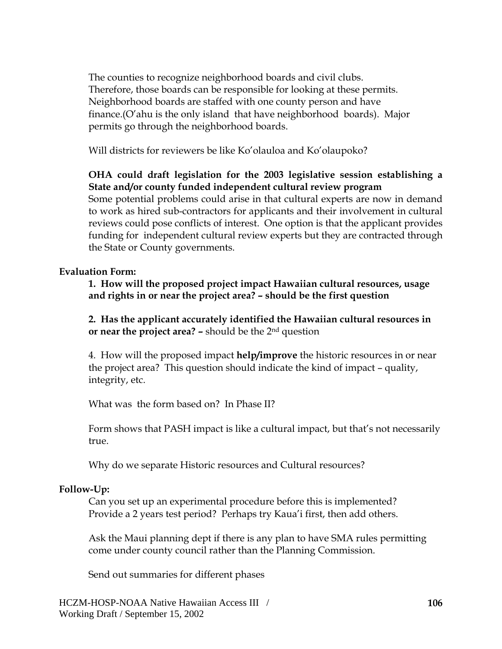The counties to recognize neighborhood boards and civil clubs. Therefore, those boards can be responsible for looking at these permits. Neighborhood boards are staffed with one county person and have finance.(O'ahu is the only island that have neighborhood boards). Major permits go through the neighborhood boards.

Will districts for reviewers be like Ko'olauloa and Ko'olaupoko?

## **OHA could draft legislation for the 2003 legislative session establishing a State and/or county funded independent cultural review program**

Some potential problems could arise in that cultural experts are now in demand to work as hired sub-contractors for applicants and their involvement in cultural reviews could pose conflicts of interest. One option is that the applicant provides funding for independent cultural review experts but they are contracted through the State or County governments.

#### **Evaluation Form:**

**1. How will the proposed project impact Hawaiian cultural resources, usage and rights in or near the project area? – should be the first question** 

**2. Has the applicant accurately identified the Hawaiian cultural resources in or near the project area? –** should be the 2nd question

4. How will the proposed impact **help/improve** the historic resources in or near the project area?This question should indicate the kind of impact – quality, integrity, etc.

What was the form based on? In Phase II?

Form shows that PASH impact is like a cultural impact, but that's not necessarily true.

Why do we separate Historic resources and Cultural resources?

#### **Follow-Up:**

Can you set up an experimental procedure before this is implemented? Provide a 2 years test period? Perhaps try Kaua'i first, then add others.

Ask the Maui planning dept if there is any plan to have SMA rules permitting come under county council rather than the Planning Commission.

Send out summaries for different phases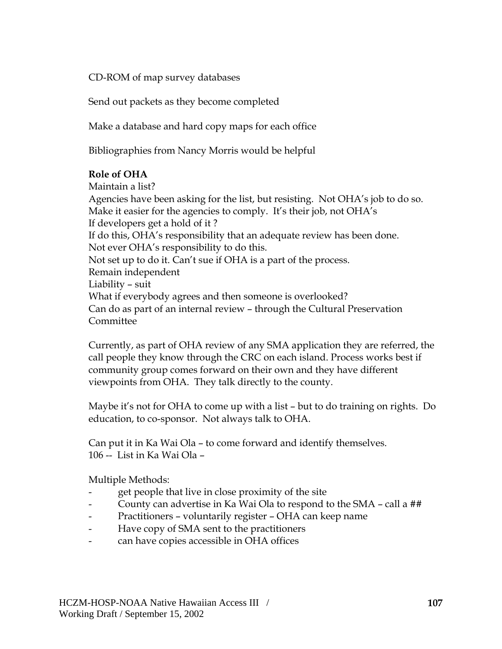CD-ROM of map survey databases

Send out packets as they become completed

Make a database and hard copy maps for each office

Bibliographies from Nancy Morris would be helpful

## **Role of OHA**

Maintain a list? Agencies have been asking for the list, but resisting. Not OHA's job to do so. Make it easier for the agencies to comply. It's their job, not OHA's If developers get a hold of it ? If do this, OHA's responsibility that an adequate review has been done. Not ever OHA's responsibility to do this. Not set up to do it. Can't sue if OHA is a part of the process. Remain independent Liability – suit What if everybody agrees and then someone is overlooked? Can do as part of an internal review – through the Cultural Preservation Committee

Currently, as part of OHA review of any SMA application they are referred, the call people they know through the CRC on each island. Process works best if community group comes forward on their own and they have different viewpoints from OHA. They talk directly to the county.

Maybe it's not for OHA to come up with a list – but to do training on rights. Do education, to co-sponsor. Not always talk to OHA.

Can put it in Ka Wai Ola – to come forward and identify themselves. 106 -- List in Ka Wai Ola –

Multiple Methods:

- get people that live in close proximity of the site
- County can advertise in Ka Wai Ola to respond to the SMA call a ##
- Practitioners voluntarily register OHA can keep name
- Have copy of SMA sent to the practitioners
- can have copies accessible in OHA offices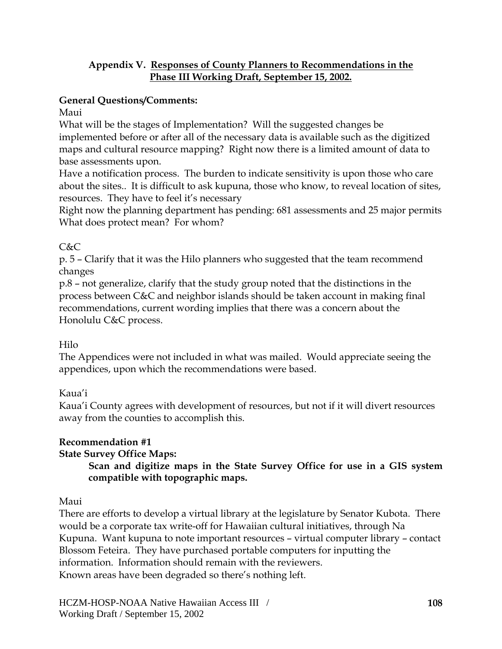## **Appendix V. Responses of County Planners to Recommendations in the Phase III Working Draft, September 15, 2002.**

## **General Questions/Comments:**

Maui

What will be the stages of Implementation? Will the suggested changes be implemented before or after all of the necessary data is available such as the digitized maps and cultural resource mapping? Right now there is a limited amount of data to base assessments upon.

Have a notification process. The burden to indicate sensitivity is upon those who care about the sites.. It is difficult to ask kupuna, those who know, to reveal location of sites, resources. They have to feel it's necessary

Right now the planning department has pending: 681 assessments and 25 major permits What does protect mean? For whom?

# C&C

p. 5 – Clarify that it was the Hilo planners who suggested that the team recommend changes

p.8 – not generalize, clarify that the study group noted that the distinctions in the process between C&C and neighbor islands should be taken account in making final recommendations, current wording implies that there was a concern about the Honolulu C&C process.

# Hilo

The Appendices were not included in what was mailed. Would appreciate seeing the appendices, upon which the recommendations were based.

# Kaua'i

Kaua'i County agrees with development of resources, but not if it will divert resources away from the counties to accomplish this.

# **Recommendation #1**

# **State Survey Office Maps:**

**Scan and digitize maps in the State Survey Office for use in a GIS system compatible with topographic maps.** 

# Maui

There are efforts to develop a virtual library at the legislature by Senator Kubota. There would be a corporate tax write-off for Hawaiian cultural initiatives, through Na Kupuna. Want kupuna to note important resources – virtual computer library – contact Blossom Feteira. They have purchased portable computers for inputting the information. Information should remain with the reviewers. Known areas have been degraded so there's nothing left.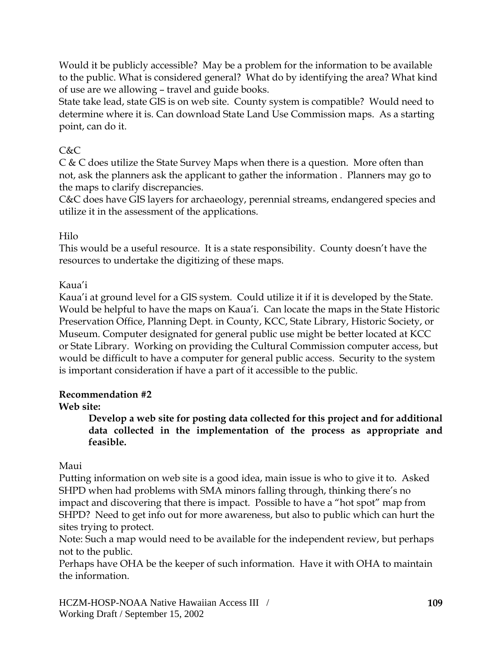Would it be publicly accessible? May be a problem for the information to be available to the public. What is considered general? What do by identifying the area? What kind of use are we allowing – travel and guide books.

State take lead, state GIS is on web site. County system is compatible? Would need to determine where it is. Can download State Land Use Commission maps. As a starting point, can do it.

### C&C

C & C does utilize the State Survey Maps when there is a question. More often than not, ask the planners ask the applicant to gather the information . Planners may go to the maps to clarify discrepancies.

C&C does have GIS layers for archaeology, perennial streams, endangered species and utilize it in the assessment of the applications.

## Hilo

This would be a useful resource. It is a state responsibility. County doesn't have the resources to undertake the digitizing of these maps.

## Kaua'i

Kaua'i at ground level for a GIS system. Could utilize it if it is developed by the State. Would be helpful to have the maps on Kaua'i. Can locate the maps in the State Historic Preservation Office, Planning Dept. in County, KCC, State Library, Historic Society, or Museum. Computer designated for general public use might be better located at KCC or State Library. Working on providing the Cultural Commission computer access, but would be difficult to have a computer for general public access. Security to the system is important consideration if have a part of it accessible to the public.

#### **Recommendation #2**

#### **Web site:**

**Develop a web site for posting data collected for this project and for additional data collected in the implementation of the process as appropriate and feasible.** 

# Maui

Putting information on web site is a good idea, main issue is who to give it to. Asked SHPD when had problems with SMA minors falling through, thinking there's no impact and discovering that there is impact. Possible to have a "hot spot" map from SHPD? Need to get info out for more awareness, but also to public which can hurt the sites trying to protect.

Note: Such a map would need to be available for the independent review, but perhaps not to the public.

Perhaps have OHA be the keeper of such information. Have it with OHA to maintain the information.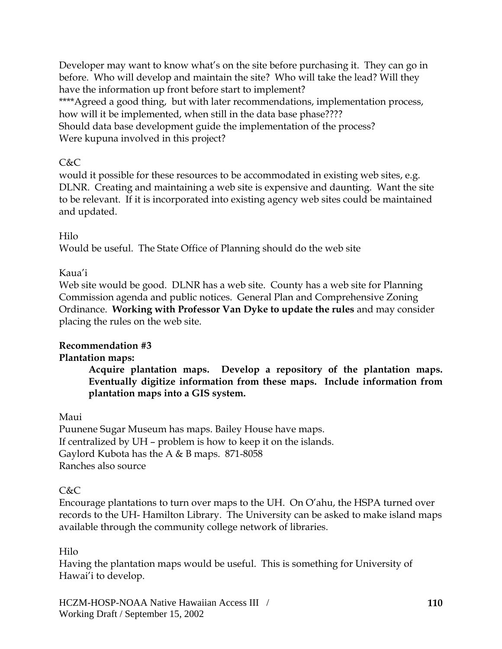Developer may want to know what's on the site before purchasing it. They can go in before. Who will develop and maintain the site? Who will take the lead? Will they have the information up front before start to implement? \*\*\*\*Agreed a good thing, but with later recommendations, implementation process, how will it be implemented, when still in the data base phase???? Should data base development guide the implementation of the process? Were kupuna involved in this project?

## $C&C$

would it possible for these resources to be accommodated in existing web sites, e.g. DLNR. Creating and maintaining a web site is expensive and daunting. Want the site to be relevant. If it is incorporated into existing agency web sites could be maintained and updated.

## Hilo

Would be useful. The State Office of Planning should do the web site

## Kaua'i

Web site would be good. DLNR has a web site. County has a web site for Planning Commission agenda and public notices. General Plan and Comprehensive Zoning Ordinance. **Working with Professor Van Dyke to update the rules** and may consider placing the rules on the web site.

# **Recommendation #3**

#### **Plantation maps:**

**Acquire plantation maps. Develop a repository of the plantation maps. Eventually digitize information from these maps. Include information from plantation maps into a GIS system.** 

#### Maui

Puunene Sugar Museum has maps. Bailey House have maps. If centralized by UH – problem is how to keep it on the islands. Gaylord Kubota has the A & B maps. 871-8058 Ranches also source

# C&C

Encourage plantations to turn over maps to the UH. On O'ahu, the HSPA turned over records to the UH- Hamilton Library. The University can be asked to make island maps available through the community college network of libraries.

Hilo

Having the plantation maps would be useful. This is something for University of Hawai'i to develop.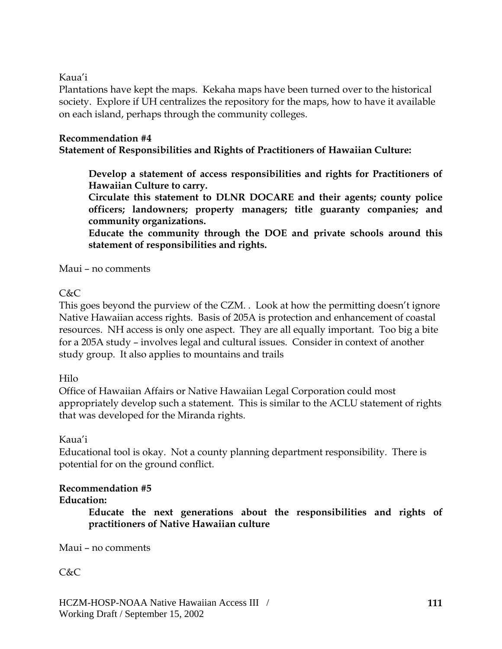Kaua'i

Plantations have kept the maps. Kekaha maps have been turned over to the historical society. Explore if UH centralizes the repository for the maps, how to have it available on each island, perhaps through the community colleges.

#### **Recommendation #4 Statement of Responsibilities and Rights of Practitioners of Hawaiian Culture:**

**Develop a statement of access responsibilities and rights for Practitioners of Hawaiian Culture to carry.** 

**Circulate this statement to DLNR DOCARE and their agents; county police officers; landowners; property managers; title guaranty companies; and community organizations.** 

**Educate the community through the DOE and private schools around this statement of responsibilities and rights.** 

Maui – no comments

 $C&C$ 

This goes beyond the purview of the CZM. . Look at how the permitting doesn't ignore Native Hawaiian access rights. Basis of 205A is protection and enhancement of coastal resources. NH access is only one aspect. They are all equally important. Too big a bite for a 205A study – involves legal and cultural issues. Consider in context of another study group. It also applies to mountains and trails

Hilo

Office of Hawaiian Affairs or Native Hawaiian Legal Corporation could most appropriately develop such a statement. This is similar to the ACLU statement of rights that was developed for the Miranda rights.

# Kaua'i

Educational tool is okay. Not a county planning department responsibility. There is potential for on the ground conflict.

# **Recommendation #5**

# **Education:**

**Educate the next generations about the responsibilities and rights of practitioners of Native Hawaiian culture** 

Maui – no comments

C&C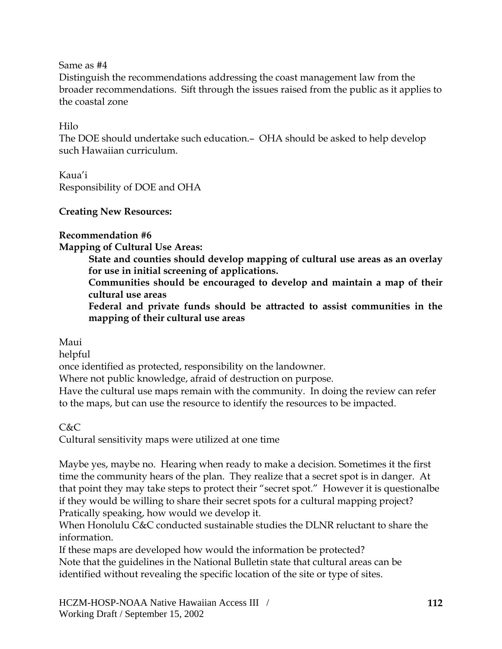Same as #4

Distinguish the recommendations addressing the coast management law from the broader recommendations. Sift through the issues raised from the public as it applies to the coastal zone

Hilo

The DOE should undertake such education.– OHA should be asked to help develop such Hawaiian curriculum.

Kaua'i Responsibility of DOE and OHA

## **Creating New Resources:**

#### **Recommendation #6**

#### **Mapping of Cultural Use Areas:**

**State and counties should develop mapping of cultural use areas as an overlay for use in initial screening of applications.** 

**Communities should be encouraged to develop and maintain a map of their cultural use areas** 

**Federal and private funds should be attracted to assist communities in the mapping of their cultural use areas** 

Maui

helpful

once identified as protected, responsibility on the landowner.

Where not public knowledge, afraid of destruction on purpose.

Have the cultural use maps remain with the community. In doing the review can refer to the maps, but can use the resource to identify the resources to be impacted.

C&C

Cultural sensitivity maps were utilized at one time

Maybe yes, maybe no. Hearing when ready to make a decision. Sometimes it the first time the community hears of the plan. They realize that a secret spot is in danger. At that point they may take steps to protect their "secret spot." However it is questionalbe if they would be willing to share their secret spots for a cultural mapping project? Pratically speaking, how would we develop it.

When Honolulu C&C conducted sustainable studies the DLNR reluctant to share the information.

If these maps are developed how would the information be protected? Note that the guidelines in the National Bulletin state that cultural areas can be identified without revealing the specific location of the site or type of sites.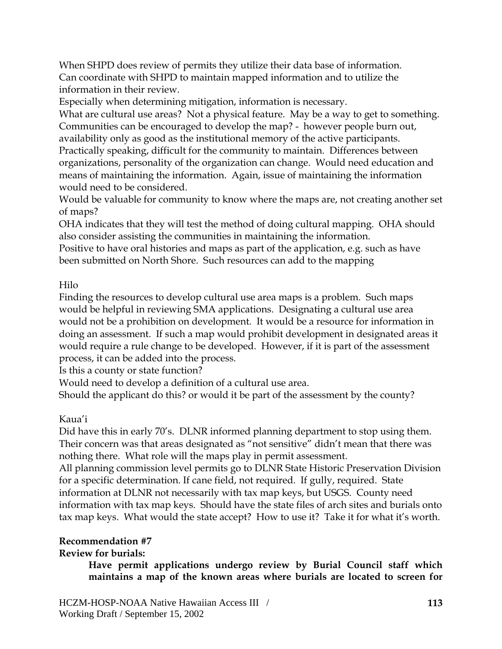When SHPD does review of permits they utilize their data base of information. Can coordinate with SHPD to maintain mapped information and to utilize the information in their review.

Especially when determining mitigation, information is necessary.

What are cultural use areas? Not a physical feature. May be a way to get to something. Communities can be encouraged to develop the map? - however people burn out, availability only as good as the institutional memory of the active participants. Practically speaking, difficult for the community to maintain. Differences between organizations, personality of the organization can change. Would need education and means of maintaining the information. Again, issue of maintaining the information would need to be considered.

Would be valuable for community to know where the maps are, not creating another set of maps?

OHA indicates that they will test the method of doing cultural mapping. OHA should also consider assisting the communities in maintaining the information.

Positive to have oral histories and maps as part of the application, e.g. such as have been submitted on North Shore. Such resources can add to the mapping

#### Hilo

Finding the resources to develop cultural use area maps is a problem. Such maps would be helpful in reviewing SMA applications. Designating a cultural use area would not be a prohibition on development. It would be a resource for information in doing an assessment. If such a map would prohibit development in designated areas it would require a rule change to be developed. However, if it is part of the assessment process, it can be added into the process.

Is this a county or state function?

Would need to develop a definition of a cultural use area.

Should the applicant do this? or would it be part of the assessment by the county?

# Kaua'i

Did have this in early 70's. DLNR informed planning department to stop using them. Their concern was that areas designated as "not sensitive" didn't mean that there was nothing there. What role will the maps play in permit assessment.

All planning commission level permits go to DLNR State Historic Preservation Division for a specific determination. If cane field, not required. If gully, required. State information at DLNR not necessarily with tax map keys, but USGS. County need information with tax map keys. Should have the state files of arch sites and burials onto tax map keys. What would the state accept? How to use it? Take it for what it's worth.

# **Recommendation #7**

#### **Review for burials:**

**Have permit applications undergo review by Burial Council staff which maintains a map of the known areas where burials are located to screen for**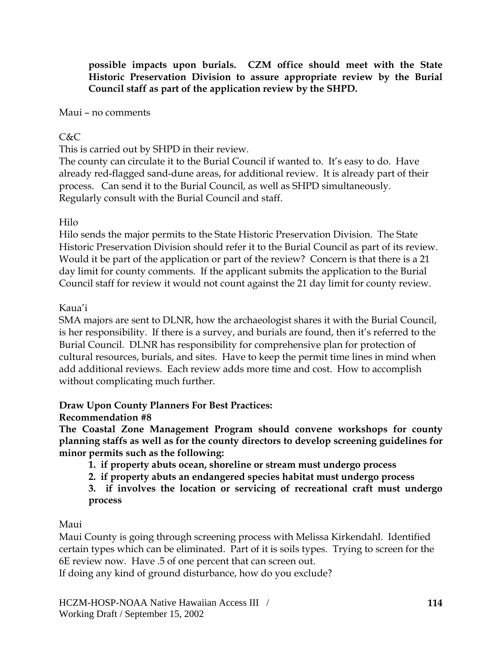**possible impacts upon burials. CZM office should meet with the State Historic Preservation Division to assure appropriate review by the Burial Council staff as part of the application review by the SHPD.** 

Maui – no comments

## C&C

This is carried out by SHPD in their review.

The county can circulate it to the Burial Council if wanted to. It's easy to do. Have already red-flagged sand-dune areas, for additional review. It is already part of their process. Can send it to the Burial Council, as well as SHPD simultaneously. Regularly consult with the Burial Council and staff.

## Hilo

Hilo sends the major permits to the State Historic Preservation Division. The State Historic Preservation Division should refer it to the Burial Council as part of its review. Would it be part of the application or part of the review? Concern is that there is a 21 day limit for county comments. If the applicant submits the application to the Burial Council staff for review it would not count against the 21 day limit for county review.

## Kaua'i

SMA majors are sent to DLNR, how the archaeologist shares it with the Burial Council, is her responsibility. If there is a survey, and burials are found, then it's referred to the Burial Council. DLNR has responsibility for comprehensive plan for protection of cultural resources, burials, and sites. Have to keep the permit time lines in mind when add additional reviews. Each review adds more time and cost. How to accomplish without complicating much further.

# **Draw Upon County Planners For Best Practices:**

# **Recommendation #8**

**The Coastal Zone Management Program should convene workshops for county planning staffs as well as for the county directors to develop screening guidelines for minor permits such as the following:** 

**1. if property abuts ocean, shoreline or stream must undergo process** 

**2. if property abuts an endangered species habitat must undergo process** 

**3. if involves the location or servicing of recreational craft must undergo process** 

# Maui

Maui County is going through screening process with Melissa Kirkendahl. Identified certain types which can be eliminated. Part of it is soils types. Trying to screen for the 6E review now. Have .5 of one percent that can screen out.

If doing any kind of ground disturbance, how do you exclude?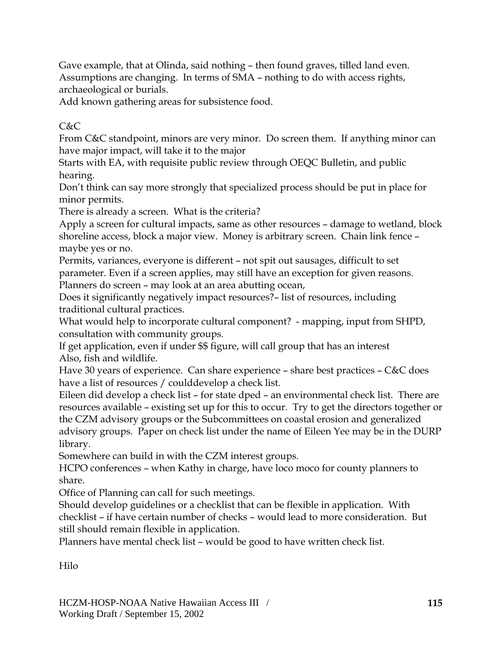Gave example, that at Olinda, said nothing – then found graves, tilled land even. Assumptions are changing. In terms of SMA – nothing to do with access rights, archaeological or burials.

Add known gathering areas for subsistence food.

# C&C

From C&C standpoint, minors are very minor. Do screen them. If anything minor can have major impact, will take it to the major

Starts with EA, with requisite public review through OEQC Bulletin, and public hearing.

Don't think can say more strongly that specialized process should be put in place for minor permits.

There is already a screen. What is the criteria?

Apply a screen for cultural impacts, same as other resources – damage to wetland, block shoreline access, block a major view. Money is arbitrary screen. Chain link fence – maybe yes or no.

Permits, variances, everyone is different – not spit out sausages, difficult to set parameter. Even if a screen applies, may still have an exception for given reasons. Planners do screen – may look at an area abutting ocean,

Does it significantly negatively impact resources?– list of resources, including traditional cultural practices.

What would help to incorporate cultural component? - mapping, input from SHPD, consultation with community groups.

If get application, even if under \$\$ figure, will call group that has an interest Also, fish and wildlife.

Have 30 years of experience. Can share experience – share best practices – C&C does have a list of resources / coulddevelop a check list.

Eileen did develop a check list – for state dped – an environmental check list. There are resources available – existing set up for this to occur. Try to get the directors together or the CZM advisory groups or the Subcommittees on coastal erosion and generalized advisory groups. Paper on check list under the name of Eileen Yee may be in the DURP library.

Somewhere can build in with the CZM interest groups.

HCPO conferences – when Kathy in charge, have loco moco for county planners to share.

Office of Planning can call for such meetings.

Should develop guidelines or a checklist that can be flexible in application. With checklist – if have certain number of checks – would lead to more consideration. But still should remain flexible in application.

Planners have mental check list – would be good to have written check list.

Hilo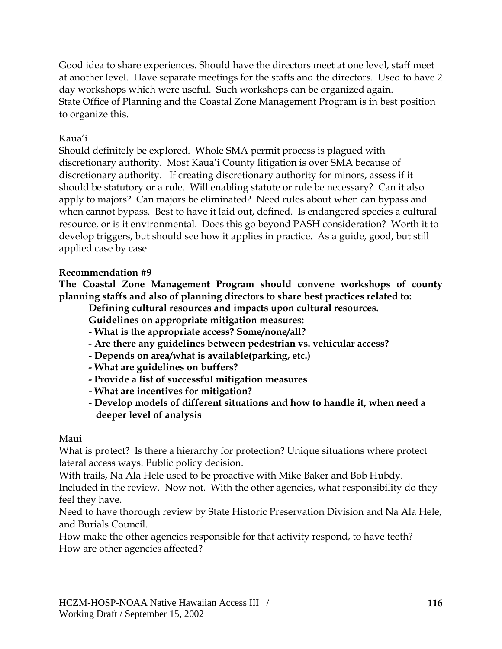Good idea to share experiences. Should have the directors meet at one level, staff meet at another level. Have separate meetings for the staffs and the directors. Used to have 2 day workshops which were useful. Such workshops can be organized again. State Office of Planning and the Coastal Zone Management Program is in best position to organize this.

## Kaua'i

Should definitely be explored. Whole SMA permit process is plagued with discretionary authority. Most Kaua'i County litigation is over SMA because of discretionary authority. If creating discretionary authority for minors, assess if it should be statutory or a rule. Will enabling statute or rule be necessary? Can it also apply to majors? Can majors be eliminated? Need rules about when can bypass and when cannot bypass. Best to have it laid out, defined. Is endangered species a cultural resource, or is it environmental. Does this go beyond PASH consideration? Worth it to develop triggers, but should see how it applies in practice. As a guide, good, but still applied case by case.

## **Recommendation #9**

**The Coastal Zone Management Program should convene workshops of county planning staffs and also of planning directors to share best practices related to:** 

- **Defining cultural resources and impacts upon cultural resources.**
- **Guidelines on appropriate mitigation measures:**
- **What is the appropriate access? Some/none/all?**
- **Are there any guidelines between pedestrian vs. vehicular access?**
- **Depends on area/what is available(parking, etc.)**
- **What are guidelines on buffers?**
- **Provide a list of successful mitigation measures**
- **What are incentives for mitigation?**
- **Develop models of different situations and how to handle it, when need a deeper level of analysis**

#### Maui

What is protect? Is there a hierarchy for protection? Unique situations where protect lateral access ways. Public policy decision.

With trails, Na Ala Hele used to be proactive with Mike Baker and Bob Hubdy.

Included in the review. Now not. With the other agencies, what responsibility do they feel they have.

Need to have thorough review by State Historic Preservation Division and Na Ala Hele, and Burials Council.

How make the other agencies responsible for that activity respond, to have teeth? How are other agencies affected?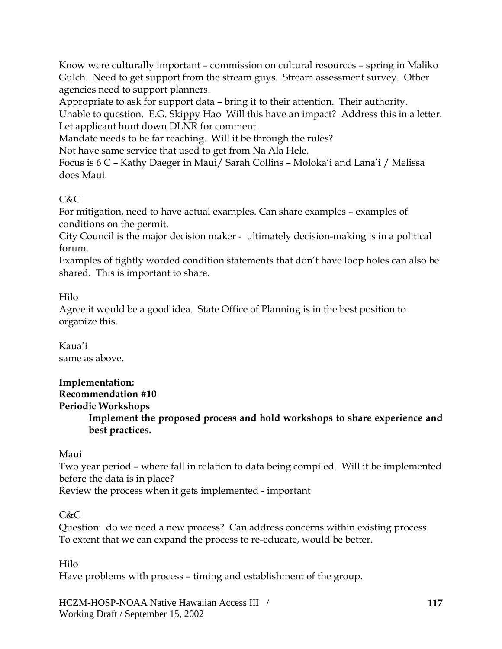Know were culturally important – commission on cultural resources – spring in Maliko Gulch. Need to get support from the stream guys. Stream assessment survey. Other agencies need to support planners.

Appropriate to ask for support data – bring it to their attention. Their authority. Unable to question. E.G. Skippy Hao Will this have an impact? Address this in a letter. Let applicant hunt down DLNR for comment.

Mandate needs to be far reaching. Will it be through the rules?

Not have same service that used to get from Na Ala Hele.

Focus is 6 C – Kathy Daeger in Maui/ Sarah Collins – Moloka'i and Lana'i / Melissa does Maui.

# C&C

For mitigation, need to have actual examples. Can share examples – examples of conditions on the permit.

City Council is the major decision maker - ultimately decision-making is in a political forum.

Examples of tightly worded condition statements that don't have loop holes can also be shared. This is important to share.

# Hilo

Agree it would be a good idea. State Office of Planning is in the best position to organize this.

Kaua'i same as above.

#### **Implementation: Recommendation #10 Periodic Workshops**

**Implement the proposed process and hold workshops to share experience and best practices.** 

Maui

Two year period – where fall in relation to data being compiled. Will it be implemented before the data is in place?

Review the process when it gets implemented - important

# C&C

Question: do we need a new process? Can address concerns within existing process. To extent that we can expand the process to re-educate, would be better.

Hilo

Have problems with process – timing and establishment of the group.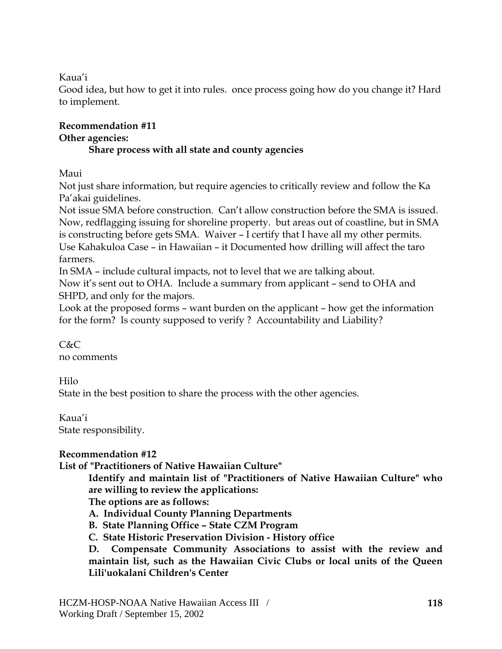Kaua'i

Good idea, but how to get it into rules. once process going how do you change it? Hard to implement.

#### **Recommendation #11 Other agencies: Share process with all state and county agencies**

Maui

Not just share information, but require agencies to critically review and follow the Ka Pa'akai guidelines.

Not issue SMA before construction. Can't allow construction before the SMA is issued. Now, redflagging issuing for shoreline property. but areas out of coastline, but in SMA is constructing before gets SMA. Waiver – I certify that I have all my other permits. Use Kahakuloa Case – in Hawaiian – it Documented how drilling will affect the taro farmers.

In SMA – include cultural impacts, not to level that we are talking about.

Now it's sent out to OHA. Include a summary from applicant – send to OHA and SHPD, and only for the majors.

Look at the proposed forms – want burden on the applicant – how get the information for the form? Is county supposed to verify ? Accountability and Liability?

C&C no comments

Hilo

State in the best position to share the process with the other agencies.

Kaua'i State responsibility.

# **Recommendation #12**

**List of "Practitioners of Native Hawaiian Culture"** 

**Identify and maintain list of "Practitioners of Native Hawaiian Culture" who are willing to review the applications:** 

**The options are as follows:** 

**A. Individual County Planning Departments** 

**B. State Planning Office – State CZM Program** 

**C. State Historic Preservation Division - History office** 

**D. Compensate Community Associations to assist with the review and maintain list, such as the Hawaiian Civic Clubs or local units of the Queen Lili'uokalani Children's Center**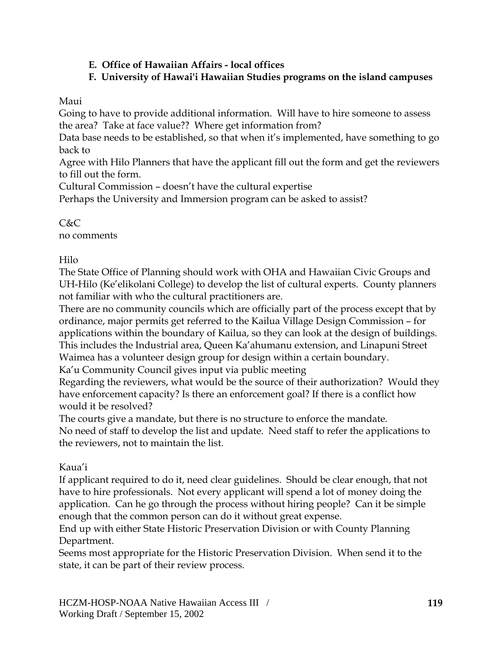## **E. Office of Hawaiian Affairs - local offices**

# **F. University of Hawai'i Hawaiian Studies programs on the island campuses**

Maui

Going to have to provide additional information. Will have to hire someone to assess the area? Take at face value?? Where get information from?

Data base needs to be established, so that when it's implemented, have something to go back to

Agree with Hilo Planners that have the applicant fill out the form and get the reviewers to fill out the form.

Cultural Commission – doesn't have the cultural expertise

Perhaps the University and Immersion program can be asked to assist?

 $C$ & $C$ 

no comments

Hilo

The State Office of Planning should work with OHA and Hawaiian Civic Groups and UH-Hilo (Ke'elikolani College) to develop the list of cultural experts. County planners not familiar with who the cultural practitioners are.

There are no community councils which are officially part of the process except that by ordinance, major permits get referred to the Kailua Village Design Commission – for applications within the boundary of Kailua, so they can look at the design of buildings. This includes the Industrial area, Queen Ka'ahumanu extension, and Linapuni Street Waimea has a volunteer design group for design within a certain boundary.

Ka'u Community Council gives input via public meeting

Regarding the reviewers, what would be the source of their authorization? Would they have enforcement capacity? Is there an enforcement goal? If there is a conflict how would it be resolved?

The courts give a mandate, but there is no structure to enforce the mandate. No need of staff to develop the list and update. Need staff to refer the applications to the reviewers, not to maintain the list.

# Kaua'i

If applicant required to do it, need clear guidelines. Should be clear enough, that not have to hire professionals. Not every applicant will spend a lot of money doing the application. Can he go through the process without hiring people? Can it be simple enough that the common person can do it without great expense.

End up with either State Historic Preservation Division or with County Planning Department.

Seems most appropriate for the Historic Preservation Division. When send it to the state, it can be part of their review process.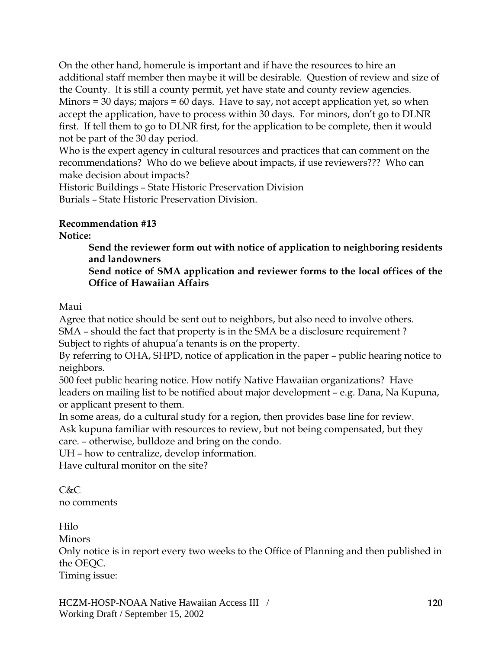On the other hand, homerule is important and if have the resources to hire an additional staff member then maybe it will be desirable. Question of review and size of the County. It is still a county permit, yet have state and county review agencies. Minors  $=$  30 days; majors  $=$  60 days. Have to say, not accept application yet, so when accept the application, have to process within 30 days. For minors, don't go to DLNR first. If tell them to go to DLNR first, for the application to be complete, then it would not be part of the 30 day period.

Who is the expert agency in cultural resources and practices that can comment on the recommendations? Who do we believe about impacts, if use reviewers??? Who can make decision about impacts?

Historic Buildings – State Historic Preservation Division Burials – State Historic Preservation Division.

## **Recommendation #13**

**Notice:** 

**Send the reviewer form out with notice of application to neighboring residents and landowners** 

#### **Send notice of SMA application and reviewer forms to the local offices of the Office of Hawaiian Affairs**

Maui

Agree that notice should be sent out to neighbors, but also need to involve others.

SMA – should the fact that property is in the SMA be a disclosure requirement ? Subject to rights of ahupua'a tenants is on the property.

By referring to OHA, SHPD, notice of application in the paper – public hearing notice to neighbors.

500 feet public hearing notice. How notify Native Hawaiian organizations? Have leaders on mailing list to be notified about major development – e.g. Dana, Na Kupuna, or applicant present to them.

In some areas, do a cultural study for a region, then provides base line for review. Ask kupuna familiar with resources to review, but not being compensated, but they care. – otherwise, bulldoze and bring on the condo.

UH – how to centralize, develop information.

Have cultural monitor on the site?

C&C no comments

Hilo

Minors

Only notice is in report every two weeks to the Office of Planning and then published in the OEQC.

Timing issue: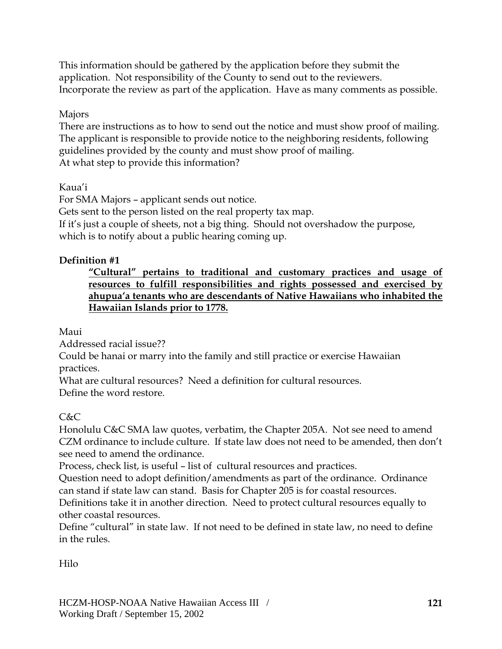This information should be gathered by the application before they submit the application. Not responsibility of the County to send out to the reviewers. Incorporate the review as part of the application. Have as many comments as possible.

## Majors

There are instructions as to how to send out the notice and must show proof of mailing. The applicant is responsible to provide notice to the neighboring residents, following guidelines provided by the county and must show proof of mailing. At what step to provide this information?

Kaua'i

For SMA Majors – applicant sends out notice. Gets sent to the person listed on the real property tax map. If it's just a couple of sheets, not a big thing. Should not overshadow the purpose, which is to notify about a public hearing coming up.

# **Definition #1**

**"Cultural" pertains to traditional and customary practices and usage of resources to fulfill responsibilities and rights possessed and exercised by ahupua'a tenants who are descendants of Native Hawaiians who inhabited the Hawaiian Islands prior to 1778.**

Maui

Addressed racial issue??

Could be hanai or marry into the family and still practice or exercise Hawaiian practices.

What are cultural resources? Need a definition for cultural resources.

Define the word restore.

C&C

Honolulu C&C SMA law quotes, verbatim, the Chapter 205A. Not see need to amend CZM ordinance to include culture. If state law does not need to be amended, then don't see need to amend the ordinance.

Process, check list, is useful – list of cultural resources and practices.

Question need to adopt definition/amendments as part of the ordinance. Ordinance can stand if state law can stand. Basis for Chapter 205 is for coastal resources.

Definitions take it in another direction. Need to protect cultural resources equally to other coastal resources.

Define "cultural" in state law. If not need to be defined in state law, no need to define in the rules.

Hilo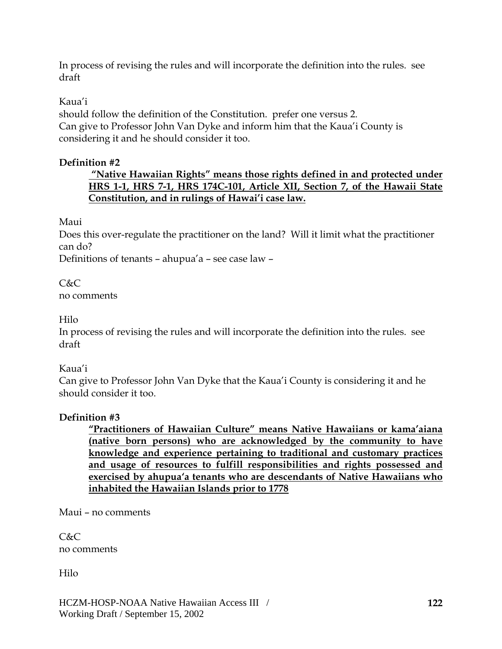In process of revising the rules and will incorporate the definition into the rules. see draft

Kaua'i

should follow the definition of the Constitution. prefer one versus 2. Can give to Professor John Van Dyke and inform him that the Kaua'i County is considering it and he should consider it too.

# **Definition #2**

## **"Native Hawaiian Rights" means those rights defined in and protected under HRS 1-1, HRS 7-1, HRS 174C-101, Article XII, Section 7, of the Hawaii State Constitution, and in rulings of Hawai'i case law.**

Maui

Does this over-regulate the practitioner on the land? Will it limit what the practitioner can do?

Definitions of tenants – ahupua'a – see case law –

 $C$ & $C$ 

no comments

Hilo

In process of revising the rules and will incorporate the definition into the rules. see draft

Kaua'i

Can give to Professor John Van Dyke that the Kaua'i County is considering it and he should consider it too.

# **Definition #3**

**"Practitioners of Hawaiian Culture" means Native Hawaiians or kama'aiana (native born persons) who are acknowledged by the community to have knowledge and experience pertaining to traditional and customary practices and usage of resources to fulfill responsibilities and rights possessed and exercised by ahupua'a tenants who are descendants of Native Hawaiians who inhabited the Hawaiian Islands prior to 1778**

Maui – no comments

C&C no comments

Hilo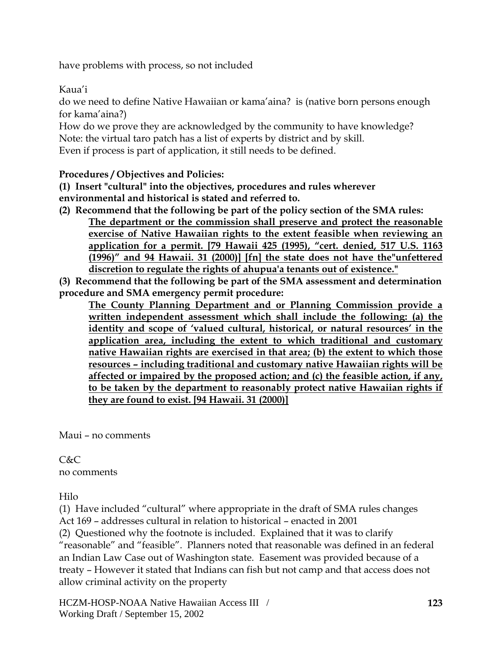have problems with process, so not included

Kaua'i

do we need to define Native Hawaiian or kama'aina? is (native born persons enough for kama'aina?)

How do we prove they are acknowledged by the community to have knowledge? Note: the virtual taro patch has a list of experts by district and by skill. Even if process is part of application, it still needs to be defined.

#### **Procedures / Objectives and Policies:**

**(1) Insert "cultural" into the objectives, procedures and rules wherever environmental and historical is stated and referred to.** 

**(2) Recommend that the following be part of the policy section of the SMA rules: The department or the commission shall preserve and protect the reasonable exercise of Native Hawaiian rights to the extent feasible when reviewing an application for a permit. [79 Hawaii 425 (1995), "cert. denied, 517 U.S. 1163 (1996)" and 94 Hawaii. 31 (2000)] [fn] the state does not have the"unfettered discretion to regulate the rights of ahupua'a tenants out of existence."**

**(3) Recommend that the following be part of the SMA assessment and determination procedure and SMA emergency permit procedure:** 

**The County Planning Department and or Planning Commission provide a written independent assessment which shall include the following: (a) the identity and scope of 'valued cultural, historical, or natural resources' in the application area, including the extent to which traditional and customary native Hawaiian rights are exercised in that area; (b) the extent to which those resources – including traditional and customary native Hawaiian rights will be affected or impaired by the proposed action; and (c) the feasible action, if any, to be taken by the department to reasonably protect native Hawaiian rights if they are found to exist. [94 Hawaii. 31 (2000)]**

Maui – no comments

C&C no comments

Hilo

(1) Have included "cultural" where appropriate in the draft of SMA rules changes Act 169 – addresses cultural in relation to historical – enacted in 2001

(2)Questioned why the footnote is included. Explained that it was to clarify "reasonable" and "feasible". Planners noted that reasonable was defined in an federal an Indian Law Case out of Washington state. Easement was provided because of a treaty – However it stated that Indians can fish but not camp and that access does not allow criminal activity on the property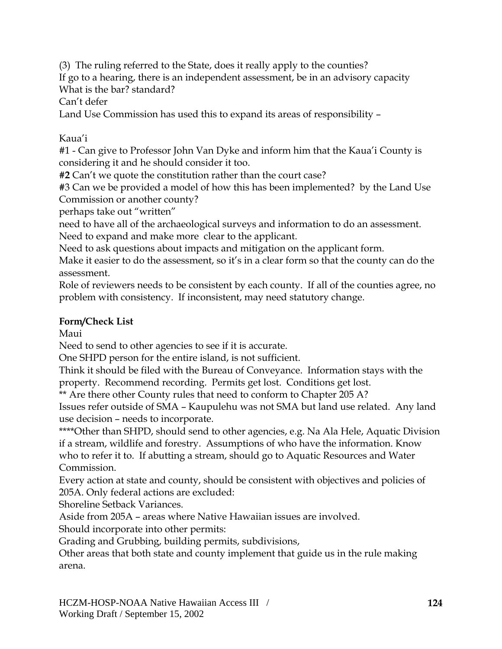(3) The ruling referred to the State, does it really apply to the counties?

If go to a hearing, there is an independent assessment, be in an advisory capacity

What is the bar? standard?

Can't defer

Land Use Commission has used this to expand its areas of responsibility –

# Kaua'i

#1 - Can give to Professor John Van Dyke and inform him that the Kaua'i County is considering it and he should consider it too.

**#2** Can't we quote the constitution rather than the court case?

**#**3 Can we be provided a model of how this has been implemented? by the Land Use Commission or another county?

perhaps take out "written"

need to have all of the archaeological surveys and information to do an assessment. Need to expand and make more clear to the applicant.

Need to ask questions about impacts and mitigation on the applicant form.

Make it easier to do the assessment, so it's in a clear form so that the county can do the assessment.

Role of reviewers needs to be consistent by each county. If all of the counties agree, no problem with consistency. If inconsistent, may need statutory change.

# **Form/Check List**

Maui

Need to send to other agencies to see if it is accurate.

One SHPD person for the entire island, is not sufficient.

Think it should be filed with the Bureau of Conveyance. Information stays with the property. Recommend recording. Permits get lost. Conditions get lost.

\*\* Are there other County rules that need to conform to Chapter 205 A?

Issues refer outside of SMA – Kaupulehu was not SMA but land use related. Any land use decision – needs to incorporate.

\*\*\*\*Other than SHPD, should send to other agencies, e.g. Na Ala Hele, Aquatic Division if a stream, wildlife and forestry. Assumptions of who have the information. Know who to refer it to. If abutting a stream, should go to Aquatic Resources and Water Commission.

Every action at state and county, should be consistent with objectives and policies of 205A. Only federal actions are excluded:

Shoreline Setback Variances.

Aside from 205A – areas where Native Hawaiian issues are involved.

Should incorporate into other permits:

Grading and Grubbing, building permits, subdivisions,

Other areas that both state and county implement that guide us in the rule making arena.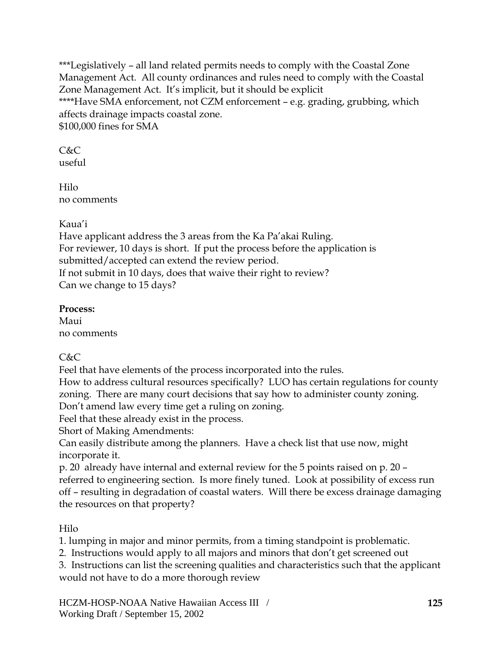\*\*\*Legislatively – all land related permits needs to comply with the Coastal Zone Management Act. All county ordinances and rules need to comply with the Coastal Zone Management Act. It's implicit, but it should be explicit \*\*\*\*Have SMA enforcement, not CZM enforcement – e.g. grading, grubbing, which affects drainage impacts coastal zone. \$100,000 fines for SMA

#### $C&C$ useful

Hilo no comments

# Kaua'i

Have applicant address the 3 areas from the Ka Pa'akai Ruling. For reviewer, 10 days is short. If put the process before the application is submitted/accepted can extend the review period. If not submit in 10 days, does that waive their right to review? Can we change to 15 days?

# **Process:**

Maui no comments

# C&C

Feel that have elements of the process incorporated into the rules.

How to address cultural resources specifically? LUO has certain regulations for county zoning. There are many court decisions that say how to administer county zoning.

Don't amend law every time get a ruling on zoning.

Feel that these already exist in the process.

Short of Making Amendments:

Can easily distribute among the planners. Have a check list that use now, might incorporate it.

p. 20 already have internal and external review for the 5 points raised on p. 20 – referred to engineering section. Is more finely tuned. Look at possibility of excess run off – resulting in degradation of coastal waters. Will there be excess drainage damaging the resources on that property?

# Hilo

1. lumping in major and minor permits, from a timing standpoint is problematic.

2. Instructions would apply to all majors and minors that don't get screened out

3. Instructions can list the screening qualities and characteristics such that the applicant would not have to do a more thorough review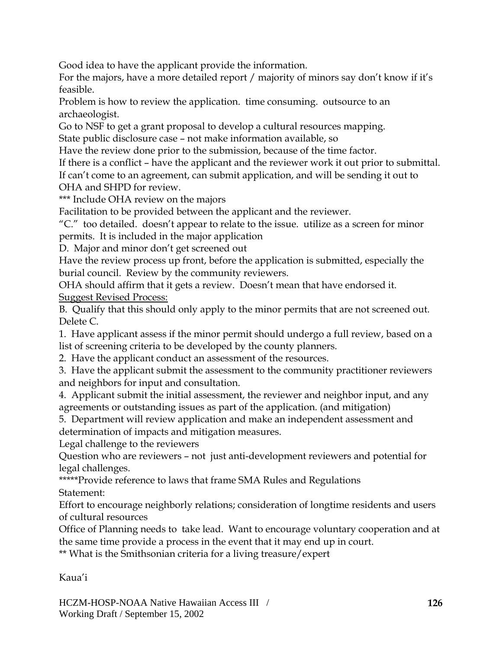Good idea to have the applicant provide the information.

For the majors, have a more detailed report / majority of minors say don't know if it's feasible.

Problem is how to review the application. time consuming. outsource to an archaeologist.

Go to NSF to get a grant proposal to develop a cultural resources mapping.

State public disclosure case – not make information available, so

Have the review done prior to the submission, because of the time factor.

If there is a conflict – have the applicant and the reviewer work it out prior to submittal. If can't come to an agreement, can submit application, and will be sending it out to OHA and SHPD for review.

\*\*\* Include OHA review on the majors

Facilitation to be provided between the applicant and the reviewer.

"C." too detailed. doesn't appear to relate to the issue. utilize as a screen for minor permits. It is included in the major application

D. Major and minor don't get screened out

Have the review process up front, before the application is submitted, especially the burial council. Review by the community reviewers.

OHA should affirm that it gets a review. Doesn't mean that have endorsed it. Suggest Revised Process:

B. Qualify that this should only apply to the minor permits that are not screened out. Delete C.

1. Have applicant assess if the minor permit should undergo a full review, based on a list of screening criteria to be developed by the county planners.

2. Have the applicant conduct an assessment of the resources.

3. Have the applicant submit the assessment to the community practitioner reviewers and neighbors for input and consultation.

4. Applicant submit the initial assessment, the reviewer and neighbor input, and any agreements or outstanding issues as part of the application. (and mitigation)

5. Department will review application and make an independent assessment and determination of impacts and mitigation measures.

Legal challenge to the reviewers

Question who are reviewers – not just anti-development reviewers and potential for legal challenges.

\*\*\*\*\*Provide reference to laws that frame SMA Rules and Regulations

Statement:

Effort to encourage neighborly relations; consideration of longtime residents and users of cultural resources

Office of Planning needs to take lead. Want to encourage voluntary cooperation and at the same time provide a process in the event that it may end up in court.

\*\* What is the Smithsonian criteria for a living treasure/expert

Kaua'i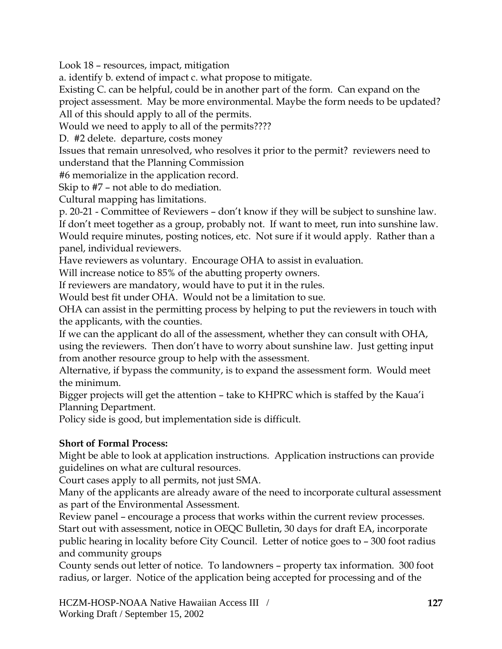Look 18 – resources, impact, mitigation

a. identify b. extend of impact c. what propose to mitigate.

Existing C. can be helpful, could be in another part of the form. Can expand on the project assessment. May be more environmental. Maybe the form needs to be updated?

All of this should apply to all of the permits.

Would we need to apply to all of the permits????

D. #2 delete. departure, costs money

Issues that remain unresolved, who resolves it prior to the permit? reviewers need to understand that the Planning Commission

#6 memorialize in the application record.

Skip to #7 – not able to do mediation.

Cultural mapping has limitations.

p. 20-21 - Committee of Reviewers – don't know if they will be subject to sunshine law.

If don't meet together as a group, probably not. If want to meet, run into sunshine law. Would require minutes, posting notices, etc. Not sure if it would apply. Rather than a panel, individual reviewers.

Have reviewers as voluntary. Encourage OHA to assist in evaluation.

Will increase notice to 85% of the abutting property owners.

If reviewers are mandatory, would have to put it in the rules.

Would best fit under OHA. Would not be a limitation to sue.

OHA can assist in the permitting process by helping to put the reviewers in touch with the applicants, with the counties.

If we can the applicant do all of the assessment, whether they can consult with OHA, using the reviewers. Then don't have to worry about sunshine law. Just getting input from another resource group to help with the assessment.

Alternative, if bypass the community, is to expand the assessment form. Would meet the minimum.

Bigger projects will get the attention – take to KHPRC which is staffed by the Kaua'i Planning Department.

Policy side is good, but implementation side is difficult.

#### **Short of Formal Process:**

Might be able to look at application instructions. Application instructions can provide guidelines on what are cultural resources.

Court cases apply to all permits, not just SMA.

Many of the applicants are already aware of the need to incorporate cultural assessment as part of the Environmental Assessment.

Review panel – encourage a process that works within the current review processes. Start out with assessment, notice in OEQC Bulletin, 30 days for draft EA, incorporate public hearing in locality before City Council. Letter of notice goes to – 300 foot radius and community groups

County sends out letter of notice. To landowners – property tax information. 300 foot radius, or larger. Notice of the application being accepted for processing and of the